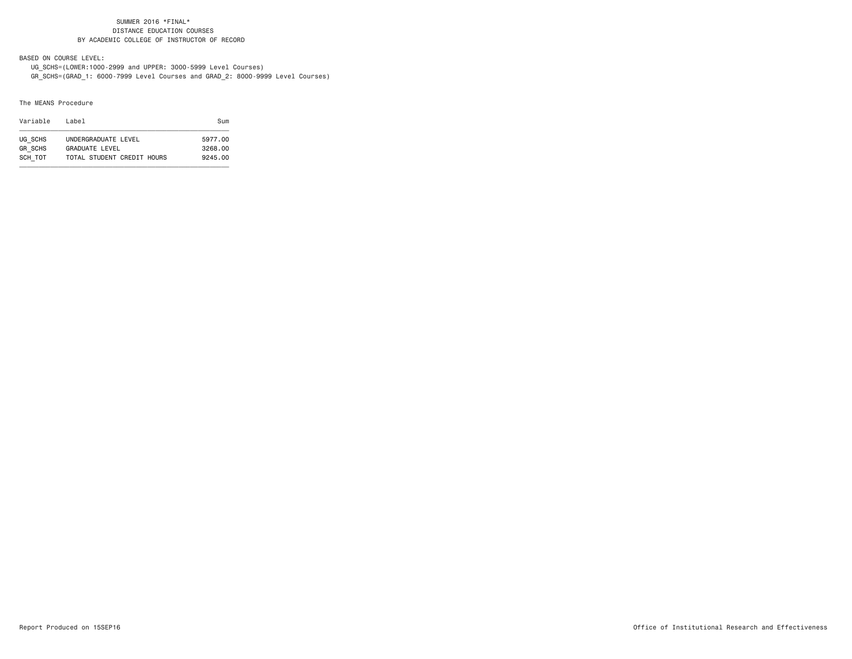BASED ON COURSE LEVEL:

UG\_SCHS=(LOWER:1000-2999 and UPPER: 3000-5999 Level Courses)

GR\_SCHS=(GRAD\_1: 6000-7999 Level Courses and GRAD\_2: 8000-9999 Level Courses)

### The MEANS Procedure

| Variable       | l ahel                     | Sum     |
|----------------|----------------------------|---------|
| UG SCHS        | UNDERGRADUATE LEVEL        | 5977.00 |
| <b>GR SCHS</b> | <b>GRADUATE LEVEL</b>      | 3268.00 |
| SCH TOT        | TOTAL STUDENT CREDIT HOURS | 9245.00 |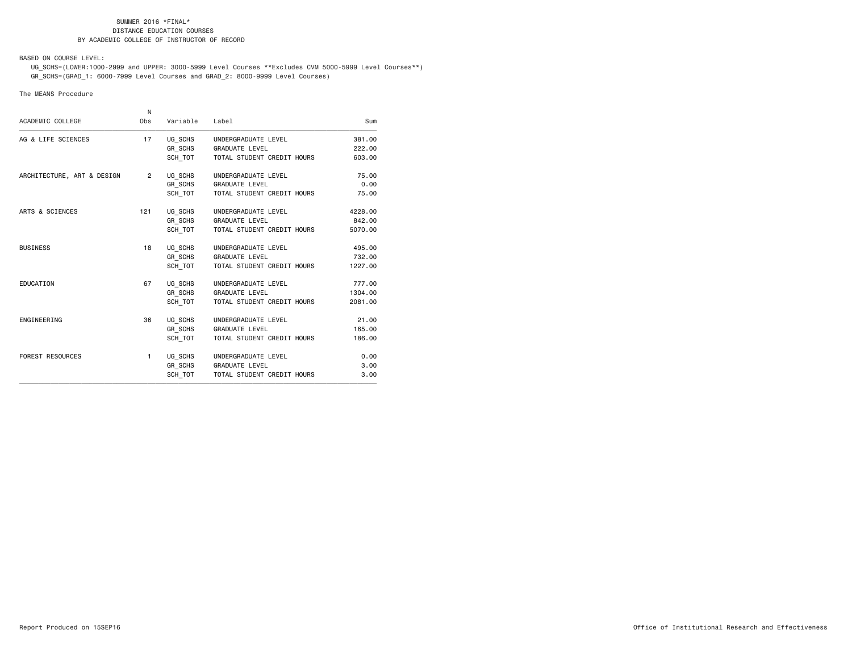BASED ON COURSE LEVEL:

 UG\_SCHS=(LOWER:1000-2999 and UPPER: 3000-5999 Level Courses \*\*Excludes CVM 5000-5999 Level Courses\*\*) GR\_SCHS=(GRAD\_1: 6000-7999 Level Courses and GRAD\_2: 8000-9999 Level Courses)

### The MEANS Procedure

|                            | N              |          |                            |         |
|----------------------------|----------------|----------|----------------------------|---------|
| ACADEMIC COLLEGE           | Obs            | Variable | Label                      | Sum     |
| AG & LIFE SCIENCES         | 17             | UG SCHS  | UNDERGRADUATE LEVEL        | 381.00  |
|                            |                | GR SCHS  | <b>GRADUATE LEVEL</b>      | 222.00  |
|                            |                | SCH TOT  | TOTAL STUDENT CREDIT HOURS | 603.00  |
| ARCHITECTURE, ART & DESIGN | $\overline{2}$ | UG SCHS  | UNDERGRADUATE LEVEL        | 75.00   |
|                            |                | GR SCHS  | <b>GRADUATE LEVEL</b>      | 0.00    |
|                            |                | SCH TOT  | TOTAL STUDENT CREDIT HOURS | 75.00   |
| ARTS & SCIENCES            | 121            | UG SCHS  | UNDERGRADUATE LEVEL        | 4228,00 |
|                            |                | GR SCHS  | <b>GRADUATE LEVEL</b>      | 842.00  |
|                            |                | SCH TOT  | TOTAL STUDENT CREDIT HOURS | 5070.00 |
| <b>BUSINESS</b>            | 18             | UG SCHS  | UNDERGRADUATE LEVEL        | 495.00  |
|                            |                | GR SCHS  | <b>GRADUATE LEVEL</b>      | 732.00  |
|                            |                | SCH TOT  | TOTAL STUDENT CREDIT HOURS | 1227.00 |
| EDUCATION                  | 67             | UG SCHS  | UNDERGRADUATE LEVEL        | 777.00  |
|                            |                | GR SCHS  | <b>GRADUATE LEVEL</b>      | 1304.00 |
|                            |                | SCH TOT  | TOTAL STUDENT CREDIT HOURS | 2081.00 |
| ENGINEERING                | 36             | UG SCHS  | UNDERGRADUATE LEVEL        | 21.00   |
|                            |                | GR SCHS  | <b>GRADUATE LEVEL</b>      | 165.00  |
|                            |                | SCH TOT  | TOTAL STUDENT CREDIT HOURS | 186.00  |
| <b>FOREST RESOURCES</b>    | 1              | UG SCHS  | UNDERGRADUATE LEVEL        | 0.00    |
|                            |                | GR SCHS  | <b>GRADUATE LEVEL</b>      | 3.00    |
|                            |                | SCH TOT  | TOTAL STUDENT CREDIT HOURS | 3.00    |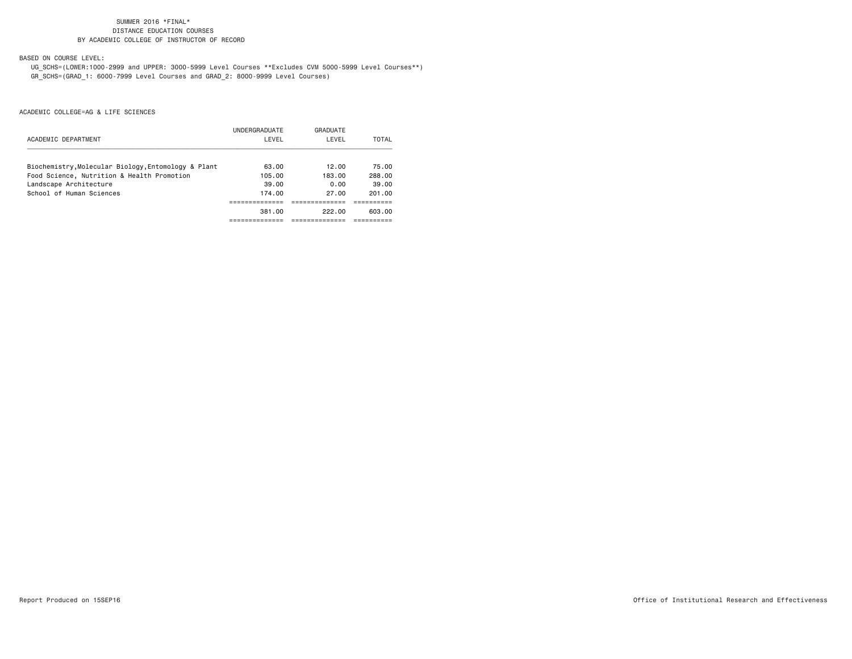BASED ON COURSE LEVEL:

 UG\_SCHS=(LOWER:1000-2999 and UPPER: 3000-5999 Level Courses \*\*Excludes CVM 5000-5999 Level Courses\*\*) GR\_SCHS=(GRAD\_1: 6000-7999 Level Courses and GRAD\_2: 8000-9999 Level Courses)

|                                                     | UNDERGRADUATE | GRADUATE |        |
|-----------------------------------------------------|---------------|----------|--------|
| ACADEMIC DEPARTMENT                                 | LEVEL         | LEVEL    | TOTAL  |
| Biochemistry, Molecular Biology, Entomology & Plant | 63.00         | 12.00    | 75.00  |
| Food Science, Nutrition & Health Promotion          | 105.00        | 183.00   | 288.00 |
| Landscape Architecture                              | 39.00         | 0.00     | 39.00  |
| School of Human Sciences                            | 174.00        | 27.00    | 201.00 |
|                                                     |               |          |        |
|                                                     | 381.00        | 222.00   | 603.00 |
|                                                     |               |          |        |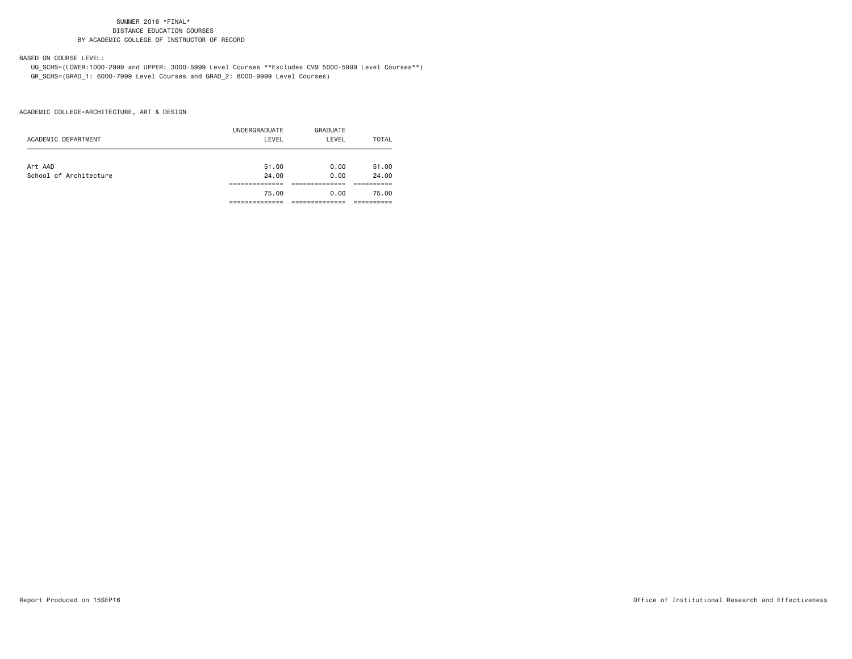BASED ON COURSE LEVEL:

 UG\_SCHS=(LOWER:1000-2999 and UPPER: 3000-5999 Level Courses \*\*Excludes CVM 5000-5999 Level Courses\*\*) GR\_SCHS=(GRAD\_1: 6000-7999 Level Courses and GRAD\_2: 8000-9999 Level Courses)

ACADEMIC COLLEGE=ARCHITECTURE, ART & DESIGN

|                        | UNDERGRADUATE | GRADUATE |       |
|------------------------|---------------|----------|-------|
| ACADEMIC DEPARTMENT    | LEVEL         | LEVEL    | TOTAL |
|                        |               |          |       |
| Art AAD                | 51.00         | 0.00     | 51.00 |
| School of Architecture | 24.00         | 0.00     | 24.00 |
|                        |               |          |       |
|                        | 75.00         | 0.00     | 75.00 |
|                        |               |          |       |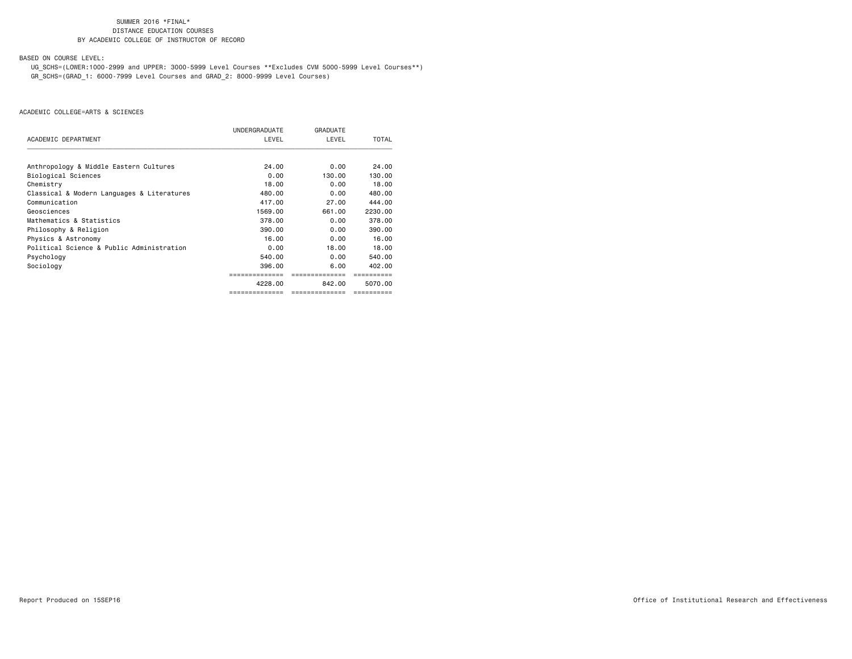BASED ON COURSE LEVEL:

 UG\_SCHS=(LOWER:1000-2999 and UPPER: 3000-5999 Level Courses \*\*Excludes CVM 5000-5999 Level Courses\*\*) GR\_SCHS=(GRAD\_1: 6000-7999 Level Courses and GRAD\_2: 8000-9999 Level Courses)

|                                            | UNDERGRADUATE | GRADUATE                                                                                                                                |              |
|--------------------------------------------|---------------|-----------------------------------------------------------------------------------------------------------------------------------------|--------------|
| ACADEMIC DEPARTMENT                        | LEVEL         | LEVEL<br>0.00<br>130.00<br>0.00<br>0.00<br>27.00<br>661.00<br>0.00<br>0.00<br>0.00<br>18,00<br>0.00<br>6.00<br>842.00<br>============== | <b>TOTAL</b> |
| Anthropology & Middle Eastern Cultures     | 24.00         |                                                                                                                                         | 24.00        |
| Biological Sciences                        | 0.00          |                                                                                                                                         | 130.00       |
| Chemistry                                  | 18.00         |                                                                                                                                         | 18,00        |
| Classical & Modern Languages & Literatures | 480.00        |                                                                                                                                         | 480.00       |
| Communication                              | 417.00        |                                                                                                                                         | 444.00       |
| Geosciences                                | 1569.00       |                                                                                                                                         | 2230.00      |
| Mathematics & Statistics                   | 378.00        |                                                                                                                                         | 378.00       |
| Philosophy & Religion                      | 390.00        |                                                                                                                                         | 390,00       |
| Physics & Astronomy                        | 16.00         |                                                                                                                                         | 16.00        |
| Political Science & Public Administration  | 0.00          |                                                                                                                                         | 18,00        |
| Psychology                                 | 540.00        |                                                                                                                                         | 540.00       |
| Sociology                                  | 396.00        |                                                                                                                                         | 402.00       |
|                                            |               |                                                                                                                                         |              |
|                                            | 4228.00       |                                                                                                                                         | 5070.00      |
|                                            |               |                                                                                                                                         |              |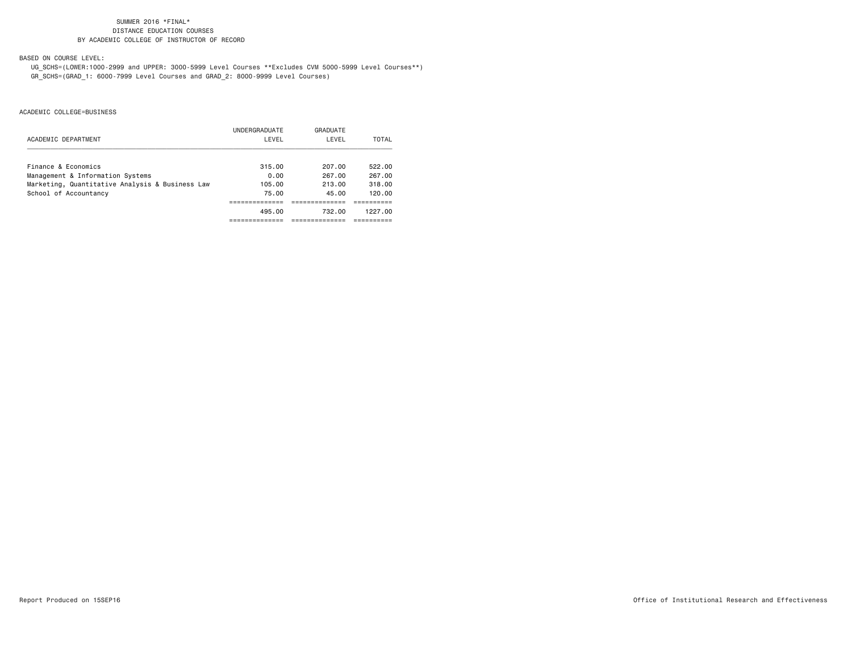BASED ON COURSE LEVEL:

 UG\_SCHS=(LOWER:1000-2999 and UPPER: 3000-5999 Level Courses \*\*Excludes CVM 5000-5999 Level Courses\*\*) GR\_SCHS=(GRAD\_1: 6000-7999 Level Courses and GRAD\_2: 8000-9999 Level Courses)

|                                                 | UNDERGRADUATE | GRADUATE |         |
|-------------------------------------------------|---------------|----------|---------|
| ACADEMIC DEPARTMENT                             | LEVEL         | LEVEL    | TOTAL   |
| Finance & Economics                             | 315.00        | 207.00   | 522.00  |
| Management & Information Systems                | 0.00          | 267.00   | 267.00  |
| Marketing, Quantitative Analysis & Business Law | 105.00        | 213.00   | 318.00  |
| School of Accountancy                           | 75.00         | 45.00    | 120.00  |
|                                                 |               |          |         |
|                                                 | 495.00        | 732.00   | 1227.00 |
|                                                 |               |          |         |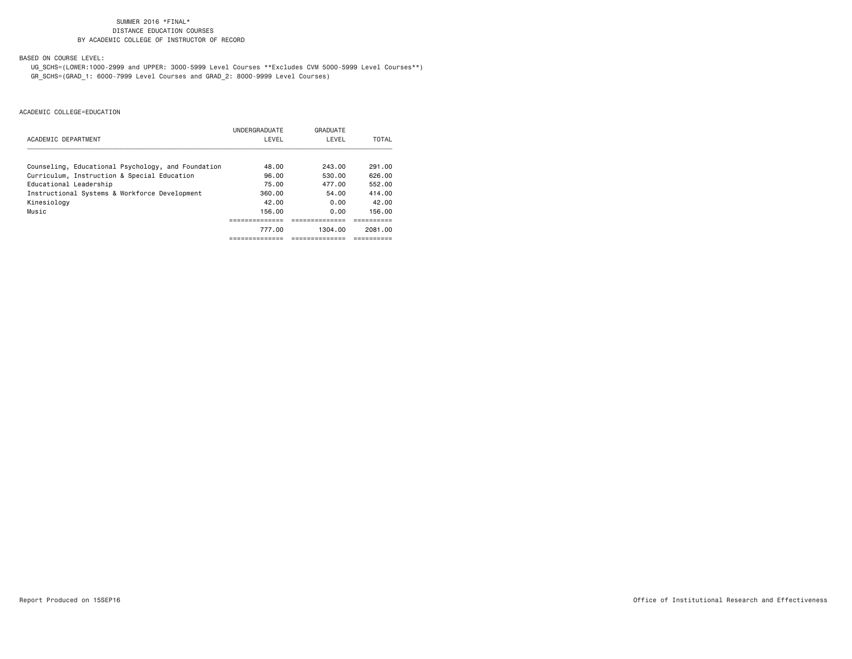BASED ON COURSE LEVEL:

 UG\_SCHS=(LOWER:1000-2999 and UPPER: 3000-5999 Level Courses \*\*Excludes CVM 5000-5999 Level Courses\*\*) GR\_SCHS=(GRAD\_1: 6000-7999 Level Courses and GRAD\_2: 8000-9999 Level Courses)

|                                                    | UNDERGRADUATE | GRADUATE |         |
|----------------------------------------------------|---------------|----------|---------|
| ACADEMIC DEPARTMENT                                | LEVEL         | LEVEL    | TOTAL   |
|                                                    |               |          |         |
| Counseling, Educational Psychology, and Foundation | 48.00         | 243.00   | 291.00  |
| Curriculum, Instruction & Special Education        | 96.00         | 530.00   | 626.00  |
| Educational Leadership                             | 75.00         | 477.00   | 552.00  |
| Instructional Systems & Workforce Development      | 360.00        | 54.00    | 414.00  |
| Kinesiology                                        | 42.00         | 0.00     | 42.00   |
| Music                                              | 156.00        | 0.00     | 156.00  |
|                                                    |               |          |         |
|                                                    | 777.00        | 1304.00  | 2081.00 |
|                                                    |               |          |         |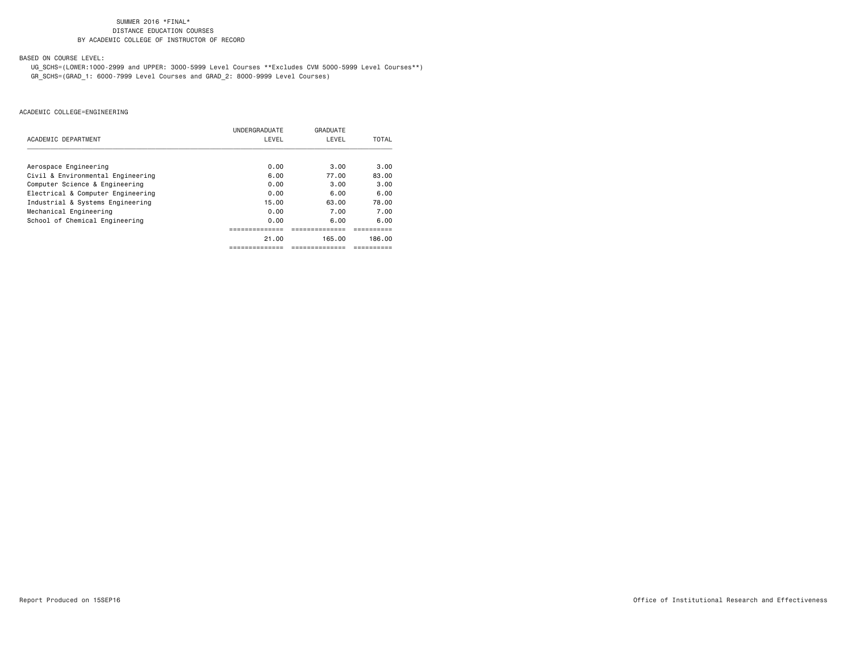BASED ON COURSE LEVEL:

 UG\_SCHS=(LOWER:1000-2999 and UPPER: 3000-5999 Level Courses \*\*Excludes CVM 5000-5999 Level Courses\*\*) GR\_SCHS=(GRAD\_1: 6000-7999 Level Courses and GRAD\_2: 8000-9999 Level Courses)

|                                   | UNDERGRADUATE | GRADUATE  |        |
|-----------------------------------|---------------|-----------|--------|
| ACADEMIC DEPARTMENT               | LEVEL         | LEVEL     | TOTAL  |
|                                   |               |           |        |
| Aerospace Engineering             | 0.00          | 3.00      | 3.00   |
| Civil & Environmental Engineering | 6.00          | 77.00     | 83.00  |
| Computer Science & Engineering    | 0.00          | 3.00      | 3.00   |
| Electrical & Computer Engineering | 0.00          | 6.00      | 6.00   |
| Industrial & Systems Engineering  | 15.00         | 63.00     | 78.00  |
| Mechanical Engineering            | 0.00          | 7.00      | 7.00   |
| School of Chemical Engineering    | 0.00          | 6.00      | 6.00   |
|                                   |               |           |        |
|                                   | 21.00         | 165.00    | 186.00 |
|                                   |               | --------- |        |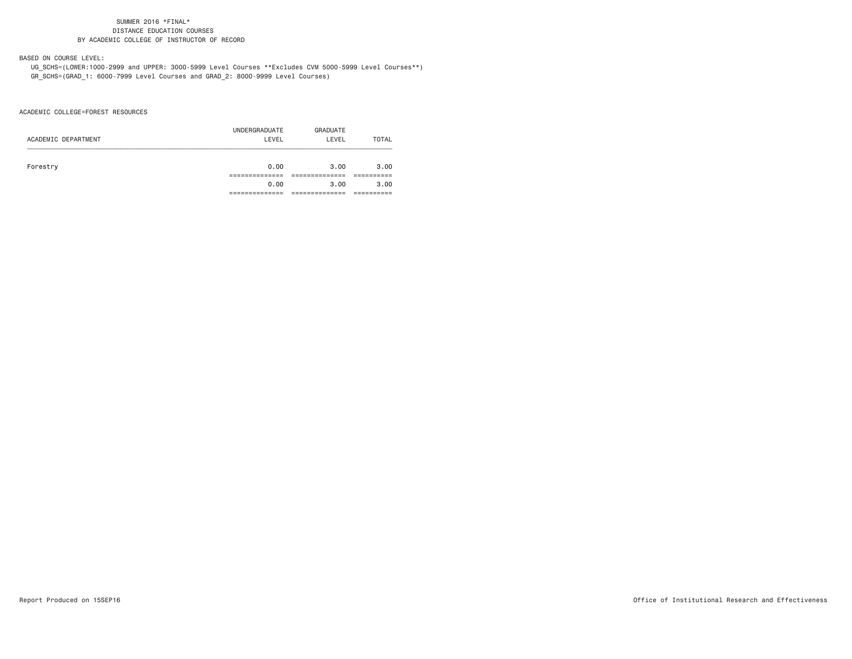BASED ON COURSE LEVEL:

 UG\_SCHS=(LOWER:1000-2999 and UPPER: 3000-5999 Level Courses \*\*Excludes CVM 5000-5999 Level Courses\*\*) GR\_SCHS=(GRAD\_1: 6000-7999 Level Courses and GRAD\_2: 8000-9999 Level Courses)

ACADEMIC COLLEGE=FOREST RESOURCES

| ACADEMIC DEPARTMENT | UNDERGRADUATE<br>LEVEL | GRADUATE<br>LEVEL | TOTAL |
|---------------------|------------------------|-------------------|-------|
| Forestry            | 0.00                   | 3.00              | 3.00  |
|                     |                        |                   |       |
|                     | 0.00                   | 3.00              | 3.00  |
|                     |                        |                   |       |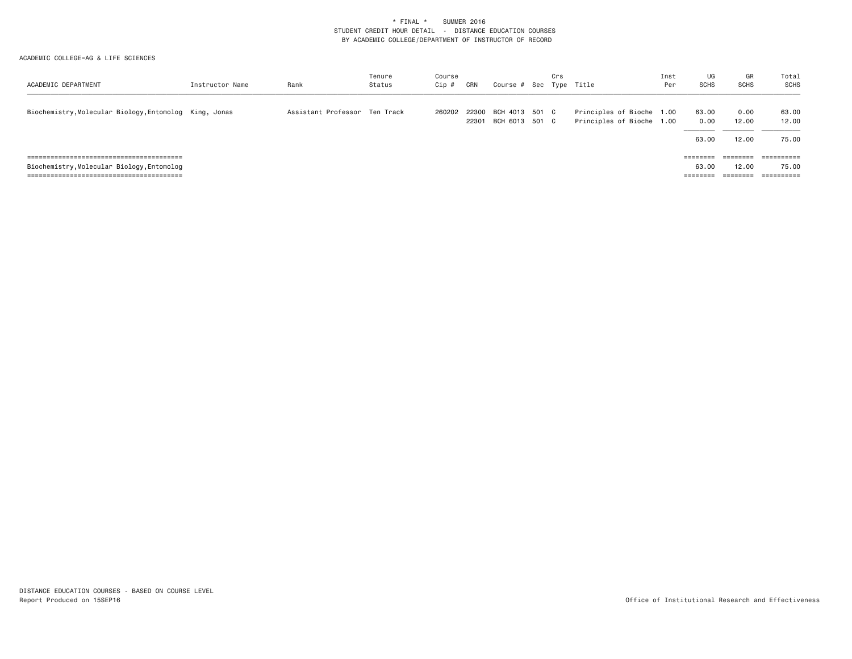| ACADEMIC DEPARTMENT                                    | Instructor Name | Rank                          | Tenure<br>Status | Course<br>Cip # | CRN            | Course # Sec Type Title          | Crs |                                                        | Inst<br>Per | UG<br><b>SCHS</b> | GR<br>SCHS    | Total<br><b>SCHS</b> |
|--------------------------------------------------------|-----------------|-------------------------------|------------------|-----------------|----------------|----------------------------------|-----|--------------------------------------------------------|-------------|-------------------|---------------|----------------------|
| Biochemistry, Molecular Biology, Entomolog King, Jonas |                 | Assistant Professor Ten Track |                  | 260202          | 22300<br>22301 | BCH 4013 501 C<br>BCH 6013 501 C |     | Principles of Bioche 1.00<br>Principles of Bioche 1.00 |             | 63.00<br>0.00     | 0.00<br>12.00 | 63.00<br>12.00       |
|                                                        |                 |                               |                  |                 |                |                                  |     |                                                        |             | 63.00             | 12.00         | 75.00                |
|                                                        |                 |                               |                  |                 |                |                                  |     |                                                        |             | $=$ = = = = = =   |               |                      |
| Biochemistry, Molecular Biology, Entomolog             |                 |                               |                  |                 |                |                                  |     |                                                        |             | 63.00             | 12.00         | 75.00                |
|                                                        |                 |                               |                  |                 |                |                                  |     |                                                        |             | ========          | ========      | ==========           |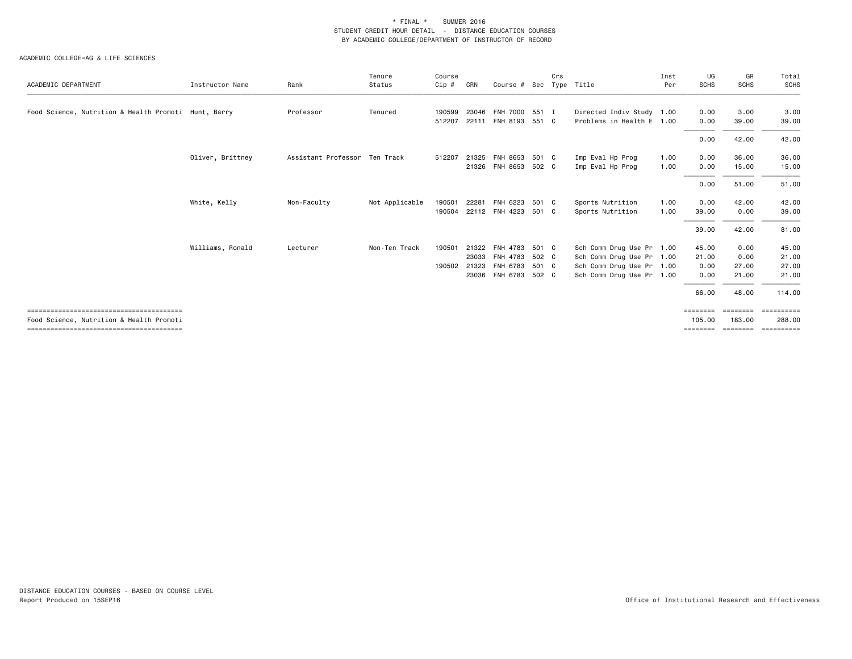| ACADEMIC DEPARTMENT                                  | Instructor Name  | Rank                          | Tenure<br>Status | Course<br>Cip # | CRN   | Course # Sec         |       | Crs | Type Title                | Inst<br>Per | UG<br><b>SCHS</b>  | GR<br><b>SCHS</b>        | Total<br>SCHS        |
|------------------------------------------------------|------------------|-------------------------------|------------------|-----------------|-------|----------------------|-------|-----|---------------------------|-------------|--------------------|--------------------------|----------------------|
|                                                      |                  |                               |                  |                 |       |                      |       |     |                           |             |                    |                          |                      |
| Food Science, Nutrition & Health Promoti Hunt, Barry |                  | Professor                     | Tenured          | 190599          | 23046 | FNH 7000 551 I       |       |     | Directed Indiv Study 1.00 |             | 0.00               | 3.00                     | 3.00                 |
|                                                      |                  |                               |                  | 512207          |       | 22111 FNH 8193 551 C |       |     | Problems in Health E 1.00 |             | 0.00               | 39.00                    | 39.00                |
|                                                      |                  |                               |                  |                 |       |                      |       |     |                           |             | 0.00               | 42.00                    | 42.00                |
|                                                      | Oliver, Brittney | Assistant Professor Ten Track |                  | 512207          | 21325 | FNH 8653 501 C       |       |     | Imp Eval Hp Prog          | 1.00        | 0.00               | 36.00                    | 36.00                |
|                                                      |                  |                               |                  |                 |       | 21326 FNH 8653 502 C |       |     | Imp Eval Hp Prog          | 1.00        | 0.00               | 15.00                    | 15.00                |
|                                                      |                  |                               |                  |                 |       |                      |       |     |                           |             | 0.00               | 51.00                    | 51.00                |
|                                                      | White, Kelly     | Non-Faculty                   | Not Applicable   | 190501          | 22281 | FNH 6223             | 501 C |     | Sports Nutrition          | 1.00        | 0.00               | 42.00                    | 42.00                |
|                                                      |                  |                               |                  | 190504          |       | 22112 FNH 4223 501 C |       |     | Sports Nutrition          | 1.00        | 39.00              | 0.00                     | 39.00                |
|                                                      |                  |                               |                  |                 |       |                      |       |     |                           |             | 39.00              | 42.00                    | 81.00                |
|                                                      | Williams, Ronald | Lecturer                      | Non-Ten Track    | 190501          |       | 21322 FNH 4783       | 501 C |     | Sch Comm Drug Use Pr 1.00 |             | 45.00              | 0.00                     | 45.00                |
|                                                      |                  |                               |                  |                 | 23033 | FNH 4783             | 502 C |     | Sch Comm Drug Use Pr      | 1.00        | 21.00              | 0.00                     | 21.00                |
|                                                      |                  |                               |                  | 190502          |       | 21323 FNH 6783 501 C |       |     | Sch Comm Drug Use Pr 1.00 |             | 0.00               | 27.00                    | 27.00                |
|                                                      |                  |                               |                  |                 |       | 23036 FNH 6783 502 C |       |     | Sch Comm Drug Use Pr 1.00 |             | 0.00               | 21.00                    | 21.00                |
|                                                      |                  |                               |                  |                 |       |                      |       |     |                           |             | 66.00              | 48.00                    | 114.00               |
| Food Science, Nutrition & Health Promoti             |                  |                               |                  |                 |       |                      |       |     |                           |             | ========<br>105.00 | <b>EEEEEEE</b><br>183.00 | ==========<br>288.00 |
|                                                      |                  |                               |                  |                 |       |                      |       |     |                           |             | ========           | ========                 | ==========           |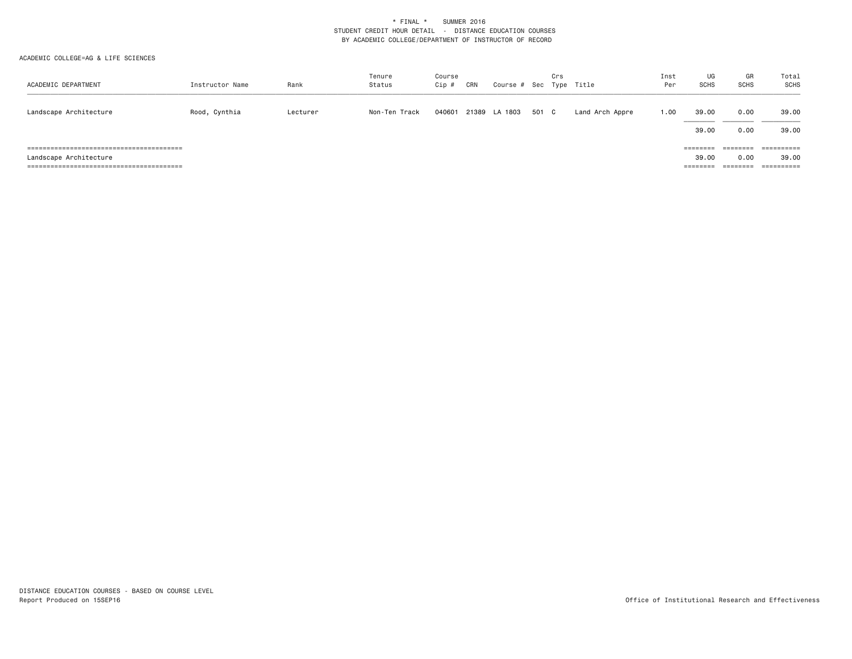| ACADEMIC DEPARTMENT    | Instructor Name | Rank     | Tenure<br>Status | Course<br>Cip # | CRN | Course # Sec Type Title |       | Crs |                 | Inst<br>Per | UG<br><b>SCHS</b>             | GR<br><b>SCHS</b>            | Total<br>SCHS                  |
|------------------------|-----------------|----------|------------------|-----------------|-----|-------------------------|-------|-----|-----------------|-------------|-------------------------------|------------------------------|--------------------------------|
| Landscape Architecture | Rood, Cynthia   | Lecturer | Non-Ten Track    | 040601          |     | 21389 LA 1803           | 501 C |     | Land Arch Appre | 1.00        | 39.00<br>39.00                | 0.00<br>0.00                 | 39.00<br>39.00                 |
| Landscape Architecture |                 |          |                  |                 |     |                         |       |     |                 |             | ========<br>39.00<br>======== | ========<br>0.00<br>======== | $=$ = = = = = = = = =<br>39.00 |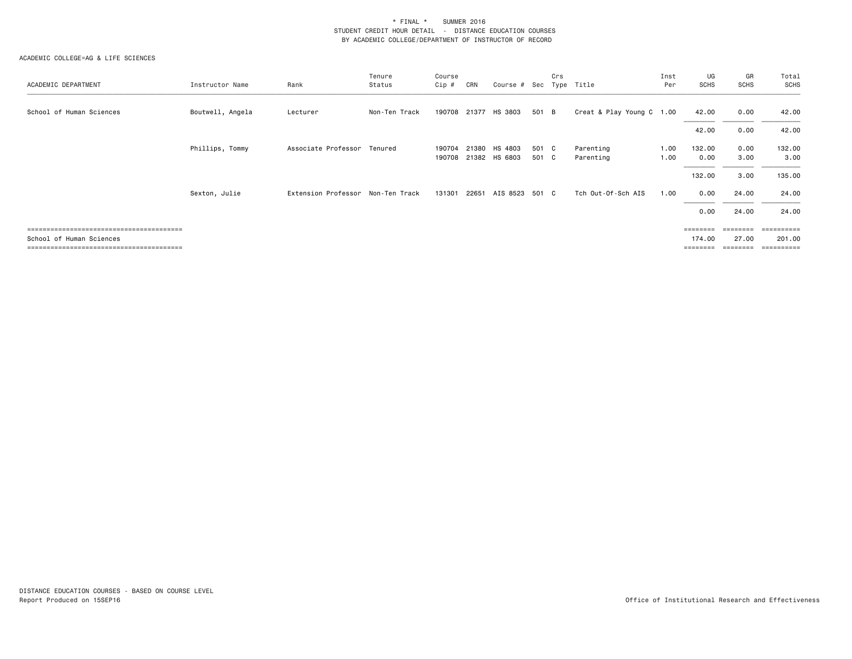| ACADEMIC DEPARTMENT      | Instructor Name  | Rank                        | Tenure<br>Status | Course<br>Cip #  | CRN   | Course # Sec             |                | Crs | Type Title                | Inst<br>Per  | UG<br><b>SCHS</b>  | GR<br><b>SCHS</b> | Total<br>SCHS         |
|--------------------------|------------------|-----------------------------|------------------|------------------|-------|--------------------------|----------------|-----|---------------------------|--------------|--------------------|-------------------|-----------------------|
| School of Human Sciences | Boutwell, Angela | Lecturer                    | Non-Ten Track    |                  |       | 190708 21377 HS 3803     | 501 B          |     | Creat & Play Young C 1.00 |              | 42.00              | 0.00              | 42.00                 |
|                          |                  |                             |                  |                  |       |                          |                |     |                           |              | 42.00              | 0.00              | 42.00                 |
|                          | Phillips, Tommy  | Associate Professor Tenured |                  | 190704<br>190708 | 21380 | HS 4803<br>21382 HS 6803 | 501 C<br>501 C |     | Parenting<br>Parenting    | 1.00<br>1.00 | 132.00<br>0.00     | 0.00<br>3.00      | 132.00<br>3.00        |
|                          |                  |                             |                  |                  |       |                          |                |     |                           |              | 132.00             | 3.00              | 135.00                |
|                          | Sexton, Julie    | Extension Professor         | Non-Ten Track    | 131301           | 22651 | AIS 8523 501 C           |                |     | Tch Out-Of-Sch AIS        | 1.00         | 0.00               | 24.00             | 24.00                 |
|                          |                  |                             |                  |                  |       |                          |                |     |                           |              | 0.00               | 24.00             | 24.00                 |
|                          |                  |                             |                  |                  |       |                          |                |     |                           |              | $=$ = = = = = = =  | $=$ = = = = = = = | ==========            |
| School of Human Sciences |                  |                             |                  |                  |       |                          |                |     |                           |              | 174.00<br>======== | 27.00<br>-------- | 201.00<br>----------- |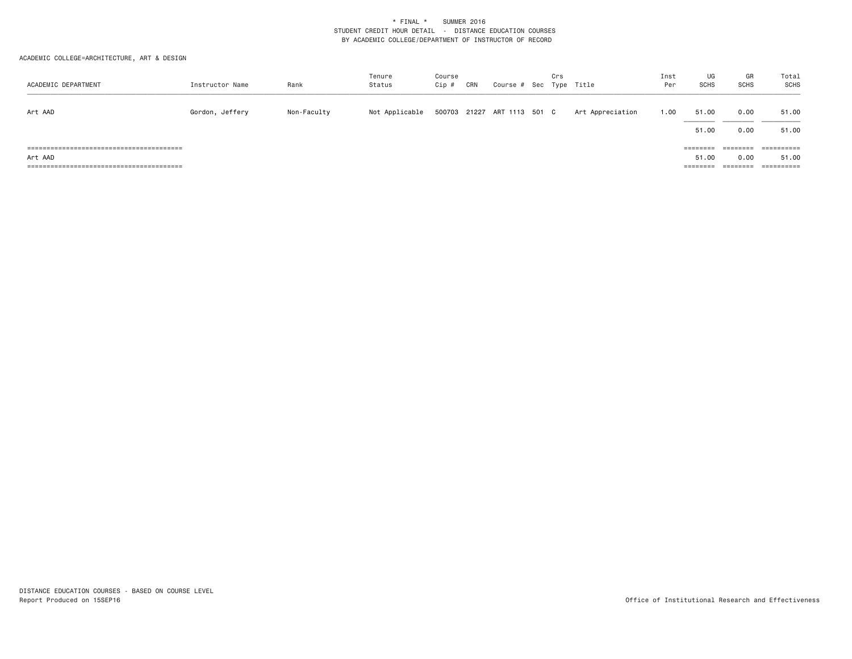ACADEMIC COLLEGE=ARCHITECTURE, ART & DESIGN

| ACADEMIC DEPARTMENT | Instructor Name | Rank        | Tenure<br>Status | Course<br>$Cip$ # | CRN | Course # Sec Type Title     | Crs |                  | Inst<br>Per | UG<br><b>SCHS</b> | GR<br>SCHS | Total<br>SCHS |
|---------------------|-----------------|-------------|------------------|-------------------|-----|-----------------------------|-----|------------------|-------------|-------------------|------------|---------------|
| Art AAD             | Gordon, Jeffery | Non-Faculty | Not Applicable   |                   |     | 500703 21227 ART 1113 501 C |     | Art Appreciation | 1.00        | 51.00             | 0.00       | 51.00         |
|                     |                 |             |                  |                   |     |                             |     |                  |             | 51.00             | 0.00       | 51.00         |
|                     |                 |             |                  |                   |     |                             |     |                  |             | ========          | ========   | ==========    |
| Art AAD             |                 |             |                  |                   |     |                             |     |                  |             | 51.00             | 0.00       | 51.00         |
|                     |                 |             |                  |                   |     |                             |     |                  |             | $=$ = = = = = = = | ========   | =======       |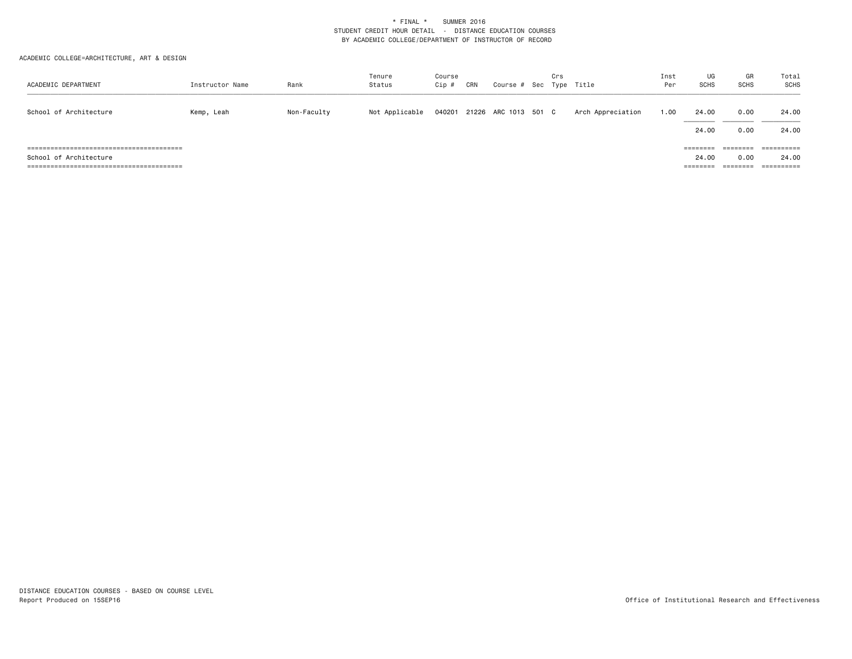ACADEMIC COLLEGE=ARCHITECTURE, ART & DESIGN

| ACADEMIC DEPARTMENT    | Instructor Name | Rank        | Tenure<br>Status | Course<br>Cip # | CRN | Course # Sec Type Title | Crs |                   | Inst<br>Per | UG<br><b>SCHS</b>             | GR<br><b>SCHS</b>            | Total<br><b>SCHS</b> |
|------------------------|-----------------|-------------|------------------|-----------------|-----|-------------------------|-----|-------------------|-------------|-------------------------------|------------------------------|----------------------|
| School of Architecture | Kemp, Leah      | Non-Faculty | Not Applicable   | 040201          |     | 21226 ARC 1013 501 C    |     | Arch Appreciation | 1.00        | 24.00<br>24.00                | 0.00<br>0.00                 | 24.00<br>24.00       |
| School of Architecture |                 |             |                  |                 |     |                         |     |                   |             | ========<br>24.00<br>======== | ========<br>0.00<br>======== | 24.00                |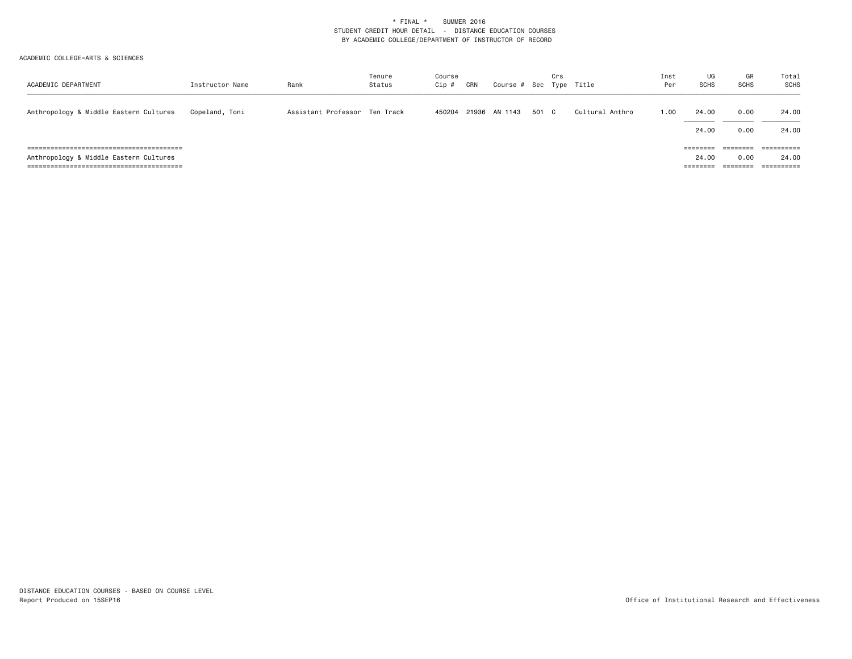| ACADEMIC DEPARTMENT                    | Instructor Name | Rank                          | Tenure<br>Status | Course<br>Cip # | CRN | Course # Sec Type Title |       | Crs |                 | Inst<br>Per | UG<br><b>SCHS</b> | GR<br><b>SCHS</b>            | Total<br>SCHS                  |
|----------------------------------------|-----------------|-------------------------------|------------------|-----------------|-----|-------------------------|-------|-----|-----------------|-------------|-------------------|------------------------------|--------------------------------|
| Anthropology & Middle Eastern Cultures | Copeland, Toni  | Assistant Professor Ten Track |                  |                 |     | 450204 21936 AN 1143    | 501 C |     | Cultural Anthro | 1.00        | 24.00<br>24.00    | 0.00<br>0.00                 | 24.00<br>24.00                 |
| Anthropology & Middle Eastern Cultures |                 |                               |                  |                 |     |                         |       |     |                 |             | ========<br>24.00 | ========<br>0.00<br>======== | $=$ = = = = = = = = =<br>24.00 |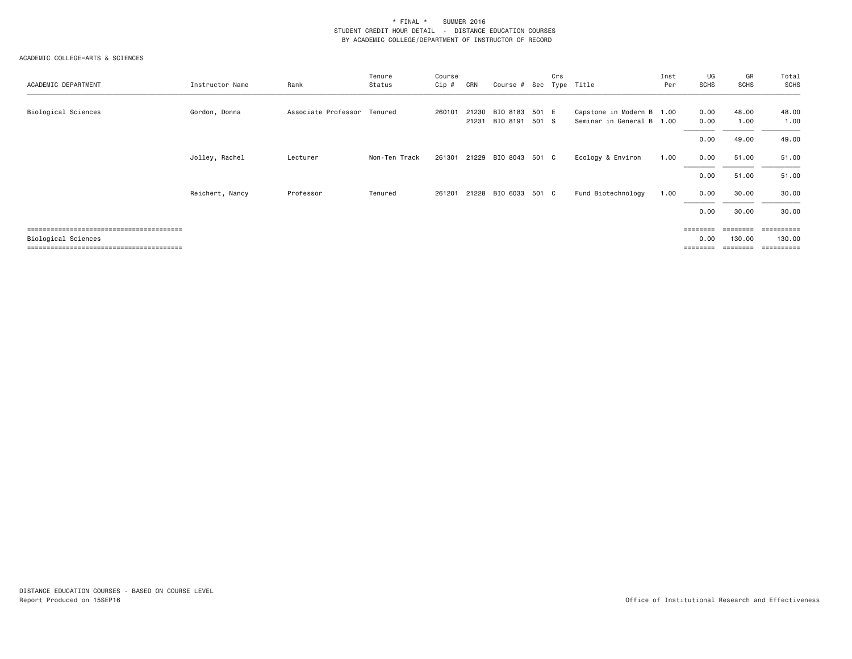| ACADEMIC DEPARTMENT | Instructor Name | Rank                        | Tenure<br>Status | Course<br>Cip # | CRN            | Course # Sec         |                | Crs | Type Title                                        | Inst<br>Per | UG<br><b>SCHS</b> | GR<br>SCHS         | Total<br>SCHS         |
|---------------------|-----------------|-----------------------------|------------------|-----------------|----------------|----------------------|----------------|-----|---------------------------------------------------|-------------|-------------------|--------------------|-----------------------|
| Biological Sciences | Gordon, Donna   | Associate Professor Tenured |                  | 260101          | 21230<br>21231 | BIO 8183<br>BIO 8191 | 501 E<br>501 S |     | Capstone in Modern B 1.00<br>Seminar in General B | 1.00        | 0.00<br>0.00      | 48.00<br>1.00      | 48.00<br>1.00         |
|                     |                 |                             |                  |                 |                |                      |                |     |                                                   |             | 0.00              | 49.00              | 49.00                 |
|                     | Jolley, Rachel  | Lecturer                    | Non-Ten Track    | 261301          | 21229          | BIO 8043 501 C       |                |     | Ecology & Environ                                 | 1.00        | 0.00              | 51.00              | 51.00                 |
|                     |                 |                             |                  |                 |                |                      |                |     |                                                   |             | 0.00              | 51.00              | 51.00                 |
|                     | Reichert, Nancy | Professor                   | Tenured          | 261201          |                | 21228 BIO 6033 501 C |                |     | Fund Biotechnology                                | 1.00        | 0.00              | 30.00              | 30.00                 |
|                     |                 |                             |                  |                 |                |                      |                |     |                                                   |             | 0.00              | 30.00              | 30.00                 |
|                     |                 |                             |                  |                 |                |                      |                |     |                                                   |             | <b>EBBEBBE</b>    |                    | $=$ = = = = = = = = = |
| Biological Sciences |                 |                             |                  |                 |                |                      |                |     |                                                   |             | 0.00              | 130.00<br>======== | 130.00<br>==========  |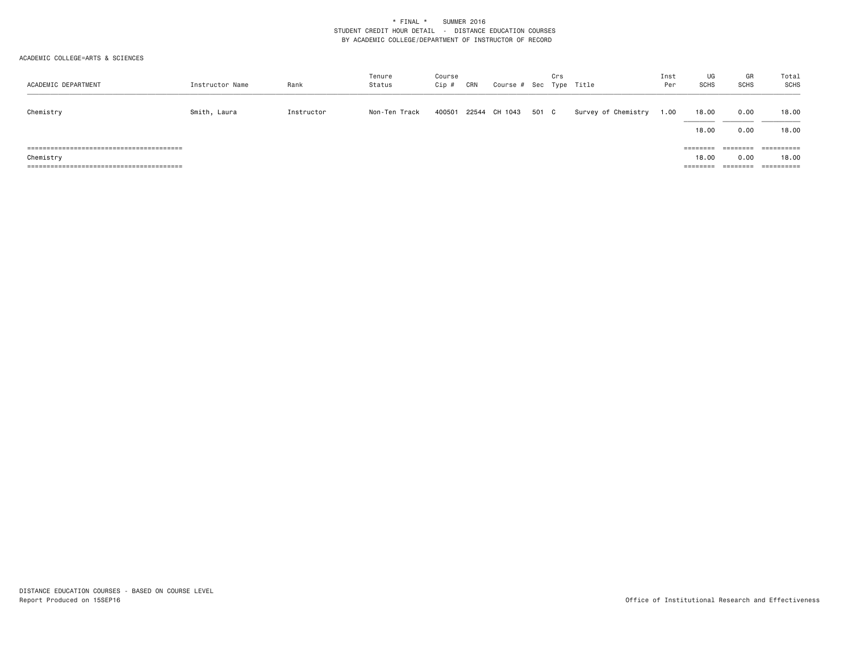| ACADEMIC DEPARTMENT | Instructor Name | Rank       | Tenure<br>Status | Course<br>Cip # | CRN | Course # Sec Type Title |       | Crs |                     | Inst<br>Per | UG<br><b>SCHS</b>             | GR<br><b>SCHS</b>                        | Total<br>SCHS                                |
|---------------------|-----------------|------------|------------------|-----------------|-----|-------------------------|-------|-----|---------------------|-------------|-------------------------------|------------------------------------------|----------------------------------------------|
| Chemistry           | Smith, Laura    | Instructor | Non-Ten Track    | 400501          |     | 22544 CH 1043           | 501 C |     | Survey of Chemistry | 1.00        | 18.00<br>18.00                | 0.00<br>0.00                             | 18.00<br>18.00                               |
| Chemistry           |                 |            |                  |                 |     |                         |       |     |                     |             | ========<br>18.00<br>======== | ========<br>0.00<br>--------<br>-------- | $=$ = = = = = = = = =<br>18.00<br>========== |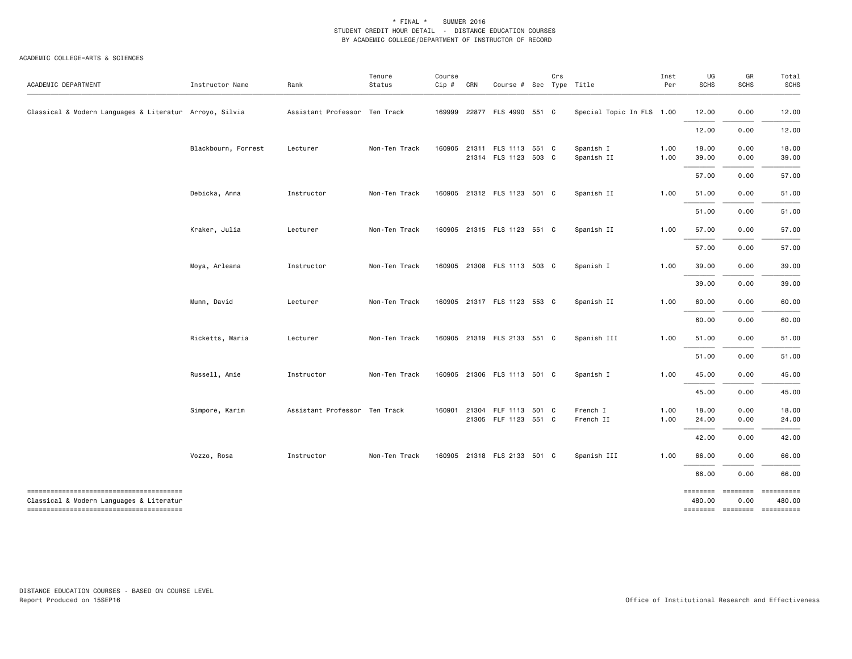#### ACADEMIC COLLEGE=ARTS & SCIENCES

| ACADEMIC DEPARTMENT                                     | Instructor Name     | Rank                          | Tenure<br>Status | Course<br>Cip # | CRN | Course # Sec Type Title                      | Crs |                           | Inst<br>Per  | UG<br><b>SCHS</b> | GR<br><b>SCHS</b> | Total<br><b>SCHS</b>                                                       |
|---------------------------------------------------------|---------------------|-------------------------------|------------------|-----------------|-----|----------------------------------------------|-----|---------------------------|--------------|-------------------|-------------------|----------------------------------------------------------------------------|
| Classical & Modern Languages & Literatur Arroyo, Silvia |                     | Assistant Professor Ten Track |                  | 169999          |     | 22877 FLS 4990 551 C                         |     | Special Topic In FLS 1.00 |              | 12.00             | 0.00              | 12.00                                                                      |
|                                                         |                     |                               |                  |                 |     |                                              |     |                           |              | 12.00             | 0.00              | 12.00                                                                      |
|                                                         | Blackbourn, Forrest | Lecturer                      | Non-Ten Track    | 160905          |     | 21311 FLS 1113 551 C<br>21314 FLS 1123 503 C |     | Spanish I<br>Spanish II   | 1.00<br>1.00 | 18.00<br>39.00    | 0.00<br>0.00      | 18.00<br>39.00                                                             |
|                                                         |                     |                               |                  |                 |     |                                              |     |                           |              | 57.00             | 0.00              | 57.00                                                                      |
|                                                         | Debicka, Anna       | Instructor                    | Non-Ten Track    | 160905          |     | 21312 FLS 1123 501 C                         |     | Spanish II                | 1.00         | 51.00             | 0.00              | 51.00                                                                      |
|                                                         |                     |                               |                  |                 |     |                                              |     |                           |              | 51.00             | 0.00              | 51.00                                                                      |
|                                                         | Kraker, Julia       | Lecturer                      | Non-Ten Track    | 160905          |     | 21315 FLS 1123 551 C                         |     | Spanish II                | 1.00         | 57.00             | 0.00              | 57.00                                                                      |
|                                                         |                     |                               |                  |                 |     |                                              |     |                           |              | 57.00             | 0.00              | 57.00                                                                      |
|                                                         | Moya, Arleana       | Instructor                    | Non-Ten Track    |                 |     | 160905 21308 FLS 1113 503 C                  |     | Spanish I                 | 1.00         | 39.00             | 0.00              | 39.00                                                                      |
|                                                         |                     |                               |                  |                 |     |                                              |     |                           |              | 39.00             | 0.00              | 39.00                                                                      |
|                                                         | Munn, David         | Lecturer                      | Non-Ten Track    |                 |     | 160905 21317 FLS 1123 553 C                  |     | Spanish II                | 1.00         | 60.00             | 0.00              | 60.00                                                                      |
|                                                         |                     |                               |                  |                 |     |                                              |     |                           |              | 60.00             | 0.00              | 60.00                                                                      |
|                                                         | Ricketts, Maria     | Lecturer                      | Non-Ten Track    |                 |     | 160905 21319 FLS 2133 551 C                  |     | Spanish III               | 1.00         | 51.00             | 0.00              | 51.00                                                                      |
|                                                         |                     |                               |                  |                 |     |                                              |     |                           |              | 51.00             | 0.00              | 51.00                                                                      |
|                                                         | Russell, Amie       | Instructor                    | Non-Ten Track    |                 |     | 160905 21306 FLS 1113 501 C                  |     | Spanish I                 | 1.00         | 45.00             | 0.00              | 45.00                                                                      |
|                                                         |                     |                               |                  |                 |     |                                              |     |                           |              | 45.00             | 0.00              | 45.00                                                                      |
|                                                         | Simpore, Karim      | Assistant Professor Ten Track |                  | 160901          |     | 21304 FLF 1113 501 C<br>21305 FLF 1123 551 C |     | French I<br>French II     | 1.00<br>1.00 | 18.00<br>24.00    | 0.00<br>0.00      | 18.00<br>24.00                                                             |
|                                                         |                     |                               |                  |                 |     |                                              |     |                           |              | 42.00             | 0.00              | 42.00                                                                      |
|                                                         | Vozzo, Rosa         | Instructor                    | Non-Ten Track    |                 |     | 160905 21318 FLS 2133 501 C                  |     | Spanish III               | 1.00         | 66.00             | 0.00              | 66.00                                                                      |
|                                                         |                     |                               |                  |                 |     |                                              |     |                           |              | 66.00             | 0.00              | 66.00                                                                      |
| Classical & Modern Languages & Literatur                |                     |                               |                  |                 |     |                                              |     |                           |              | 480.00            | 0.00              | ===============================<br>480.00<br>============================= |

DISTANCE EDUCATION COURSES - BASED ON COURSE LEVEL Report Produced on 15SEP16 Office of Institutional Research and Effectiveness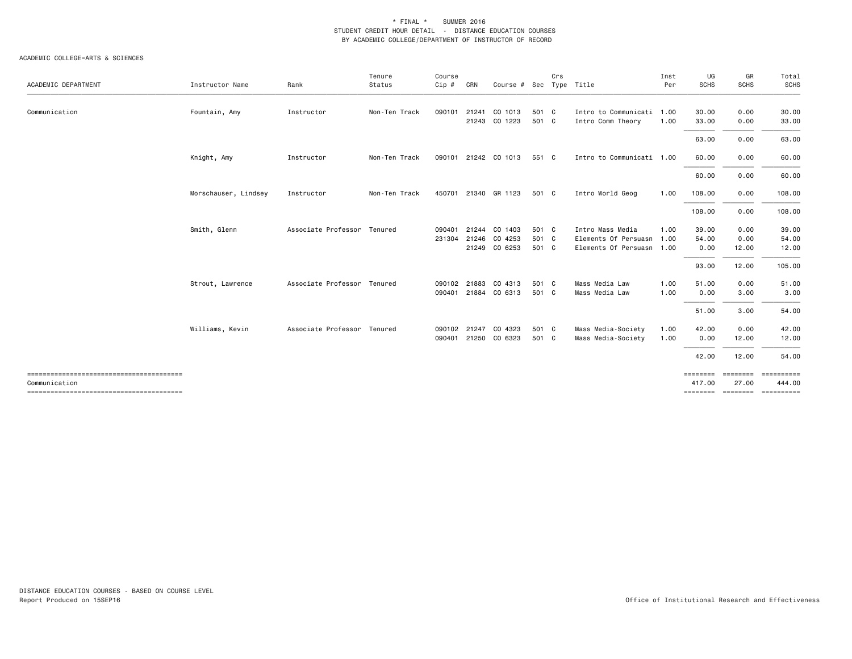| ACADEMIC DEPARTMENT                    | Instructor Name      | Rank                        | Tenure<br>Status | Course<br>Cip # | CRN   | Course # Sec Type Title |       | Crs |                           | Inst<br>Per | UG<br><b>SCHS</b> | GR<br><b>SCHS</b> | Total<br>SCHS                            |
|----------------------------------------|----------------------|-----------------------------|------------------|-----------------|-------|-------------------------|-------|-----|---------------------------|-------------|-------------------|-------------------|------------------------------------------|
|                                        |                      |                             |                  |                 |       |                         |       |     |                           |             |                   |                   |                                          |
| Communication                          | Fountain, Amy        | Instructor                  | Non-Ten Track    | 090101          | 21241 | CO 1013                 | 501 C |     | Intro to Communicati 1.00 |             | 30.00             | 0.00              | 30.00                                    |
|                                        |                      |                             |                  |                 |       | 21243 CO 1223           | 501 C |     | Intro Comm Theory         | 1.00        | 33.00             | 0.00              | 33.00                                    |
|                                        |                      |                             |                  |                 |       |                         |       |     |                           |             | 63.00             | 0.00              | 63.00                                    |
|                                        | Knight, Amy          | Instructor                  | Non-Ten Track    |                 |       | 090101 21242 CO 1013    | 551 C |     | Intro to Communicati 1.00 |             | 60.00             | 0.00              | 60.00                                    |
|                                        |                      |                             |                  |                 |       |                         |       |     |                           |             | 60.00             | 0.00              | 60.00                                    |
|                                        | Morschauser, Lindsey | Instructor                  | Non-Ten Track    |                 |       | 450701 21340 GR 1123    | 501 C |     | Intro World Geog          | 1.00        | 108.00            | 0.00              | 108.00                                   |
|                                        |                      |                             |                  |                 |       |                         |       |     |                           |             | 108.00            | 0.00              | 108.00                                   |
|                                        | Smith, Glenn         | Associate Professor Tenured |                  | 090401          |       | 21244 CO 1403           | 501 C |     | Intro Mass Media          | 1.00        | 39.00             | 0.00              | 39.00                                    |
|                                        |                      |                             |                  | 231304          |       | 21246 CO 4253           | 501 C |     | Elements Of Persuasn 1.00 |             | 54.00             | 0.00              | 54.00                                    |
|                                        |                      |                             |                  |                 |       | 21249 CO 6253           | 501 C |     | Elements Of Persuasn 1.00 |             | 0.00              | 12.00             | 12.00                                    |
|                                        |                      |                             |                  |                 |       |                         |       |     |                           |             | 93.00             | 12.00             | 105.00                                   |
|                                        | Strout, Lawrence     | Associate Professor Tenured |                  | 090102          | 21883 | CO 4313                 | 501 C |     | Mass Media Law            | 1.00        | 51.00             | 0.00              | 51.00                                    |
|                                        |                      |                             |                  | 090401          |       | 21884 CO 6313           | 501 C |     | Mass Media Law            | 1.00        | 0.00              | 3.00              | 3.00                                     |
|                                        |                      |                             |                  |                 |       |                         |       |     |                           |             | 51.00             | 3.00              | 54.00                                    |
|                                        | Williams, Kevin      | Associate Professor Tenured |                  | 090102          | 21247 | CO 4323                 | 501 C |     | Mass Media-Society        | 1.00        | 42.00             | 0.00              | 42.00                                    |
|                                        |                      |                             |                  | 090401          |       | 21250 CO 6323           | 501 C |     | Mass Media-Society        | 1.00        | 0.00              | 12.00             | 12.00                                    |
|                                        |                      |                             |                  |                 |       |                         |       |     |                           |             | 42.00             | 12.00             | 54.00                                    |
| -------------------------------------- |                      |                             |                  |                 |       |                         |       |     |                           |             | ---------         |                   | --------- ----------                     |
| Communication                          |                      |                             |                  |                 |       |                         |       |     |                           |             | 417.00            | 27.00             | 444.00<br>============================== |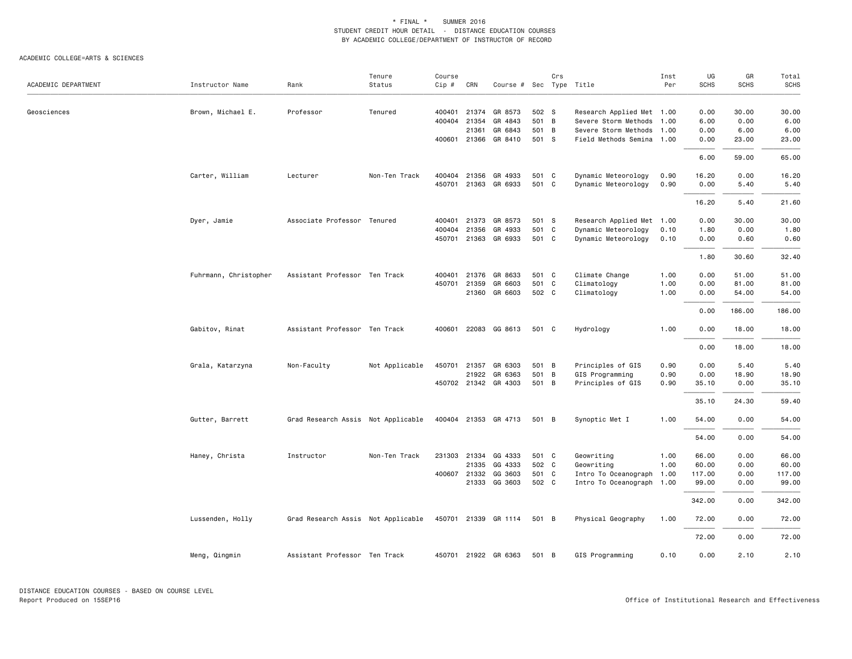| ACADEMIC DEPARTMENT | Instructor Name       | Rank                               | Tenure<br>Status | Course<br>Cip # | CRN          | Course # Sec Type Title |       | Crs |                           | Inst<br>Per | UG<br><b>SCHS</b> | GR<br><b>SCHS</b> | Total<br><b>SCHS</b> |
|---------------------|-----------------------|------------------------------------|------------------|-----------------|--------------|-------------------------|-------|-----|---------------------------|-------------|-------------------|-------------------|----------------------|
| Geosciences         | Brown, Michael E.     | Professor                          | Tenured          | 400401          | 21374        | GR 8573                 | 502 S |     | Research Applied Met 1.00 |             | 0.00              | 30.00             | 30.00                |
|                     |                       |                                    |                  | 400404          | 21354        | GR 4843                 | 501 B |     | Severe Storm Methods 1.00 |             | 6.00              | 0.00              | 6.00                 |
|                     |                       |                                    |                  |                 | 21361        | GR 6843                 | 501 B |     | Severe Storm Methods 1.00 |             | 0.00              | 6.00              | 6.00                 |
|                     |                       |                                    |                  |                 | 400601 21366 | GR 8410                 | 501 S |     | Field Methods Semina 1.00 |             | 0.00              | 23.00             | 23.00                |
|                     |                       |                                    |                  |                 |              |                         |       |     |                           |             | 6.00              | 59.00             | 65.00                |
|                     | Carter, William       | Lecturer                           | Non-Ten Track    | 400404          |              | 21356 GR 4933           | 501 C |     | Dynamic Meteorology       | 0.90        | 16.20             | 0.00              | 16.20                |
|                     |                       |                                    |                  | 450701          |              | 21363 GR 6933           | 501 C |     | Dynamic Meteorology       | 0.90        | 0.00              | 5.40              | 5.40                 |
|                     |                       |                                    |                  |                 |              |                         |       |     |                           |             | 16.20             | 5.40              | 21.60                |
|                     | Dyer, Jamie           | Associate Professor Tenured        |                  | 400401          | 21373        | GR 8573                 | 501 S |     | Research Applied Met 1.00 |             | 0.00              | 30.00             | 30.00                |
|                     |                       |                                    |                  | 400404          | 21356        | GR 4933                 | 501 C |     | Dynamic Meteorology       | 0.10        | 1.80              | 0.00              | 1.80                 |
|                     |                       |                                    |                  | 450701          |              | 21363 GR 6933           | 501 C |     | Dynamic Meteorology       | 0.10        | 0.00              | 0.60              | 0.60                 |
|                     |                       |                                    |                  |                 |              |                         |       |     |                           |             | 1.80              | 30.60             | 32.40                |
|                     | Fuhrmann, Christopher | Assistant Professor Ten Track      |                  | 400401          | 21376        | GR 8633                 | 501 C |     | Climate Change            | 1.00        | 0.00              | 51.00             | 51.00                |
|                     |                       |                                    |                  | 450701          | 21359        | GR 6603                 | 501 C |     | Climatology               | 1.00        | 0.00              | 81.00             | 81.00                |
|                     |                       |                                    |                  |                 | 21360        | GR 6603                 | 502 C |     | Climatology               | 1.00        | 0.00              | 54.00             | 54.00                |
|                     |                       |                                    |                  |                 |              |                         |       |     |                           |             | 0.00              | 186.00            | 186.00               |
|                     | Gabitov, Rinat        | Assistant Professor Ten Track      |                  | 400601          |              | 22083 GG 8613           | 501 C |     | Hydrology                 | 1.00        | 0.00              | 18.00             | 18.00                |
|                     |                       |                                    |                  |                 |              |                         |       |     |                           |             | 0.00              | 18.00             | 18.00                |
|                     | Grala, Katarzyna      | Non-Faculty                        | Not Applicable   | 450701          | 21357        | GR 6303                 | 501 B |     | Principles of GIS         | 0.90        | 0.00              | 5.40              | 5.40                 |
|                     |                       |                                    |                  |                 |              | 21922 GR 6363           | 501 B |     | GIS Programming           | 0.90        | 0.00              | 18.90             | 18.90                |
|                     |                       |                                    |                  |                 |              | 450702 21342 GR 4303    | 501 B |     | Principles of GIS         | 0.90        | 35.10             | 0.00              | 35.10                |
|                     |                       |                                    |                  |                 |              |                         |       |     |                           |             | 35.10             | 24.30             | 59.40                |
|                     | Gutter, Barrett       | Grad Research Assis Not Applicable |                  |                 |              | 400404 21353 GR 4713    | 501 B |     | Synoptic Met I            | 1.00        | 54.00             | 0.00              | 54.00                |
|                     |                       |                                    |                  |                 |              |                         |       |     |                           |             | 54.00             | 0.00              | 54.00                |
|                     | Haney, Christa        | Instructor                         | Non-Ten Track    | 231303          | 21334        | GG 4333                 | 501 C |     | Geowriting                | 1.00        | 66.00             | 0.00              | 66.00                |
|                     |                       |                                    |                  |                 | 21335        | GG 4333                 | 502 C |     | Geowriting                | 1.00        | 60.00             | 0.00              | 60.00                |
|                     |                       |                                    |                  | 400607          |              | 21332 GG 3603           | 501 C |     | Intro To Oceanograph 1.00 |             | 117.00            | 0.00              | 117.00               |
|                     |                       |                                    |                  |                 |              | 21333 GG 3603           | 502 C |     | Intro To Oceanograph 1.00 |             | 99.00             | 0.00              | 99.00                |
|                     |                       |                                    |                  |                 |              |                         |       |     |                           |             | 342.00            | 0.00              | 342.00               |
|                     | Lussenden, Holly      | Grad Research Assis Not Applicable |                  | 450701          |              | 21339 GR 1114           | 501 B |     | Physical Geography        | 1.00        | 72.00             | 0.00              | 72.00                |
|                     |                       |                                    |                  |                 |              |                         |       |     |                           |             | 72.00             | 0.00              | 72.00                |
|                     | Meng, Qingmin         | Assistant Professor Ten Track      |                  |                 |              | 450701 21922 GR 6363    | 501 B |     | GIS Programming           | 0.10        | 0.00              | 2.10              | 2.10                 |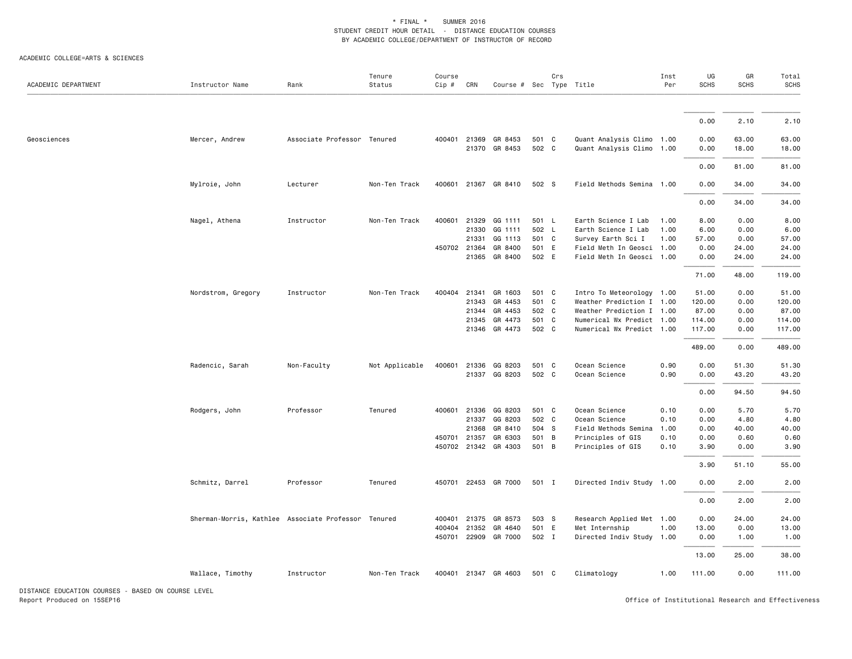ACADEMIC COLLEGE=ARTS & SCIENCES

| 0.00<br>2.10<br>2.10<br>400401 21369 GR 8453<br>501 C<br>Quant Analysis Climo 1.00<br>63.00<br>Geosciences<br>Mercer, Andrew<br>Associate Professor Tenured<br>0.00<br>63.00<br>21370 GR 8453<br>502 C<br>Quant Analysis Climo 1.00<br>0.00<br>18.00<br>18.00<br>0.00<br>81.00<br>81.00<br>400601<br>21367 GR 8410<br>502 S<br>Field Methods Semina 1.00<br>0.00<br>34.00<br>34.00<br>Mylroie, John<br>Lecturer<br>Non-Ten Track<br>0.00<br>34.00<br>34.00<br>Nagel, Athena<br>Instructor<br>Non-Ten Track<br>400601<br>21329<br>GG 1111<br>501 L<br>Earth Science I Lab<br>1.00<br>8.00<br>0.00<br>8.00<br>21330 GG 1111<br>502 L<br>Earth Science I Lab<br>1.00<br>6.00<br>0.00<br>6.00<br>57.00<br>21331<br>GG 1113<br>501 C<br>Survey Earth Sci I<br>1.00<br>57.00<br>0.00<br>450702<br>21364<br>GR 8400<br>501 E<br>24.00<br>24.00<br>Field Meth In Geosci 1.00<br>0.00<br>21365 GR 8400<br>502 E<br>Field Meth In Geosci 1.00<br>24.00<br>0.00<br>24.00<br>48.00<br>119.00<br>71.00<br>21341<br>GR 1603<br>501 C<br>Intro To Meteorology 1.00<br>51.00<br>0.00<br>51.00<br>Nordstrom, Gregory<br>Instructor<br>Non-Ten Track<br>400404<br>21343 GR 4453<br>501 C<br>Weather Prediction I 1.00<br>120.00<br>0.00<br>120.00<br>21344 GR 4453<br>502 C<br>Weather Prediction I 1.00<br>87.00<br>0.00<br>87.00<br>501 C<br>21345 GR 4473<br>Numerical Wx Predict 1.00<br>114.00<br>0.00<br>114.00<br>21346 GR 4473<br>502 C<br>Numerical Wx Predict 1.00<br>117.00<br>0.00<br>117.00<br>489.00<br>0.00<br>489.00<br>0.90<br>0.00<br>51.30<br>Radencic, Sarah<br>Non-Faculty<br>Not Applicable<br>400601<br>21336 GG 8203<br>501 C<br>Ocean Science<br>51.30<br>21337 GG 8203<br>502 C<br>Ocean Science<br>0.90<br>0.00<br>43.20<br>43.20<br>0.00<br>94.50<br>94.50<br>Professor<br>21336 GG 8203<br>Ocean Science<br>Rodgers, John<br>Tenured<br>400601<br>501 C<br>0.10<br>0.00<br>5.70<br>5.70<br>21337 GG 8203<br>502 C<br>Ocean Science<br>0.10<br>0.00<br>4.80<br>4.80<br>504 S<br>40.00<br>21368<br>GR 8410<br>Field Methods Semina<br>1.00<br>0.00<br>40.00<br>450701<br>21357<br>GR 6303<br>501<br>B<br>Principles of GIS<br>0.10<br>0.00<br>0.60<br>0.60<br>450702 21342 GR 4303<br>501 B<br>Principles of GIS<br>0.10<br>0.00<br>3.90<br>3.90<br>51.10<br>3.90<br>55.00<br>Schmitz, Darrel<br>Professor<br>Tenured<br>450701 22453 GR 7000<br>501 I<br>Directed Indiv Study 1.00<br>0.00<br>2.00<br>2.00<br>0.00<br>2.00<br>2.00<br>Sherman-Morris, Kathlee Associate Professor Tenured<br>21375 GR 8573<br>503 S<br>Research Applied Met 1.00<br>24.00<br>24.00<br>400401<br>0.00<br>400404<br>21352<br>GR 4640<br>501 E<br>1.00<br>0.00<br>13.00<br>Met Internship<br>13.00<br>450701 22909 GR 7000<br>502 I<br>Directed Indiv Study 1.00<br>0.00<br>1.00<br>1.00<br>25.00<br>38.00<br>13.00<br>Wallace, Timothy<br>Instructor<br>Non-Ten Track<br>400401 21347 GR 4603<br>501 C<br>Climatology<br>1.00<br>111.00<br>0.00<br>111.00 | ACADEMIC DEPARTMENT | Instructor Name | Rank | Tenure<br>Status | Course<br>$Cip \#$ | CRN | Course # Sec Type Title | Crs | Inst<br>Per | UG<br><b>SCHS</b> | GR<br><b>SCHS</b> | Total<br><b>SCHS</b> |
|---------------------------------------------------------------------------------------------------------------------------------------------------------------------------------------------------------------------------------------------------------------------------------------------------------------------------------------------------------------------------------------------------------------------------------------------------------------------------------------------------------------------------------------------------------------------------------------------------------------------------------------------------------------------------------------------------------------------------------------------------------------------------------------------------------------------------------------------------------------------------------------------------------------------------------------------------------------------------------------------------------------------------------------------------------------------------------------------------------------------------------------------------------------------------------------------------------------------------------------------------------------------------------------------------------------------------------------------------------------------------------------------------------------------------------------------------------------------------------------------------------------------------------------------------------------------------------------------------------------------------------------------------------------------------------------------------------------------------------------------------------------------------------------------------------------------------------------------------------------------------------------------------------------------------------------------------------------------------------------------------------------------------------------------------------------------------------------------------------------------------------------------------------------------------------------------------------------------------------------------------------------------------------------------------------------------------------------------------------------------------------------------------------------------------------------------------------------------------------------------------------------------------------------------------------------------------------------------------------------------------------------------------------------------------------------------------------------------------------------------------------------------------------------------------------------------------------------------------------------------------------------------------------------------------------------------------|---------------------|-----------------|------|------------------|--------------------|-----|-------------------------|-----|-------------|-------------------|-------------------|----------------------|
|                                                                                                                                                                                                                                                                                                                                                                                                                                                                                                                                                                                                                                                                                                                                                                                                                                                                                                                                                                                                                                                                                                                                                                                                                                                                                                                                                                                                                                                                                                                                                                                                                                                                                                                                                                                                                                                                                                                                                                                                                                                                                                                                                                                                                                                                                                                                                                                                                                                                                                                                                                                                                                                                                                                                                                                                                                                                                                                                                   |                     |                 |      |                  |                    |     |                         |     |             |                   |                   |                      |
|                                                                                                                                                                                                                                                                                                                                                                                                                                                                                                                                                                                                                                                                                                                                                                                                                                                                                                                                                                                                                                                                                                                                                                                                                                                                                                                                                                                                                                                                                                                                                                                                                                                                                                                                                                                                                                                                                                                                                                                                                                                                                                                                                                                                                                                                                                                                                                                                                                                                                                                                                                                                                                                                                                                                                                                                                                                                                                                                                   |                     |                 |      |                  |                    |     |                         |     |             |                   |                   |                      |
|                                                                                                                                                                                                                                                                                                                                                                                                                                                                                                                                                                                                                                                                                                                                                                                                                                                                                                                                                                                                                                                                                                                                                                                                                                                                                                                                                                                                                                                                                                                                                                                                                                                                                                                                                                                                                                                                                                                                                                                                                                                                                                                                                                                                                                                                                                                                                                                                                                                                                                                                                                                                                                                                                                                                                                                                                                                                                                                                                   |                     |                 |      |                  |                    |     |                         |     |             |                   |                   |                      |
|                                                                                                                                                                                                                                                                                                                                                                                                                                                                                                                                                                                                                                                                                                                                                                                                                                                                                                                                                                                                                                                                                                                                                                                                                                                                                                                                                                                                                                                                                                                                                                                                                                                                                                                                                                                                                                                                                                                                                                                                                                                                                                                                                                                                                                                                                                                                                                                                                                                                                                                                                                                                                                                                                                                                                                                                                                                                                                                                                   |                     |                 |      |                  |                    |     |                         |     |             |                   |                   |                      |
|                                                                                                                                                                                                                                                                                                                                                                                                                                                                                                                                                                                                                                                                                                                                                                                                                                                                                                                                                                                                                                                                                                                                                                                                                                                                                                                                                                                                                                                                                                                                                                                                                                                                                                                                                                                                                                                                                                                                                                                                                                                                                                                                                                                                                                                                                                                                                                                                                                                                                                                                                                                                                                                                                                                                                                                                                                                                                                                                                   |                     |                 |      |                  |                    |     |                         |     |             |                   |                   |                      |
|                                                                                                                                                                                                                                                                                                                                                                                                                                                                                                                                                                                                                                                                                                                                                                                                                                                                                                                                                                                                                                                                                                                                                                                                                                                                                                                                                                                                                                                                                                                                                                                                                                                                                                                                                                                                                                                                                                                                                                                                                                                                                                                                                                                                                                                                                                                                                                                                                                                                                                                                                                                                                                                                                                                                                                                                                                                                                                                                                   |                     |                 |      |                  |                    |     |                         |     |             |                   |                   |                      |
|                                                                                                                                                                                                                                                                                                                                                                                                                                                                                                                                                                                                                                                                                                                                                                                                                                                                                                                                                                                                                                                                                                                                                                                                                                                                                                                                                                                                                                                                                                                                                                                                                                                                                                                                                                                                                                                                                                                                                                                                                                                                                                                                                                                                                                                                                                                                                                                                                                                                                                                                                                                                                                                                                                                                                                                                                                                                                                                                                   |                     |                 |      |                  |                    |     |                         |     |             |                   |                   |                      |
|                                                                                                                                                                                                                                                                                                                                                                                                                                                                                                                                                                                                                                                                                                                                                                                                                                                                                                                                                                                                                                                                                                                                                                                                                                                                                                                                                                                                                                                                                                                                                                                                                                                                                                                                                                                                                                                                                                                                                                                                                                                                                                                                                                                                                                                                                                                                                                                                                                                                                                                                                                                                                                                                                                                                                                                                                                                                                                                                                   |                     |                 |      |                  |                    |     |                         |     |             |                   |                   |                      |
|                                                                                                                                                                                                                                                                                                                                                                                                                                                                                                                                                                                                                                                                                                                                                                                                                                                                                                                                                                                                                                                                                                                                                                                                                                                                                                                                                                                                                                                                                                                                                                                                                                                                                                                                                                                                                                                                                                                                                                                                                                                                                                                                                                                                                                                                                                                                                                                                                                                                                                                                                                                                                                                                                                                                                                                                                                                                                                                                                   |                     |                 |      |                  |                    |     |                         |     |             |                   |                   |                      |
|                                                                                                                                                                                                                                                                                                                                                                                                                                                                                                                                                                                                                                                                                                                                                                                                                                                                                                                                                                                                                                                                                                                                                                                                                                                                                                                                                                                                                                                                                                                                                                                                                                                                                                                                                                                                                                                                                                                                                                                                                                                                                                                                                                                                                                                                                                                                                                                                                                                                                                                                                                                                                                                                                                                                                                                                                                                                                                                                                   |                     |                 |      |                  |                    |     |                         |     |             |                   |                   |                      |
|                                                                                                                                                                                                                                                                                                                                                                                                                                                                                                                                                                                                                                                                                                                                                                                                                                                                                                                                                                                                                                                                                                                                                                                                                                                                                                                                                                                                                                                                                                                                                                                                                                                                                                                                                                                                                                                                                                                                                                                                                                                                                                                                                                                                                                                                                                                                                                                                                                                                                                                                                                                                                                                                                                                                                                                                                                                                                                                                                   |                     |                 |      |                  |                    |     |                         |     |             |                   |                   |                      |
|                                                                                                                                                                                                                                                                                                                                                                                                                                                                                                                                                                                                                                                                                                                                                                                                                                                                                                                                                                                                                                                                                                                                                                                                                                                                                                                                                                                                                                                                                                                                                                                                                                                                                                                                                                                                                                                                                                                                                                                                                                                                                                                                                                                                                                                                                                                                                                                                                                                                                                                                                                                                                                                                                                                                                                                                                                                                                                                                                   |                     |                 |      |                  |                    |     |                         |     |             |                   |                   |                      |
|                                                                                                                                                                                                                                                                                                                                                                                                                                                                                                                                                                                                                                                                                                                                                                                                                                                                                                                                                                                                                                                                                                                                                                                                                                                                                                                                                                                                                                                                                                                                                                                                                                                                                                                                                                                                                                                                                                                                                                                                                                                                                                                                                                                                                                                                                                                                                                                                                                                                                                                                                                                                                                                                                                                                                                                                                                                                                                                                                   |                     |                 |      |                  |                    |     |                         |     |             |                   |                   |                      |
|                                                                                                                                                                                                                                                                                                                                                                                                                                                                                                                                                                                                                                                                                                                                                                                                                                                                                                                                                                                                                                                                                                                                                                                                                                                                                                                                                                                                                                                                                                                                                                                                                                                                                                                                                                                                                                                                                                                                                                                                                                                                                                                                                                                                                                                                                                                                                                                                                                                                                                                                                                                                                                                                                                                                                                                                                                                                                                                                                   |                     |                 |      |                  |                    |     |                         |     |             |                   |                   |                      |
|                                                                                                                                                                                                                                                                                                                                                                                                                                                                                                                                                                                                                                                                                                                                                                                                                                                                                                                                                                                                                                                                                                                                                                                                                                                                                                                                                                                                                                                                                                                                                                                                                                                                                                                                                                                                                                                                                                                                                                                                                                                                                                                                                                                                                                                                                                                                                                                                                                                                                                                                                                                                                                                                                                                                                                                                                                                                                                                                                   |                     |                 |      |                  |                    |     |                         |     |             |                   |                   |                      |
|                                                                                                                                                                                                                                                                                                                                                                                                                                                                                                                                                                                                                                                                                                                                                                                                                                                                                                                                                                                                                                                                                                                                                                                                                                                                                                                                                                                                                                                                                                                                                                                                                                                                                                                                                                                                                                                                                                                                                                                                                                                                                                                                                                                                                                                                                                                                                                                                                                                                                                                                                                                                                                                                                                                                                                                                                                                                                                                                                   |                     |                 |      |                  |                    |     |                         |     |             |                   |                   |                      |
|                                                                                                                                                                                                                                                                                                                                                                                                                                                                                                                                                                                                                                                                                                                                                                                                                                                                                                                                                                                                                                                                                                                                                                                                                                                                                                                                                                                                                                                                                                                                                                                                                                                                                                                                                                                                                                                                                                                                                                                                                                                                                                                                                                                                                                                                                                                                                                                                                                                                                                                                                                                                                                                                                                                                                                                                                                                                                                                                                   |                     |                 |      |                  |                    |     |                         |     |             |                   |                   |                      |
|                                                                                                                                                                                                                                                                                                                                                                                                                                                                                                                                                                                                                                                                                                                                                                                                                                                                                                                                                                                                                                                                                                                                                                                                                                                                                                                                                                                                                                                                                                                                                                                                                                                                                                                                                                                                                                                                                                                                                                                                                                                                                                                                                                                                                                                                                                                                                                                                                                                                                                                                                                                                                                                                                                                                                                                                                                                                                                                                                   |                     |                 |      |                  |                    |     |                         |     |             |                   |                   |                      |
|                                                                                                                                                                                                                                                                                                                                                                                                                                                                                                                                                                                                                                                                                                                                                                                                                                                                                                                                                                                                                                                                                                                                                                                                                                                                                                                                                                                                                                                                                                                                                                                                                                                                                                                                                                                                                                                                                                                                                                                                                                                                                                                                                                                                                                                                                                                                                                                                                                                                                                                                                                                                                                                                                                                                                                                                                                                                                                                                                   |                     |                 |      |                  |                    |     |                         |     |             |                   |                   |                      |
|                                                                                                                                                                                                                                                                                                                                                                                                                                                                                                                                                                                                                                                                                                                                                                                                                                                                                                                                                                                                                                                                                                                                                                                                                                                                                                                                                                                                                                                                                                                                                                                                                                                                                                                                                                                                                                                                                                                                                                                                                                                                                                                                                                                                                                                                                                                                                                                                                                                                                                                                                                                                                                                                                                                                                                                                                                                                                                                                                   |                     |                 |      |                  |                    |     |                         |     |             |                   |                   |                      |
|                                                                                                                                                                                                                                                                                                                                                                                                                                                                                                                                                                                                                                                                                                                                                                                                                                                                                                                                                                                                                                                                                                                                                                                                                                                                                                                                                                                                                                                                                                                                                                                                                                                                                                                                                                                                                                                                                                                                                                                                                                                                                                                                                                                                                                                                                                                                                                                                                                                                                                                                                                                                                                                                                                                                                                                                                                                                                                                                                   |                     |                 |      |                  |                    |     |                         |     |             |                   |                   |                      |
|                                                                                                                                                                                                                                                                                                                                                                                                                                                                                                                                                                                                                                                                                                                                                                                                                                                                                                                                                                                                                                                                                                                                                                                                                                                                                                                                                                                                                                                                                                                                                                                                                                                                                                                                                                                                                                                                                                                                                                                                                                                                                                                                                                                                                                                                                                                                                                                                                                                                                                                                                                                                                                                                                                                                                                                                                                                                                                                                                   |                     |                 |      |                  |                    |     |                         |     |             |                   |                   |                      |
|                                                                                                                                                                                                                                                                                                                                                                                                                                                                                                                                                                                                                                                                                                                                                                                                                                                                                                                                                                                                                                                                                                                                                                                                                                                                                                                                                                                                                                                                                                                                                                                                                                                                                                                                                                                                                                                                                                                                                                                                                                                                                                                                                                                                                                                                                                                                                                                                                                                                                                                                                                                                                                                                                                                                                                                                                                                                                                                                                   |                     |                 |      |                  |                    |     |                         |     |             |                   |                   |                      |
|                                                                                                                                                                                                                                                                                                                                                                                                                                                                                                                                                                                                                                                                                                                                                                                                                                                                                                                                                                                                                                                                                                                                                                                                                                                                                                                                                                                                                                                                                                                                                                                                                                                                                                                                                                                                                                                                                                                                                                                                                                                                                                                                                                                                                                                                                                                                                                                                                                                                                                                                                                                                                                                                                                                                                                                                                                                                                                                                                   |                     |                 |      |                  |                    |     |                         |     |             |                   |                   |                      |
|                                                                                                                                                                                                                                                                                                                                                                                                                                                                                                                                                                                                                                                                                                                                                                                                                                                                                                                                                                                                                                                                                                                                                                                                                                                                                                                                                                                                                                                                                                                                                                                                                                                                                                                                                                                                                                                                                                                                                                                                                                                                                                                                                                                                                                                                                                                                                                                                                                                                                                                                                                                                                                                                                                                                                                                                                                                                                                                                                   |                     |                 |      |                  |                    |     |                         |     |             |                   |                   |                      |
|                                                                                                                                                                                                                                                                                                                                                                                                                                                                                                                                                                                                                                                                                                                                                                                                                                                                                                                                                                                                                                                                                                                                                                                                                                                                                                                                                                                                                                                                                                                                                                                                                                                                                                                                                                                                                                                                                                                                                                                                                                                                                                                                                                                                                                                                                                                                                                                                                                                                                                                                                                                                                                                                                                                                                                                                                                                                                                                                                   |                     |                 |      |                  |                    |     |                         |     |             |                   |                   |                      |
|                                                                                                                                                                                                                                                                                                                                                                                                                                                                                                                                                                                                                                                                                                                                                                                                                                                                                                                                                                                                                                                                                                                                                                                                                                                                                                                                                                                                                                                                                                                                                                                                                                                                                                                                                                                                                                                                                                                                                                                                                                                                                                                                                                                                                                                                                                                                                                                                                                                                                                                                                                                                                                                                                                                                                                                                                                                                                                                                                   |                     |                 |      |                  |                    |     |                         |     |             |                   |                   |                      |
|                                                                                                                                                                                                                                                                                                                                                                                                                                                                                                                                                                                                                                                                                                                                                                                                                                                                                                                                                                                                                                                                                                                                                                                                                                                                                                                                                                                                                                                                                                                                                                                                                                                                                                                                                                                                                                                                                                                                                                                                                                                                                                                                                                                                                                                                                                                                                                                                                                                                                                                                                                                                                                                                                                                                                                                                                                                                                                                                                   |                     |                 |      |                  |                    |     |                         |     |             |                   |                   |                      |
|                                                                                                                                                                                                                                                                                                                                                                                                                                                                                                                                                                                                                                                                                                                                                                                                                                                                                                                                                                                                                                                                                                                                                                                                                                                                                                                                                                                                                                                                                                                                                                                                                                                                                                                                                                                                                                                                                                                                                                                                                                                                                                                                                                                                                                                                                                                                                                                                                                                                                                                                                                                                                                                                                                                                                                                                                                                                                                                                                   |                     |                 |      |                  |                    |     |                         |     |             |                   |                   |                      |
|                                                                                                                                                                                                                                                                                                                                                                                                                                                                                                                                                                                                                                                                                                                                                                                                                                                                                                                                                                                                                                                                                                                                                                                                                                                                                                                                                                                                                                                                                                                                                                                                                                                                                                                                                                                                                                                                                                                                                                                                                                                                                                                                                                                                                                                                                                                                                                                                                                                                                                                                                                                                                                                                                                                                                                                                                                                                                                                                                   |                     |                 |      |                  |                    |     |                         |     |             |                   |                   |                      |
|                                                                                                                                                                                                                                                                                                                                                                                                                                                                                                                                                                                                                                                                                                                                                                                                                                                                                                                                                                                                                                                                                                                                                                                                                                                                                                                                                                                                                                                                                                                                                                                                                                                                                                                                                                                                                                                                                                                                                                                                                                                                                                                                                                                                                                                                                                                                                                                                                                                                                                                                                                                                                                                                                                                                                                                                                                                                                                                                                   |                     |                 |      |                  |                    |     |                         |     |             |                   |                   |                      |
|                                                                                                                                                                                                                                                                                                                                                                                                                                                                                                                                                                                                                                                                                                                                                                                                                                                                                                                                                                                                                                                                                                                                                                                                                                                                                                                                                                                                                                                                                                                                                                                                                                                                                                                                                                                                                                                                                                                                                                                                                                                                                                                                                                                                                                                                                                                                                                                                                                                                                                                                                                                                                                                                                                                                                                                                                                                                                                                                                   |                     |                 |      |                  |                    |     |                         |     |             |                   |                   |                      |
|                                                                                                                                                                                                                                                                                                                                                                                                                                                                                                                                                                                                                                                                                                                                                                                                                                                                                                                                                                                                                                                                                                                                                                                                                                                                                                                                                                                                                                                                                                                                                                                                                                                                                                                                                                                                                                                                                                                                                                                                                                                                                                                                                                                                                                                                                                                                                                                                                                                                                                                                                                                                                                                                                                                                                                                                                                                                                                                                                   |                     |                 |      |                  |                    |     |                         |     |             |                   |                   |                      |
|                                                                                                                                                                                                                                                                                                                                                                                                                                                                                                                                                                                                                                                                                                                                                                                                                                                                                                                                                                                                                                                                                                                                                                                                                                                                                                                                                                                                                                                                                                                                                                                                                                                                                                                                                                                                                                                                                                                                                                                                                                                                                                                                                                                                                                                                                                                                                                                                                                                                                                                                                                                                                                                                                                                                                                                                                                                                                                                                                   |                     |                 |      |                  |                    |     |                         |     |             |                   |                   |                      |
|                                                                                                                                                                                                                                                                                                                                                                                                                                                                                                                                                                                                                                                                                                                                                                                                                                                                                                                                                                                                                                                                                                                                                                                                                                                                                                                                                                                                                                                                                                                                                                                                                                                                                                                                                                                                                                                                                                                                                                                                                                                                                                                                                                                                                                                                                                                                                                                                                                                                                                                                                                                                                                                                                                                                                                                                                                                                                                                                                   |                     |                 |      |                  |                    |     |                         |     |             |                   |                   |                      |

DISTANCE EDUCATION COURSES - BASED ON COURSE LEVEL Report Produced on 15SEP16 Office of Institutional Research and Effectiveness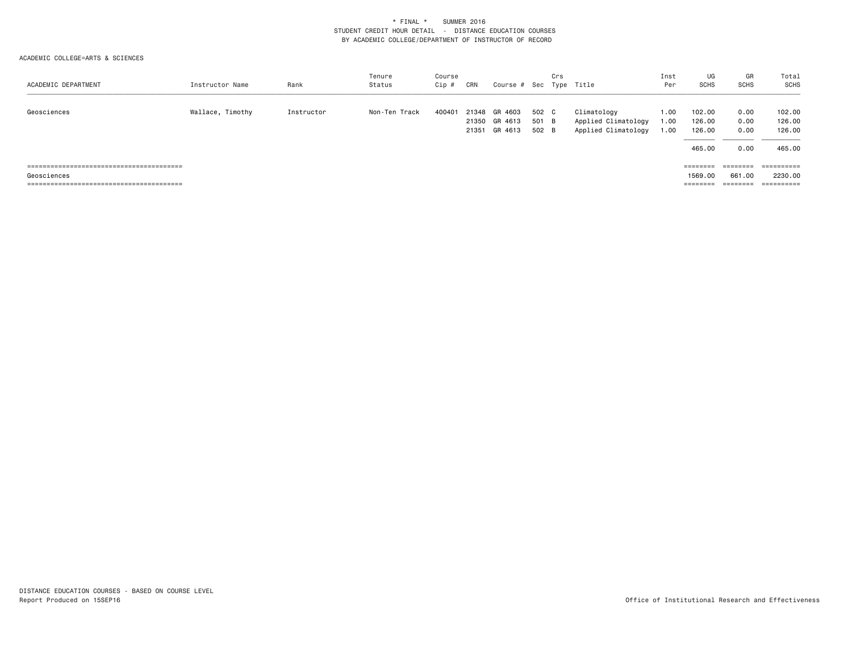| ACADEMIC DEPARTMENT | Instructor Name  | Rank       | Tenure<br>Status | Course<br>Cip # | CRN   | Course # Sec Type Title                   |                         | Crs |                                                           | Inst<br>Per          | UG<br>SCHS                           | GR<br>SCHS                   | Total<br>SCHS                        |
|---------------------|------------------|------------|------------------|-----------------|-------|-------------------------------------------|-------------------------|-----|-----------------------------------------------------------|----------------------|--------------------------------------|------------------------------|--------------------------------------|
| Geosciences         | Wallace, Timothy | Instructor | Non-Ten Track    | 400401          | 21348 | GR 4603<br>21350 GR 4613<br>21351 GR 4613 | 502 C<br>501 B<br>502 B |     | Climatology<br>Applied Climatology<br>Applied Climatology | 1.00<br>1.00<br>1.00 | 102.00<br>126.00<br>126.00<br>465.00 | 0.00<br>0.00<br>0.00<br>0.00 | 102.00<br>126.00<br>126.00<br>465.00 |
| Geosciences         |                  |            |                  |                 |       |                                           |                         |     |                                                           |                      | ========<br>1569.00<br>========      | 661,00<br>========           | 2230.00<br>==========                |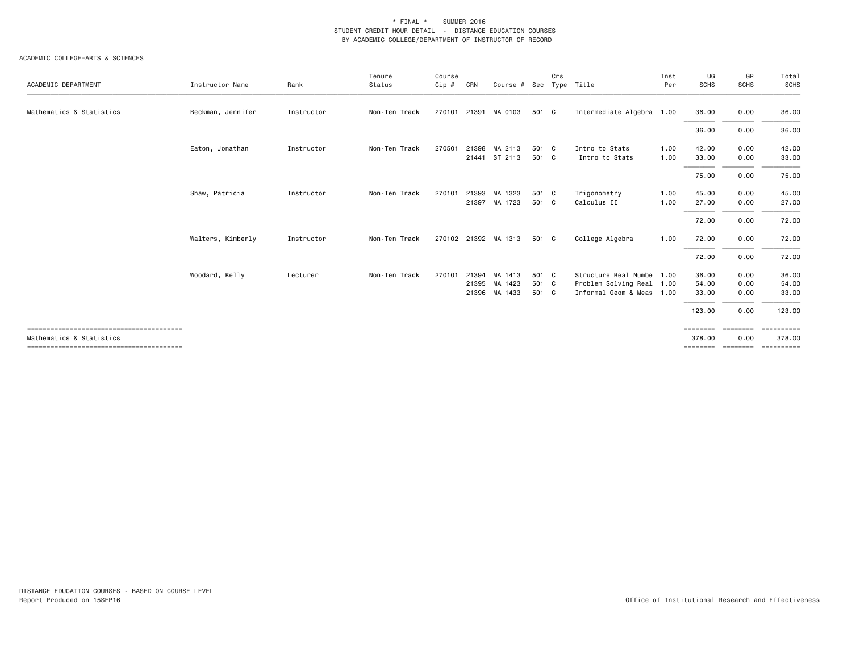|                          |                   |            | Tenure        | Course |     |                      |       | Crs |                           | Inst | UG          | GR          | Total                         |
|--------------------------|-------------------|------------|---------------|--------|-----|----------------------|-------|-----|---------------------------|------|-------------|-------------|-------------------------------|
| ACADEMIC DEPARTMENT      | Instructor Name   | Rank       | Status        | Cip #  | CRN | Course # Sec         |       |     | Type Title                | Per  | <b>SCHS</b> | <b>SCHS</b> | <b>SCHS</b>                   |
| Mathematics & Statistics | Beckman, Jennifer | Instructor | Non-Ten Track |        |     | 270101 21391 MA 0103 | 501 C |     | Intermediate Algebra 1.00 |      | 36.00       | 0.00        | 36.00                         |
|                          |                   |            |               |        |     |                      |       |     |                           |      | 36.00       | 0.00        | 36.00                         |
|                          | Eaton, Jonathan   | Instructor | Non-Ten Track | 270501 |     | 21398 MA 2113        | 501 C |     | Intro to Stats            | 1.00 | 42.00       | 0.00        | 42.00                         |
|                          |                   |            |               |        |     | 21441 ST 2113        | 501 C |     | Intro to Stats            | 1.00 | 33.00       | 0.00        | 33.00                         |
|                          |                   |            |               |        |     |                      |       |     |                           |      | 75.00       | 0.00        | 75.00                         |
|                          | Shaw, Patricia    | Instructor | Non-Ten Track | 270101 |     | 21393 MA 1323        | 501 C |     | Trigonometry              | 1.00 | 45.00       | 0.00        | 45.00                         |
|                          |                   |            |               |        |     | 21397 MA 1723        | 501 C |     | Calculus II               | 1.00 | 27.00       | 0.00        | 27.00                         |
|                          |                   |            |               |        |     |                      |       |     |                           |      | 72.00       | 0.00        | 72.00                         |
|                          | Walters, Kimberly | Instructor | Non-Ten Track |        |     | 270102 21392 MA 1313 | 501 C |     | College Algebra           | 1.00 | 72.00       | 0.00        | 72.00                         |
|                          |                   |            |               |        |     |                      |       |     |                           |      | 72.00       | 0.00        | 72.00                         |
|                          | Woodard, Kelly    | Lecturer   | Non-Ten Track | 270101 |     | 21394 MA 1413        | 501 C |     | Structure Real Numbe 1.00 |      | 36.00       | 0.00        | 36.00                         |
|                          |                   |            |               |        |     | 21395 MA 1423        | 501 C |     | Problem Solving Real 1.00 |      | 54.00       | 0.00        | 54.00                         |
|                          |                   |            |               |        |     | 21396 MA 1433        | 501 C |     | Informal Geom & Meas 1.00 |      | 33.00       | 0.00        | 33.00                         |
|                          |                   |            |               |        |     |                      |       |     |                           |      | 123.00      | 0.00        | 123.00                        |
|                          |                   |            |               |        |     |                      |       |     |                           |      | ========    | ========    | ==========                    |
| Mathematics & Statistics |                   |            |               |        |     |                      |       |     |                           |      | 378.00      | 0.00        | 378.00                        |
|                          |                   |            |               |        |     |                      |       |     |                           |      |             |             | ========= ======== ========== |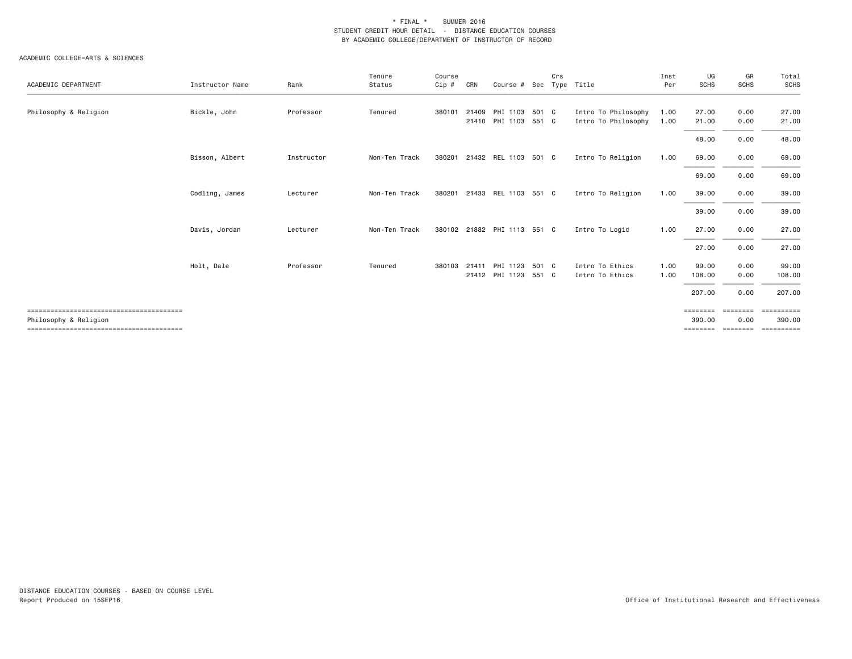| ACADEMIC DEPARTMENT   | Instructor Name | Rank       | Tenure<br>Status | Course<br>Cip # | CRN   | Course #                    | Sec   | Crs | Type Title          | Inst<br>Per | UG<br><b>SCHS</b> | GR<br><b>SCHS</b> | Total<br>SCHS |
|-----------------------|-----------------|------------|------------------|-----------------|-------|-----------------------------|-------|-----|---------------------|-------------|-------------------|-------------------|---------------|
|                       |                 |            |                  |                 |       |                             |       |     |                     |             |                   |                   |               |
| Philosophy & Religion | Bickle, John    | Professor  | Tenured          | 380101          | 21409 | PHI 1103 501 C              |       |     | Intro To Philosophy | 1.00        | 27.00             | 0.00              | 27.00         |
|                       |                 |            |                  |                 |       | 21410 PHI 1103 551 C        |       |     | Intro To Philosophy | 1.00        | 21.00             | 0.00              | 21.00         |
|                       |                 |            |                  |                 |       |                             |       |     |                     |             | 48.00             | 0.00              | 48.00         |
|                       | Bisson, Albert  | Instructor | Non-Ten Track    | 380201          |       | 21432 REL 1103 501 C        |       |     | Intro To Religion   | 1.00        | 69.00             | 0.00              | 69.00         |
|                       |                 |            |                  |                 |       |                             |       |     |                     |             | 69.00             | 0.00              | 69.00         |
|                       | Codling, James  | Lecturer   | Non-Ten Track    | 380201          |       | 21433 REL 1103 551 C        |       |     | Intro To Religion   | 1.00        | 39.00             | 0.00              | 39.00         |
|                       |                 |            |                  |                 |       |                             |       |     |                     |             | 39.00             | 0.00              | 39.00         |
|                       | Davis, Jordan   | Lecturer   | Non-Ten Track    |                 |       | 380102 21882 PHI 1113 551 C |       |     | Intro To Logic      | 1.00        | 27.00             | 0.00              | 27.00         |
|                       |                 |            |                  |                 |       |                             |       |     |                     |             | 27.00             | 0.00              | 27.00         |
|                       | Holt, Dale      | Professor  | Tenured          | 380103          | 21411 | PHI 1123                    | 501 C |     | Intro To Ethics     | 1.00        | 99.00             | 0.00              | 99.00         |
|                       |                 |            |                  |                 |       | 21412 PHI 1123 551 C        |       |     | Intro To Ethics     | 1.00        | 108.00            | 0.00              | 108.00        |
|                       |                 |            |                  |                 |       |                             |       |     |                     |             | 207.00            | 0.00              | 207.00        |
|                       |                 |            |                  |                 |       |                             |       |     |                     |             | ========          | --------          | ==========    |
| Philosophy & Religion |                 |            |                  |                 |       |                             |       |     |                     |             | 390.00            | 0.00              | 390,00        |
|                       |                 |            |                  |                 |       |                             |       |     |                     |             | ========          | ========          | ==========    |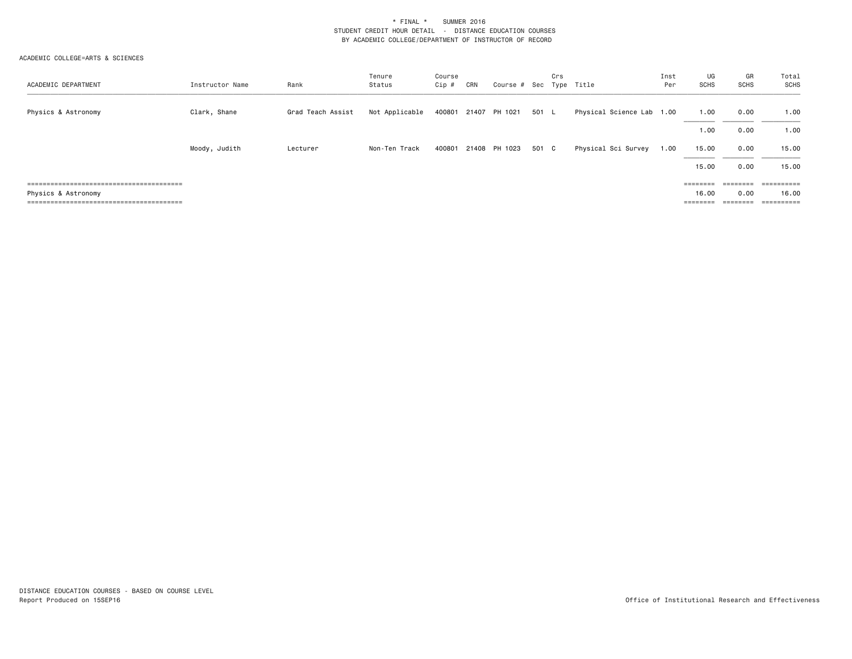| ACADEMIC DEPARTMENT | Instructor Name | Rank              | Tenure<br>Status | Course<br>Cip# | CRN | Course # Sec Type Title |       | Crs |                           | Inst<br>Per | UG<br><b>SCHS</b>                                                       | GR<br>SCHS | Total<br>SCHS |
|---------------------|-----------------|-------------------|------------------|----------------|-----|-------------------------|-------|-----|---------------------------|-------------|-------------------------------------------------------------------------|------------|---------------|
| Physics & Astronomy | Clark, Shane    | Grad Teach Assist | Not Applicable   |                |     | 400801 21407 PH 1021    | 501 L |     | Physical Science Lab 1.00 |             | 1.00                                                                    | 0.00       | 1.00          |
|                     |                 |                   |                  |                |     |                         |       |     |                           |             | 1.00                                                                    | 0.00       | 1.00          |
|                     | Moody, Judith   | Lecturer          | Non-Ten Track    | 400801         |     | 21408 PH 1023           | 501 C |     | Physical Sci Survey       | 1.00        | 15.00                                                                   | 0.00       | 15.00         |
|                     |                 |                   |                  |                |     |                         |       |     |                           |             | 15.00                                                                   | 0.00       | 15.00         |
|                     |                 |                   |                  |                |     |                         |       |     |                           |             | $\qquad \qquad \equiv \equiv \equiv \equiv \equiv \equiv \equiv \equiv$ | ========   |               |
| Physics & Astronomy |                 |                   |                  |                |     |                         |       |     |                           |             | 16.00                                                                   | 0.00       | 16.00         |
|                     |                 |                   |                  |                |     |                         |       |     |                           |             | ========                                                                | ========   | ==========    |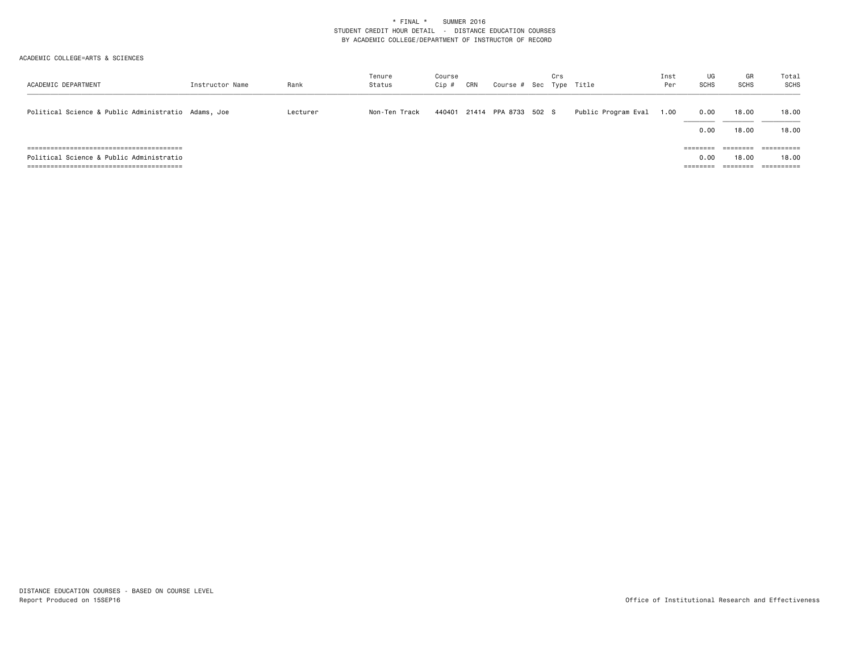| ACADEMIC DEPARTMENT                                 | Instructor Name | Rank     | Tenure<br>Status | Course<br>Cip # | CRN | Course # Sec Type Title     | Crs |                     | Inst<br>Per | UG<br><b>SCHS</b> | GR<br><b>SCHS</b>             | Total<br>SCHS                     |
|-----------------------------------------------------|-----------------|----------|------------------|-----------------|-----|-----------------------------|-----|---------------------|-------------|-------------------|-------------------------------|-----------------------------------|
| Political Science & Public Administratio Adams, Joe |                 | Lecturer | Non-Ten Track    |                 |     | 440401 21414 PPA 8733 502 S |     | Public Program Eval | 1.00        | 0.00<br>0.00      | 18.00<br>18.00                | 18.00<br>18.00                    |
| Political Science & Public Administratio            |                 |          |                  |                 |     |                             |     |                     |             | ========<br>0.00  | ========<br>18.00<br>======== | ==========<br>18,00<br>========== |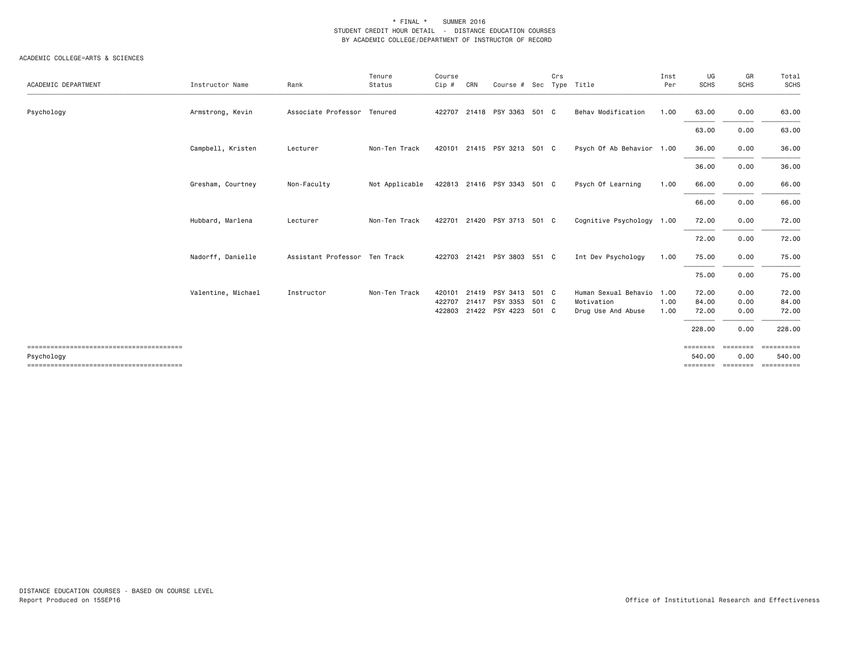| ACADEMIC DEPARTMENT | Instructor Name    | Rank                          | Tenure<br>Status | Course<br>Cip #            | CRN | Course # Sec                                                   |       | Crs | Type Title                                               | Inst<br>Per          | UG<br><b>SCHS</b>                 | GR<br><b>SCHS</b>            | Total<br><b>SCHS</b>              |
|---------------------|--------------------|-------------------------------|------------------|----------------------------|-----|----------------------------------------------------------------|-------|-----|----------------------------------------------------------|----------------------|-----------------------------------|------------------------------|-----------------------------------|
| Psychology          | Armstrong, Kevin   | Associate Professor Tenured   |                  | 422707                     |     | 21418 PSY 3363 501 C                                           |       |     | Behav Modification                                       | 1.00                 | 63.00                             | 0.00                         | 63.00                             |
|                     |                    |                               |                  |                            |     |                                                                |       |     |                                                          |                      | 63.00                             | 0.00                         | 63.00                             |
|                     | Campbell, Kristen  | Lecturer                      | Non-Ten Track    |                            |     | 420101 21415 PSY 3213 501 C                                    |       |     | Psych Of Ab Behavior 1.00                                |                      | 36.00                             | 0.00                         | 36.00                             |
|                     |                    |                               |                  |                            |     |                                                                |       |     |                                                          |                      | 36.00                             | 0.00                         | 36.00                             |
|                     | Gresham, Courtney  | Non-Faculty                   | Not Applicable   |                            |     | 422813 21416 PSY 3343 501 C                                    |       |     | Psych Of Learning                                        | 1.00                 | 66.00                             | 0.00                         | 66.00                             |
|                     |                    |                               |                  |                            |     |                                                                |       |     |                                                          |                      | 66.00                             | 0.00                         | 66.00                             |
|                     | Hubbard, Marlena   | Lecturer                      | Non-Ten Track    | 422701                     |     | 21420 PSY 3713 501 C                                           |       |     | Cognitive Psychology 1.00                                |                      | 72.00                             | 0.00                         | 72.00                             |
|                     |                    |                               |                  |                            |     |                                                                |       |     |                                                          |                      | 72.00                             | 0.00                         | 72.00                             |
|                     | Nadorff, Danielle  | Assistant Professor Ten Track |                  |                            |     | 422703 21421 PSY 3803 551 C                                    |       |     | Int Dev Psychology                                       | 1.00                 | 75.00                             | 0.00                         | 75.00                             |
|                     |                    |                               |                  |                            |     |                                                                |       |     |                                                          |                      | 75.00                             | 0.00                         | 75.00                             |
|                     | Valentine, Michael | Instructor                    | Non-Ten Track    | 420101<br>422707<br>422803 |     | 21419 PSY 3413 501 C<br>21417 PSY 3353<br>21422 PSY 4223 501 C | 501 C |     | Human Sexual Behavio<br>Motivation<br>Drug Use And Abuse | 1.00<br>1.00<br>1.00 | 72.00<br>84.00<br>72.00<br>228.00 | 0.00<br>0.00<br>0.00<br>0.00 | 72.00<br>84.00<br>72.00<br>228.00 |
|                     |                    |                               |                  |                            |     |                                                                |       |     |                                                          |                      | ========                          | <b>EEEEEEE</b>               |                                   |
| Psychology          |                    |                               |                  |                            |     |                                                                |       |     |                                                          |                      | 540.00<br>========                | 0.00<br>========             | 540.00<br>==========              |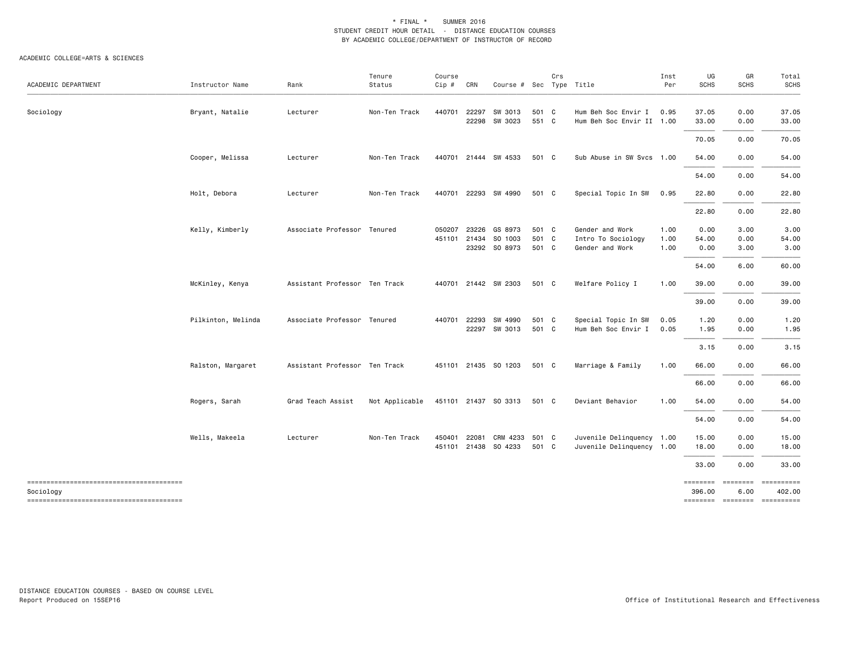| ACADEMIC DEPARTMENT | Instructor Name    | Rank                          | Tenure<br>Status | Course<br>Cip #  | CRN   | Course # Sec Type Title                      |                         | Crs |                                                          | Inst<br>Per          | UG<br><b>SCHS</b>     | GR<br><b>SCHS</b>    | Total<br><b>SCHS</b>                    |
|---------------------|--------------------|-------------------------------|------------------|------------------|-------|----------------------------------------------|-------------------------|-----|----------------------------------------------------------|----------------------|-----------------------|----------------------|-----------------------------------------|
| Sociology           | Bryant, Natalie    | Lecturer                      | Non-Ten Track    | 440701           | 22297 | SW 3013<br>22298 SW 3023                     | 501 C<br>551 C          |     | Hum Beh Soc Envir I<br>Hum Beh Soc Envir II 1.00         | 0.95                 | 37.05<br>33.00        | 0.00<br>0.00         | 37.05<br>33.00                          |
|                     |                    |                               |                  |                  |       |                                              |                         |     |                                                          |                      | 70.05                 | 0.00                 | 70.05                                   |
|                     | Cooper, Melissa    | Lecturer                      | Non-Ten Track    |                  |       | 440701 21444 SW 4533                         | 501 C                   |     | Sub Abuse in SW Svcs 1.00                                |                      | 54.00                 | 0.00                 | 54.00                                   |
|                     |                    |                               |                  |                  |       |                                              |                         |     |                                                          |                      | 54.00                 | 0.00                 | 54.00                                   |
|                     | Holt, Debora       | Lecturer                      | Non-Ten Track    | 440701           |       | 22293 SW 4990                                | 501 C                   |     | Special Topic In SW                                      | 0.95                 | 22.80                 | 0.00                 | 22.80                                   |
|                     |                    |                               |                  |                  |       |                                              |                         |     |                                                          |                      | 22.80                 | 0.00                 | 22.80                                   |
|                     | Kelly, Kimberly    | Associate Professor Tenured   |                  | 050207<br>451101 | 21434 | 23226 GS 8973<br>SO 1003<br>23292 SO 8973    | 501 C<br>501 C<br>501 C |     | Gender and Work<br>Intro To Sociology<br>Gender and Work | 1.00<br>1.00<br>1.00 | 0.00<br>54.00<br>0.00 | 3.00<br>0.00<br>3.00 | 3.00<br>54.00<br>3.00                   |
|                     |                    |                               |                  |                  |       |                                              |                         |     |                                                          |                      | 54.00                 | 6.00                 | 60.00                                   |
|                     | McKinley, Kenya    | Assistant Professor Ten Track |                  |                  |       | 440701 21442 SW 2303                         | 501 C                   |     | Welfare Policy I                                         | 1.00                 | 39.00                 | 0.00                 | 39.00                                   |
|                     |                    |                               |                  |                  |       |                                              |                         |     |                                                          |                      | 39.00                 | 0.00                 | 39.00                                   |
|                     | Pilkinton, Melinda | Associate Professor Tenured   |                  | 440701           | 22293 | SW 4990<br>22297 SW 3013                     | 501 C<br>501 C          |     | Special Topic In SW<br>Hum Beh Soc Envir I               | 0.05<br>0.05         | 1.20<br>1.95          | 0.00<br>0.00         | 1.20<br>1.95                            |
|                     |                    |                               |                  |                  |       |                                              |                         |     |                                                          |                      | 3.15                  | 0.00                 | 3.15                                    |
|                     | Ralston, Margaret  | Assistant Professor Ten Track |                  |                  |       | 451101 21435 SO 1203                         | 501 C                   |     | Marriage & Family                                        | 1.00                 | 66.00                 | 0.00                 | 66.00                                   |
|                     |                    |                               |                  |                  |       |                                              |                         |     |                                                          |                      | 66.00                 | 0.00                 | 66.00                                   |
|                     | Rogers, Sarah      | Grad Teach Assist             | Not Applicable   |                  |       | 451101 21437 SO 3313                         | 501 C                   |     | Deviant Behavior                                         | 1.00                 | 54.00                 | 0.00                 | 54.00                                   |
|                     |                    |                               |                  |                  |       |                                              |                         |     |                                                          |                      | 54.00                 | 0.00                 | 54.00                                   |
|                     | Wells, Makeela     | Lecturer                      | Non-Ten Track    | 450401           |       | 22081 CRM 4233 501 C<br>451101 21438 SO 4233 | 501 C                   |     | Juvenile Delinquency 1.00<br>Juvenile Delinquency 1.00   |                      | 15.00<br>18.00        | 0.00<br>0.00         | 15.00<br>18.00                          |
|                     |                    |                               |                  |                  |       |                                              |                         |     |                                                          |                      | 33.00                 | 0.00                 | 33.00                                   |
| Sociology           |                    |                               |                  |                  |       |                                              |                         |     |                                                          |                      | ========<br>396.00    | ========<br>6.00     | 402.00<br>============================= |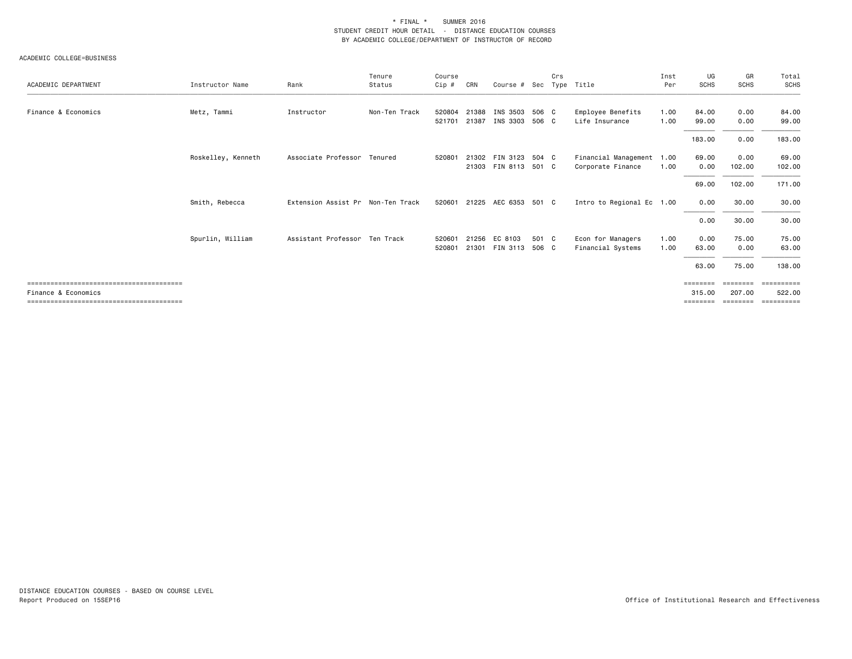| ACADEMIC DEPARTMENT | Instructor Name    | Rank                              | Tenure<br>Status | Course<br>Cip #  | CRN            | Course # Sec                                 |                | Crs | Type Title                                     | Inst<br>Per  | UG<br><b>SCHS</b>              | GR<br><b>SCHS</b>              | Total<br>SCHS                      |
|---------------------|--------------------|-----------------------------------|------------------|------------------|----------------|----------------------------------------------|----------------|-----|------------------------------------------------|--------------|--------------------------------|--------------------------------|------------------------------------|
| Finance & Economics | Metz, Tammi        | Instructor                        | Non-Ten Track    | 520804<br>521701 | 21388<br>21387 | INS 3503<br>INS 3303                         | 506 C<br>506 C |     | Employee Benefits<br>Life Insurance            | 1.00<br>1.00 | 84.00<br>99.00                 | 0.00<br>0.00                   | 84.00<br>99.00                     |
|                     |                    |                                   |                  |                  |                |                                              |                |     |                                                |              | 183.00                         | 0.00                           | 183.00                             |
|                     | Roskelley, Kenneth | Associate Professor Tenured       |                  | 520801           |                | 21302 FIN 3123 504 C<br>21303 FIN 8113 501 C |                |     | Financial Management 1.00<br>Corporate Finance | 1.00         | 69.00<br>0.00                  | 0.00<br>102.00                 | 69.00<br>102.00                    |
|                     |                    |                                   |                  |                  |                |                                              |                |     |                                                |              | 69.00                          | 102.00                         | 171.00                             |
|                     | Smith, Rebecca     | Extension Assist Pr Non-Ten Track |                  |                  |                | 520601 21225 AEC 6353 501 C                  |                |     | Intro to Regional Ec 1.00                      |              | 0.00                           | 30.00                          | 30.00                              |
|                     |                    |                                   |                  |                  |                |                                              |                |     |                                                |              | 0.00                           | 30.00                          | 30.00                              |
|                     | Spurlin, William   | Assistant Professor Ten Track     |                  | 520601<br>520801 | 21256          | EC 8103<br>21301 FIN 3113                    | 501 C<br>506 C |     | Econ for Managers<br>Financial Systems         | 1.00<br>1.00 | 0.00<br>63.00                  | 75.00<br>0.00                  | 75.00<br>63.00                     |
|                     |                    |                                   |                  |                  |                |                                              |                |     |                                                |              | 63.00                          | 75.00                          | 138.00                             |
| Finance & Economics |                    |                                   |                  |                  |                |                                              |                |     |                                                |              | ========<br>315,00<br>======== | ========<br>207.00<br>======== | ==========<br>522.00<br>========== |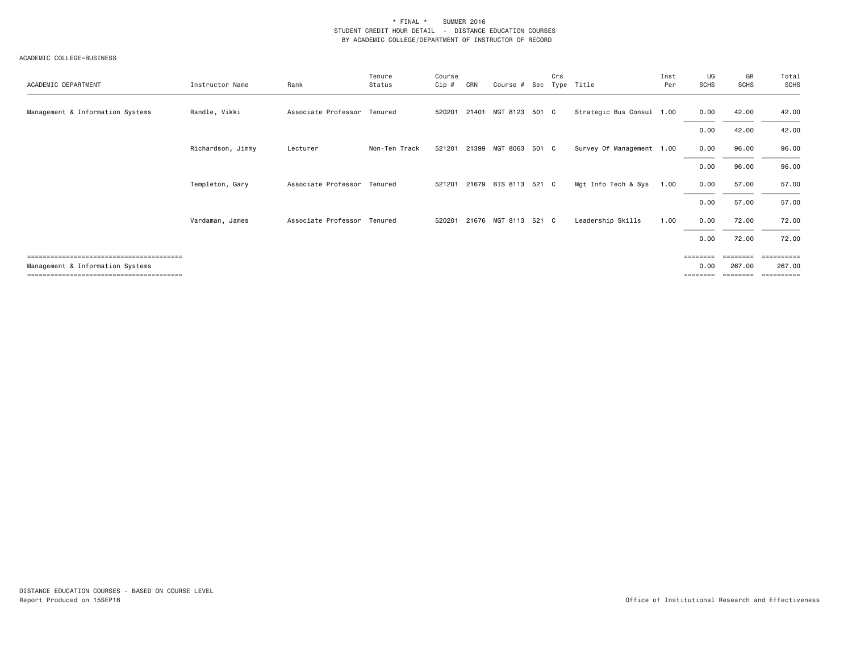| ACADEMIC DEPARTMENT              | Instructor Name   | Rank                        | Tenure<br>Status | Course<br>Cip # | CRN   | Course # Sec         | Crs | Type Title                | Inst<br>Per | UG<br><b>SCHS</b> | GR<br><b>SCHS</b> | Total<br>SCHS     |
|----------------------------------|-------------------|-----------------------------|------------------|-----------------|-------|----------------------|-----|---------------------------|-------------|-------------------|-------------------|-------------------|
| Management & Information Systems | Randle, Vikki     | Associate Professor Tenured |                  | 520201          |       | 21401 MGT 8123 501 C |     | Strategic Bus Consul 1.00 |             | 0.00              | 42.00             | 42.00             |
|                                  |                   |                             |                  |                 |       |                      |     |                           |             | 0.00              | 42.00             | 42.00             |
|                                  | Richardson, Jimmy | Lecturer                    | Non-Ten Track    | 521201          |       | 21399 MGT 8063 501 C |     | Survey Of Management 1.00 |             | 0.00              | 96.00             | 96.00             |
|                                  |                   |                             |                  |                 |       |                      |     |                           |             | 0.00              | 96.00             | 96.00             |
|                                  | Templeton, Gary   | Associate Professor         | Tenured          | 521201          | 21679 | BIS 8113 521 C       |     | Mgt Info Tech & Sys       | 1.00        | 0.00              | 57.00             | 57.00             |
|                                  |                   |                             |                  |                 |       |                      |     |                           |             | 0.00              | 57.00             | 57.00             |
|                                  | Vardaman, James   | Associate Professor         | Tenured          | 520201          |       | 21676 MGT 8113 521 C |     | Leadership Skills         | 1.00        | 0.00              | 72.00             | 72.00             |
|                                  |                   |                             |                  |                 |       |                      |     |                           |             | 0.00              | 72.00             | 72.00             |
|                                  |                   |                             |                  |                 |       |                      |     |                           |             | <b>EBBEREE</b>    | ========          |                   |
| Management & Information Systems |                   |                             |                  |                 |       |                      |     |                           |             | 0.00              | 267.00            | 267,00<br>:====== |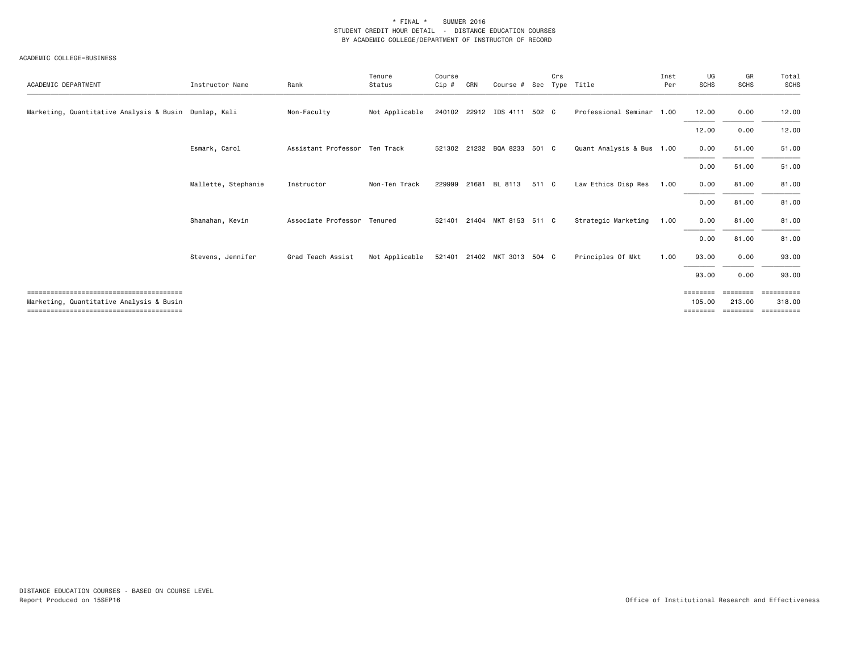| ACADEMIC DEPARTMENT                                   | Instructor Name     | Rank                          | Tenure<br>Status | Course<br>$Cip$ # | CRN   | Course # Sec                |       | Crs | Type Title                | Inst<br>Per | UG<br><b>SCHS</b>             | GR<br><b>SCHS</b>  | Total<br>SCHS                   |
|-------------------------------------------------------|---------------------|-------------------------------|------------------|-------------------|-------|-----------------------------|-------|-----|---------------------------|-------------|-------------------------------|--------------------|---------------------------------|
| Marketing, Quantitative Analysis & Busin Dunlap, Kali |                     | Non-Faculty                   | Not Applicable   |                   |       | 240102 22912 IDS 4111 502 C |       |     | Professional Seminar 1.00 |             | 12.00                         | 0.00               | 12.00                           |
|                                                       |                     |                               |                  |                   |       |                             |       |     |                           |             | 12.00                         | 0.00               | 12.00                           |
|                                                       | Esmark, Carol       | Assistant Professor Ten Track |                  |                   |       | 521302 21232 BQA 8233 501 C |       |     | Quant Analysis & Bus 1.00 |             | 0.00                          | 51.00              | 51.00                           |
|                                                       |                     |                               |                  |                   |       |                             |       |     |                           |             | 0.00                          | 51.00              | 51.00                           |
|                                                       | Mallette, Stephanie | Instructor                    | Non-Ten Track    | 229999            | 21681 | BL 8113                     | 511 C |     | Law Ethics Disp Res       | 1.00        | 0.00                          | 81.00              | 81.00                           |
|                                                       |                     |                               |                  |                   |       |                             |       |     |                           |             | 0.00                          | 81.00              | 81.00                           |
|                                                       | Shanahan, Kevin     | Associate Professor           | Tenured          | 521401            |       | 21404 MKT 8153 511 C        |       |     | Strategic Marketing       | 1.00        | 0.00                          | 81.00              | 81.00                           |
|                                                       |                     |                               |                  |                   |       |                             |       |     |                           |             | 0.00                          | 81.00              | 81.00                           |
|                                                       | Stevens, Jennifer   | Grad Teach Assist             | Not Applicable   |                   |       | 521401 21402 MKT 3013 504 C |       |     | Principles Of Mkt         | 1.00        | 93.00                         | 0.00               | 93.00                           |
|                                                       |                     |                               |                  |                   |       |                             |       |     |                           |             | 93.00                         | 0.00               | 93.00                           |
| Marketing, Quantitative Analysis & Busin              |                     |                               |                  |                   |       |                             |       |     |                           |             | =======<br>105.00<br>======== | 213.00<br>======== | -------<br>318.00<br>========== |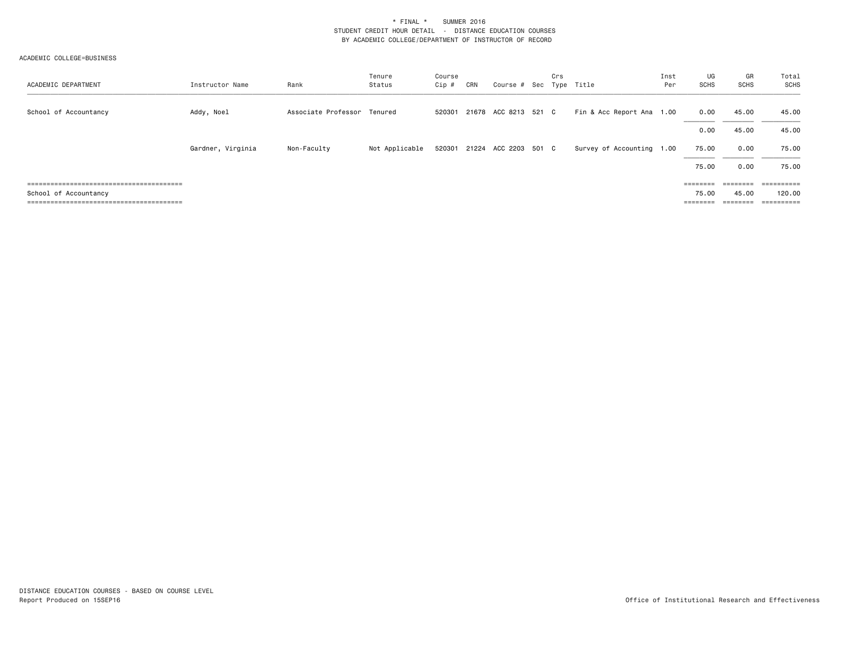| ACADEMIC DEPARTMENT   | Instructor Name   | Rank                        | Tenure<br>Status | Course<br>$Cip$ # | CRN | Course # Sec Type Title     | Crs |                           | Inst<br>Per | UG<br><b>SCHS</b>                                                       | GR<br>SCHS | Total<br>SCHS |
|-----------------------|-------------------|-----------------------------|------------------|-------------------|-----|-----------------------------|-----|---------------------------|-------------|-------------------------------------------------------------------------|------------|---------------|
| School of Accountancy | Addy, Noel        | Associate Professor Tenured |                  | 520301            |     | 21678 ACC 8213 521 C        |     | Fin & Acc Report Ana 1.00 |             | 0.00                                                                    | 45.00      | 45.00         |
|                       |                   |                             |                  |                   |     |                             |     |                           |             | 0.00                                                                    | 45.00      | 45.00         |
|                       | Gardner, Virginia | Non-Faculty                 | Not Applicable   |                   |     | 520301 21224 ACC 2203 501 C |     | Survey of Accounting 1.00 |             | 75.00                                                                   | 0.00       | 75.00         |
|                       |                   |                             |                  |                   |     |                             |     |                           |             | 75.00                                                                   | 0.00       | 75.00         |
|                       |                   |                             |                  |                   |     |                             |     |                           |             | $\qquad \qquad \equiv \equiv \equiv \equiv \equiv \equiv \equiv \equiv$ |            |               |
| School of Accountancy |                   |                             |                  |                   |     |                             |     |                           |             | 75.00                                                                   | 45.00      | 120.00        |
|                       |                   |                             |                  |                   |     |                             |     |                           |             | ========                                                                | ========   | ==========    |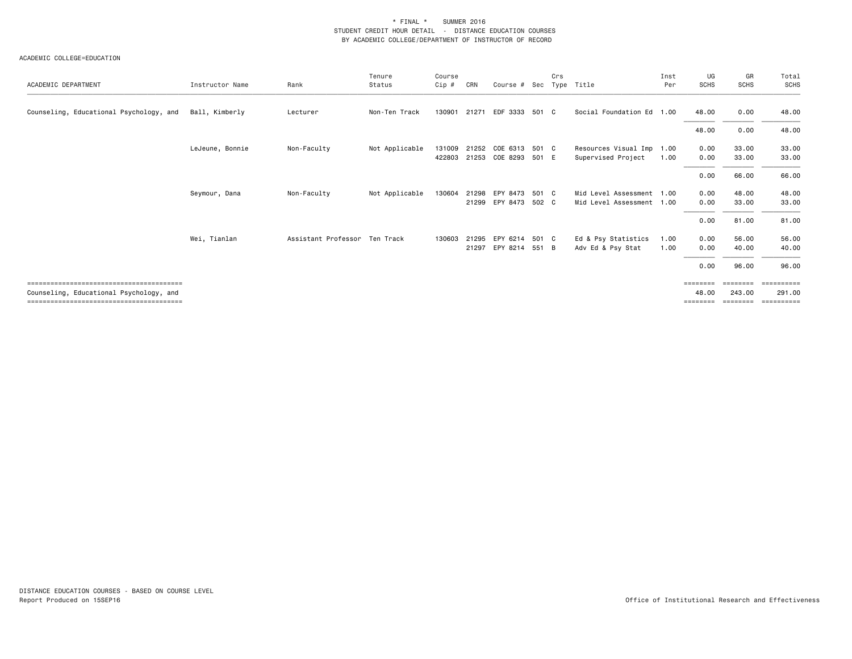| ACADEMIC DEPARTMENT                     | Instructor Name | Rank                          | Tenure<br>Status | Course<br>Cip # | CRN   | Course # Sec   |       | Crs | Type Title                | Inst<br>Per | UG<br><b>SCHS</b>                                                       | GR<br><b>SCHS</b> | Total<br><b>SCHS</b> |
|-----------------------------------------|-----------------|-------------------------------|------------------|-----------------|-------|----------------|-------|-----|---------------------------|-------------|-------------------------------------------------------------------------|-------------------|----------------------|
| Counseling, Educational Psychology, and | Ball, Kimberly  | Lecturer                      | Non-Ten Track    | 130901          | 21271 | EDF 3333       | 501 C |     | Social Foundation Ed 1.00 |             | 48,00                                                                   | 0.00              | 48.00                |
|                                         |                 |                               |                  |                 |       |                |       |     |                           |             | 48.00                                                                   | 0.00              | 48.00                |
|                                         | LeJeune, Bonnie | Non-Faculty                   | Not Applicable   | 131009          | 21252 | COE 6313       | 501 C |     | Resources Visual Imp 1.00 |             | 0.00                                                                    | 33.00             | 33.00                |
|                                         |                 |                               |                  | 422803          |       | 21253 COE 8293 | 501 E |     | Supervised Project        | 1.00        | 0.00                                                                    | 33.00             | 33.00                |
|                                         |                 |                               |                  |                 |       |                |       |     |                           |             | 0.00                                                                    | 66.00             | 66.00                |
|                                         | Seymour, Dana   | Non-Faculty                   | Not Applicable   | 130604          | 21298 | EPY 8473       | 501 C |     | Mid Level Assessment 1.00 |             | 0.00                                                                    | 48.00             | 48.00                |
|                                         |                 |                               |                  |                 |       | 21299 EPY 8473 | 502 C |     | Mid Level Assessment 1.00 |             | 0.00                                                                    | 33.00             | 33.00                |
|                                         |                 |                               |                  |                 |       |                |       |     |                           |             | 0.00                                                                    | 81.00             | 81.00                |
|                                         | Wei, Tianlan    | Assistant Professor Ten Track |                  | 130603          | 21295 | EPY 6214       | 501 C |     | Ed & Psy Statistics       | 1.00        | 0.00                                                                    | 56.00             | 56.00                |
|                                         |                 |                               |                  |                 | 21297 | EPY 8214 551 B |       |     | Adv Ed & Psy Stat         | 1.00        | 0.00                                                                    | 40.00             | 40.00                |
|                                         |                 |                               |                  |                 |       |                |       |     |                           |             | 0.00                                                                    | 96.00             | 96.00                |
|                                         |                 |                               |                  |                 |       |                |       |     |                           |             | $\qquad \qquad \equiv \equiv \equiv \equiv \equiv \equiv \equiv \equiv$ | ========          | ==========           |
| Counseling, Educational Psychology, and |                 |                               |                  |                 |       |                |       |     |                           |             | 48.00                                                                   | 243.00            | 291.00               |
|                                         |                 |                               |                  |                 |       |                |       |     |                           |             | ========                                                                | ========          | ==========           |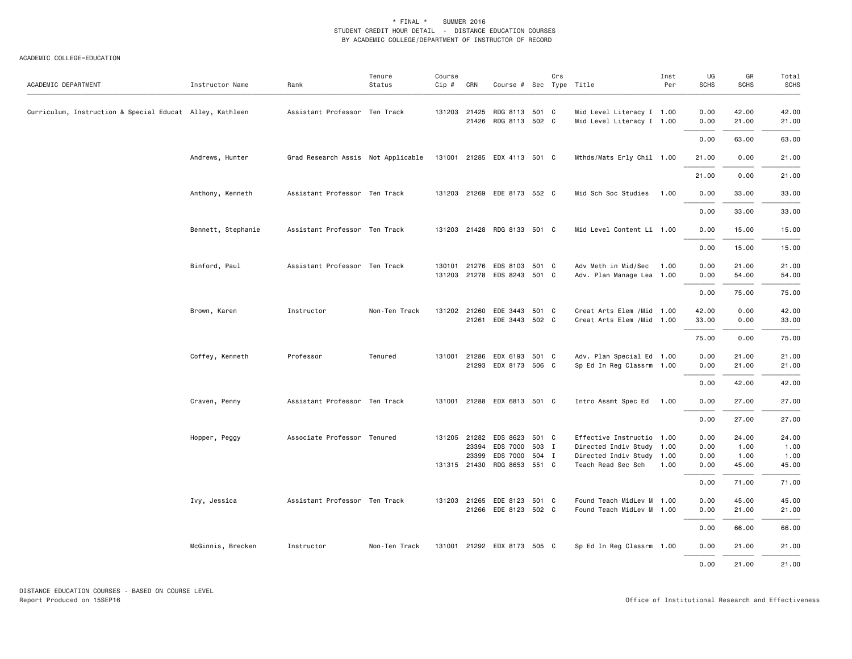#### ACADEMIC COLLEGE=EDUCATION

| ACADEMIC DEPARTMENT                                      | Instructor Name    | Rank                               | Tenure<br>Status | Course<br>$Cip \#$ | CRN                   | Course # Sec Type Title                                                                  |       | Crs |                                                                                                           | Inst<br>Per | UG<br><b>SCHS</b>            | GR<br><b>SCHS</b>              | Total<br><b>SCHS</b>           |
|----------------------------------------------------------|--------------------|------------------------------------|------------------|--------------------|-----------------------|------------------------------------------------------------------------------------------|-------|-----|-----------------------------------------------------------------------------------------------------------|-------------|------------------------------|--------------------------------|--------------------------------|
| Curriculum, Instruction & Special Educat Alley, Kathleen |                    | Assistant Professor Ten Track      |                  |                    | 131203 21425<br>21426 | RDG 8113 501 C<br>RDG 8113 502 C                                                         |       |     | Mid Level Literacy I 1.00<br>Mid Level Literacy I 1.00                                                    |             | 0.00<br>0.00                 | 42.00<br>21.00                 | 42.00<br>21.00                 |
|                                                          |                    |                                    |                  |                    |                       |                                                                                          |       |     |                                                                                                           |             | 0.00                         | 63.00                          | 63.00                          |
|                                                          | Andrews, Hunter    | Grad Research Assis Not Applicable |                  |                    |                       | 131001 21285 EDX 4113 501 C                                                              |       |     | Mthds/Mats Erly Chil 1.00                                                                                 |             | 21.00                        | 0.00                           | 21.00                          |
|                                                          |                    |                                    |                  |                    |                       |                                                                                          |       |     |                                                                                                           |             | 21.00                        | 0.00                           | 21.00                          |
|                                                          | Anthony, Kenneth   | Assistant Professor Ten Track      |                  |                    |                       | 131203 21269 EDE 8173 552 C                                                              |       |     | Mid Sch Soc Studies                                                                                       | 1.00        | 0.00                         | 33.00                          | 33.00                          |
|                                                          |                    |                                    |                  |                    |                       |                                                                                          |       |     |                                                                                                           |             | 0.00                         | 33.00                          | 33.00                          |
|                                                          | Bennett, Stephanie | Assistant Professor Ten Track      |                  |                    |                       | 131203 21428 RDG 8133 501 C                                                              |       |     | Mid Level Content Li 1.00                                                                                 |             | 0.00                         | 15.00                          | 15.00                          |
|                                                          |                    |                                    |                  |                    |                       |                                                                                          |       |     |                                                                                                           |             | 0.00                         | 15.00                          | 15.00                          |
|                                                          | Binford, Paul      | Assistant Professor Ten Track      |                  |                    |                       | 130101 21276 EDS 8103 501 C<br>131203 21278 EDS 8243 501 C                               |       |     | Adv Meth in Mid/Sec<br>Adv. Plan Manage Lea 1.00                                                          | 1.00        | 0.00<br>0.00                 | 21.00<br>54.00                 | 21.00<br>54.00                 |
|                                                          |                    |                                    |                  |                    |                       |                                                                                          |       |     |                                                                                                           |             | 0.00                         | 75.00                          | 75.00                          |
|                                                          | Brown, Karen       | Instructor                         | Non-Ten Track    |                    |                       | 131202 21260 EDE 3443 501 C<br>21261 EDE 3443 502 C                                      |       |     | Creat Arts Elem / Mid 1.00<br>Creat Arts Elem / Mid 1.00                                                  |             | 42.00<br>33.00               | 0.00<br>0.00                   | 42.00<br>33.00                 |
|                                                          |                    |                                    |                  |                    |                       |                                                                                          |       |     |                                                                                                           |             | 75.00                        | 0.00                           | 75.00                          |
|                                                          | Coffey, Kenneth    | Professor                          | Tenured          |                    |                       | 131001 21286 EDX 6193 501 C<br>21293 EDX 8173 506 C                                      |       |     | Adv. Plan Special Ed 1.00<br>Sp Ed In Reg Classrm 1.00                                                    |             | 0.00<br>0.00                 | 21.00<br>21.00                 | 21.00<br>21.00                 |
|                                                          |                    |                                    |                  |                    |                       |                                                                                          |       |     |                                                                                                           |             | 0.00                         | 42.00                          | 42.00                          |
|                                                          | Craven, Penny      | Assistant Professor Ten Track      |                  |                    |                       | 131001 21288 EDX 6813 501 C                                                              |       |     | Intro Assmt Spec Ed                                                                                       | 1.00        | 0.00                         | 27.00                          | 27.00                          |
|                                                          |                    |                                    |                  |                    |                       |                                                                                          |       |     |                                                                                                           |             | 0.00                         | 27.00                          | 27.00                          |
|                                                          | Hopper, Peggy      | Associate Professor Tenured        |                  |                    | 23394<br>23399        | 131205 21282 EDS 8623 501 C<br>EDS 7000<br>EDS 7000 504 I<br>131315 21430 RDG 8653 551 C | 503 I |     | Effective Instructio 1.00<br>Directed Indiv Study 1.00<br>Directed Indiv Study 1.00<br>Teach Read Sec Sch | 1.00        | 0.00<br>0.00<br>0.00<br>0.00 | 24.00<br>1.00<br>1.00<br>45.00 | 24.00<br>1.00<br>1.00<br>45.00 |
|                                                          |                    |                                    |                  |                    |                       |                                                                                          |       |     |                                                                                                           |             | 0.00                         | 71.00                          | 71.00                          |
|                                                          | Ivy, Jessica       | Assistant Professor Ten Track      |                  |                    |                       | 131203 21265 EDE 8123 501 C<br>21266 EDE 8123 502 C                                      |       |     | Found Teach MidLev M 1.00<br>Found Teach MidLev M 1.00                                                    |             | 0.00<br>0.00                 | 45.00<br>21.00                 | 45.00<br>21.00                 |
|                                                          |                    |                                    |                  |                    |                       |                                                                                          |       |     |                                                                                                           |             | 0.00                         | 66.00                          | 66.00                          |
|                                                          | McGinnis, Brecken  | Instructor                         | Non-Ten Track    |                    |                       | 131001 21292 EDX 8173 505 C                                                              |       |     | Sp Ed In Reg Classrm 1.00                                                                                 |             | 0.00                         | 21.00                          | 21.00                          |
|                                                          |                    |                                    |                  |                    |                       |                                                                                          |       |     |                                                                                                           |             | 0.00                         | 21.00                          | 21.00                          |

DISTANCE EDUCATION COURSES - BASED ON COURSE LEVEL Report Produced on 15SEP16 Office of Institutional Research and Effectiveness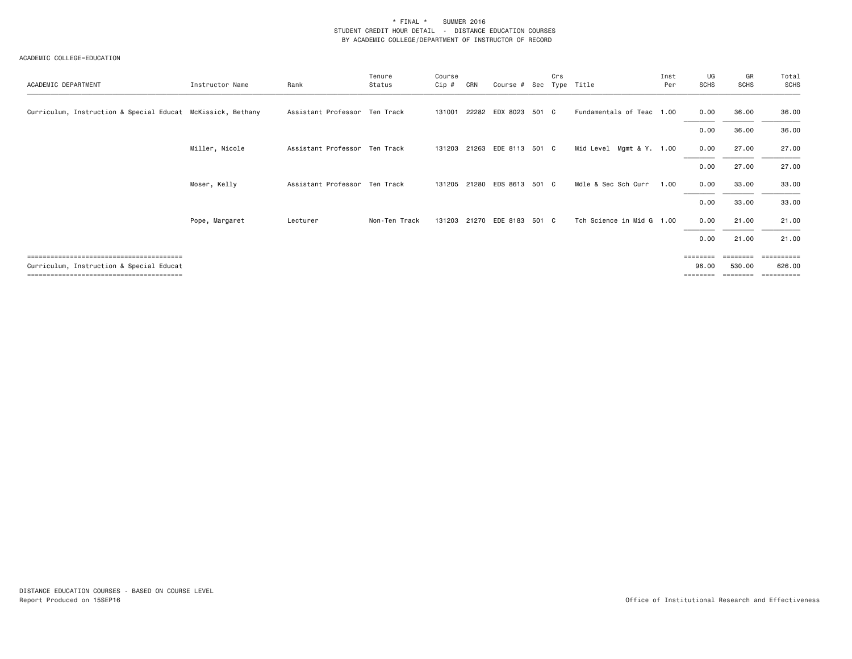| ACADEMIC DEPARTMENT                                         | Instructor Name | Rank                          | Tenure<br>Status | Course<br>Cip # | CRN   | Course # Sec                | Crs | Type Title                | Inst<br>Per | UG<br><b>SCHS</b> | GR<br><b>SCHS</b> | Total<br><b>SCHS</b> |
|-------------------------------------------------------------|-----------------|-------------------------------|------------------|-----------------|-------|-----------------------------|-----|---------------------------|-------------|-------------------|-------------------|----------------------|
| Curriculum, Instruction & Special Educat McKissick, Bethany |                 | Assistant Professor Ten Track |                  | 131001          |       | 22282 EDX 8023 501 C        |     | Fundamentals of Teac 1.00 |             | 0.00              | 36.00             | 36.00                |
|                                                             |                 |                               |                  |                 |       |                             |     |                           |             | 0.00              | 36.00             | 36.00                |
|                                                             | Miller, Nicole  | Assistant Professor Ten Track |                  | 131203          |       | 21263 EDE 8113 501 C        |     | Mid Level Mgmt & Y. 1.00  |             | 0.00              | 27.00             | 27.00                |
|                                                             |                 |                               |                  |                 |       |                             |     |                           |             | 0.00              | 27.00             | 27.00                |
|                                                             | Moser, Kelly    | Assistant Professor Ten Track |                  | 131205          | 21280 | EDS 8613 501 C              |     | Mdle & Sec Sch Curr       | 1.00        | 0.00              | 33.00             | 33.00                |
|                                                             |                 |                               |                  |                 |       |                             |     |                           |             | 0.00              | 33.00             | 33.00                |
|                                                             | Pope, Margaret  | Lecturer                      | Non-Ten Track    |                 |       | 131203 21270 EDE 8183 501 C |     | Tch Science in Mid G 1.00 |             | 0.00              | 21.00             | 21.00                |
|                                                             |                 |                               |                  |                 |       |                             |     |                           |             | 0.00              | 21.00             | 21.00                |
|                                                             |                 |                               |                  |                 |       |                             |     |                           |             |                   |                   | ==========           |
| Curriculum, Instruction & Special Educat                    |                 |                               |                  |                 |       |                             |     |                           |             | 96.00<br>=======  | 530.00            | 626.00<br>========== |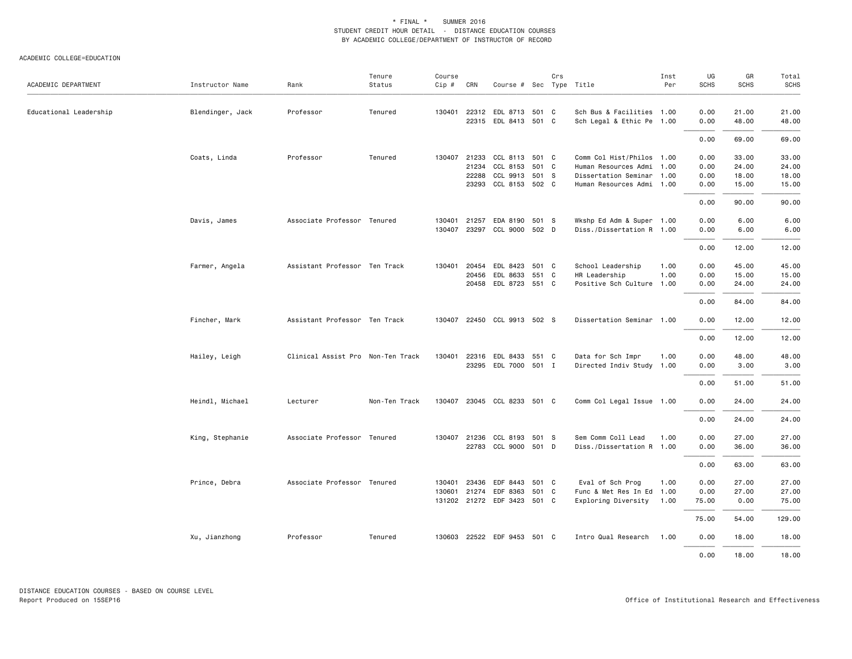| ACADEMIC DEPARTMENT    | Instructor Name  | Rank                              | Tenure<br>Status | Course<br>$Cip \#$ | CRN          | Course # Sec Type Title     |       | Crs |                           | Inst<br>Per | UG<br><b>SCHS</b> | GR<br><b>SCHS</b> | Total<br>SCHS |
|------------------------|------------------|-----------------------------------|------------------|--------------------|--------------|-----------------------------|-------|-----|---------------------------|-------------|-------------------|-------------------|---------------|
| Educational Leadership | Blendinger, Jack | Professor                         | Tenured          | 130401             |              | 22312 EDL 8713 501 C        |       |     | Sch Bus & Facilities 1.00 |             | 0.00              | 21.00             | 21.00         |
|                        |                  |                                   |                  |                    |              | 22315 EDL 8413 501 C        |       |     | Sch Legal & Ethic Pe 1.00 |             | 0.00              | 48.00             | 48.00         |
|                        |                  |                                   |                  |                    |              |                             |       |     |                           |             | 0.00              | 69.00             | 69.00         |
|                        | Coats, Linda     | Professor                         | Tenured          |                    | 130407 21233 | CCL 8113 501 C              |       |     | Comm Col Hist/Philos 1.00 |             | 0.00              | 33.00             | 33.00         |
|                        |                  |                                   |                  |                    | 21234        | CCL 8153                    | 501 C |     | Human Resources Admi      | 1.00        | 0.00              | 24.00             | 24.00         |
|                        |                  |                                   |                  |                    | 22288        | CCL 9913                    | 501 S |     | Dissertation Seminar      | 1.00        | 0.00              | 18.00             | 18.00         |
|                        |                  |                                   |                  |                    | 23293        | CCL 8153 502 C              |       |     | Human Resources Admi 1.00 |             | 0.00              | 15.00             | 15.00         |
|                        |                  |                                   |                  |                    |              |                             |       |     |                           |             | 0.00              | 90.00             | 90.00         |
|                        | Davis, James     | Associate Professor Tenured       |                  | 130401             | 21257        | EDA 8190 501 S              |       |     | Wkshp Ed Adm & Super 1.00 |             | 0.00              | 6.00              | 6.00          |
|                        |                  |                                   |                  |                    |              | 130407 23297 CCL 9000 502 D |       |     | Diss./Dissertation R 1.00 |             | 0.00              | 6.00              | 6.00          |
|                        |                  |                                   |                  |                    |              |                             |       |     |                           |             | 0.00              | 12.00             | 12.00         |
|                        | Farmer, Angela   | Assistant Professor Ten Track     |                  | 130401             | 20454        | EDL 8423                    | 501 C |     | School Leadership         | 1.00        | 0.00              | 45.00             | 45.00         |
|                        |                  |                                   |                  |                    | 20456        | EDL 8633                    | 551 C |     | HR Leadership             | 1.00        | 0.00              | 15.00             | 15.00         |
|                        |                  |                                   |                  |                    |              | 20458 EDL 8723 551 C        |       |     | Positive Sch Culture 1.00 |             | 0.00              | 24.00             | 24.00         |
|                        |                  |                                   |                  |                    |              |                             |       |     |                           |             | 0.00              | 84.00             | 84.00         |
|                        | Fincher, Mark    | Assistant Professor Ten Track     |                  |                    |              | 130407 22450 CCL 9913 502 S |       |     | Dissertation Seminar 1.00 |             | 0.00              | 12.00             | 12.00         |
|                        |                  |                                   |                  |                    |              |                             |       |     |                           |             | 0.00              | 12.00             | 12.00         |
|                        | Hailey, Leigh    | Clinical Assist Pro Non-Ten Track |                  | 130401             | 22316        | EDL 8433                    | 551 C |     | Data for Sch Impr         | 1.00        | 0.00              | 48.00             | 48.00         |
|                        |                  |                                   |                  |                    |              | 23295 EDL 7000 501 I        |       |     | Directed Indiv Study 1.00 |             | 0.00              | 3.00              | 3.00          |
|                        |                  |                                   |                  |                    |              |                             |       |     |                           |             | 0.00              | 51.00             | 51.00         |
|                        | Heindl, Michael  | Lecturer                          | Non-Ten Track    | 130407             |              | 23045 CCL 8233 501 C        |       |     | Comm Col Legal Issue 1.00 |             | 0.00              | 24.00             | 24.00         |
|                        |                  |                                   |                  |                    |              |                             |       |     |                           |             | 0.00              | 24.00             | 24.00         |
|                        | King, Stephanie  | Associate Professor Tenured       |                  |                    | 130407 21236 | CCL 8193                    | 501 S |     | Sem Comm Coll Lead        | 1.00        | 0.00              | 27.00             | 27.00         |
|                        |                  |                                   |                  |                    |              | 22783 CCL 9000 501 D        |       |     | Diss./Dissertation R 1.00 |             | 0.00              | 36.00             | 36.00         |
|                        |                  |                                   |                  |                    |              |                             |       |     |                           |             | 0.00              | 63.00             | 63.00         |
|                        | Prince, Debra    | Associate Professor Tenured       |                  | 130401             | 23436        | EDF 8443                    | 501 C |     | Eval of Sch Prog          | 1.00        | 0.00              | 27.00             | 27.00         |
|                        |                  |                                   |                  | 130601             |              | 21274 EDF 8363              | 501 C |     | Func & Met Res In Ed      | 1.00        | 0.00              | 27.00             | 27.00         |
|                        |                  |                                   |                  |                    |              | 131202 21272 EDF 3423 501 C |       |     | Exploring Diversity       | 1.00        | 75.00             | 0.00              | 75.00         |
|                        |                  |                                   |                  |                    |              |                             |       |     |                           |             | 75.00             | 54.00             | 129.00        |
|                        | Xu, Jianzhong    | Professor                         | Tenured          |                    |              | 130603 22522 EDF 9453 501 C |       |     | Intro Qual Research       | 1.00        | 0.00              | 18.00             | 18.00         |
|                        |                  |                                   |                  |                    |              |                             |       |     |                           |             | 0.00              | 18,00             | 18,00         |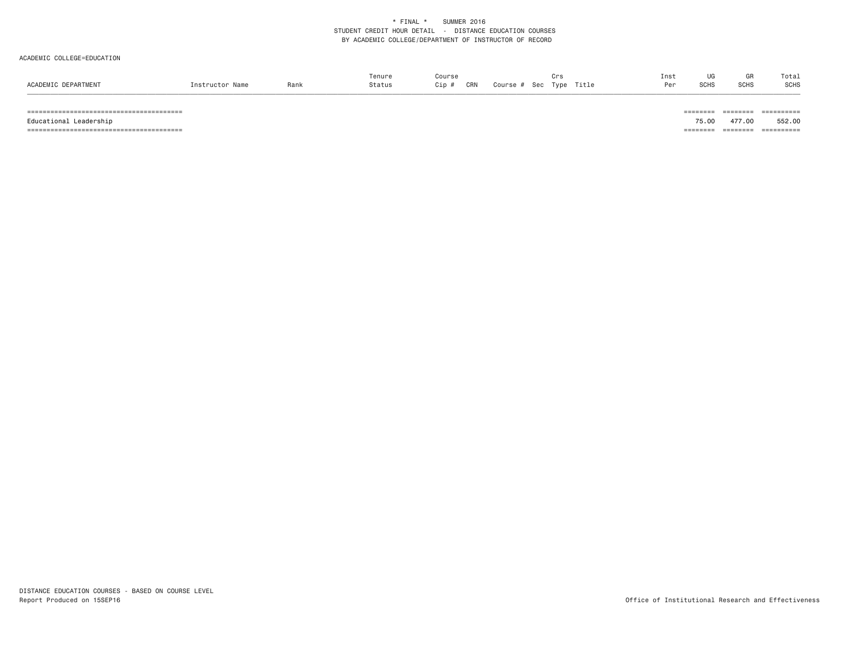#### ACADEMIC COLLEGE=EDUCATION

|                     |                 |      | Tenure | Course     |                 |               | Inst |             | ur.         | Total |
|---------------------|-----------------|------|--------|------------|-----------------|---------------|------|-------------|-------------|-------|
| ACADEMIC DEPARTMENT | Instructor Name | Rank | Status | CRN<br>Cip | Course #<br>Sec | Title<br>Type | Per  | <b>SCHS</b> | <b>SCHS</b> | SCHS  |
|                     |                 |      |        |            |                 |               |      |             |             |       |

======================================== ======== ======== ==========

======================================== ======== ======== ==========

Educational Leadership 75.00 477.00 552.00

DISTANCE EDUCATION COURSES - BASED ON COURSE LEVEL Report Produced on 15SEP16 **Office of Institutional Research and Effectiveness**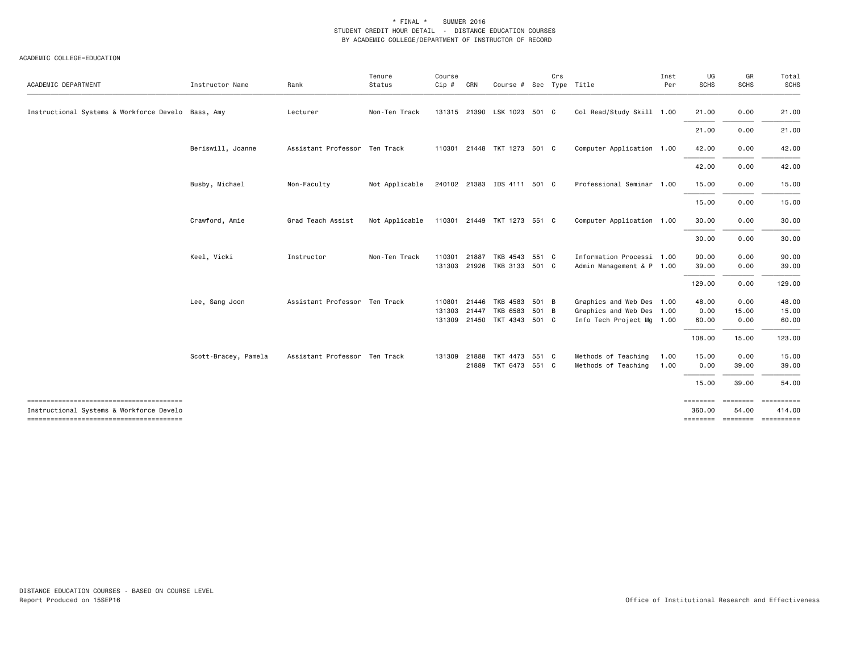| ACADEMIC DEPARTMENT                                | Instructor Name      | Rank                          | Tenure<br>Status | Course<br>Cip #  | CRN   | Course # Sec                                                    |       | Crs | Type Title                                                                          | Inst<br>Per  | UG<br><b>SCHS</b>      | GR<br><b>SCHS</b>        | Total<br><b>SCHS</b>                 |
|----------------------------------------------------|----------------------|-------------------------------|------------------|------------------|-------|-----------------------------------------------------------------|-------|-----|-------------------------------------------------------------------------------------|--------------|------------------------|--------------------------|--------------------------------------|
| Instructional Systems & Workforce Develo Bass, Amy |                      | Lecturer                      | Non-Ten Track    |                  |       | 131315 21390 LSK 1023 501 C                                     |       |     | Col Read/Study Skill 1.00                                                           |              | 21.00                  | 0.00                     | 21.00                                |
|                                                    |                      |                               |                  |                  |       |                                                                 |       |     |                                                                                     |              | 21.00                  | 0.00                     | 21.00                                |
|                                                    | Beriswill, Joanne    | Assistant Professor Ten Track |                  |                  |       | 110301 21448 TKT 1273 501 C                                     |       |     | Computer Application 1.00                                                           |              | 42.00                  | 0.00                     | 42.00                                |
|                                                    |                      |                               |                  |                  |       |                                                                 |       |     |                                                                                     |              | 42.00                  | 0.00                     | 42.00                                |
|                                                    | Busby, Michael       | Non-Faculty                   | Not Applicable   |                  |       | 240102 21383 IDS 4111 501 C                                     |       |     | Professional Seminar 1.00                                                           |              | 15.00                  | 0.00                     | 15.00                                |
|                                                    |                      |                               |                  |                  |       |                                                                 |       |     |                                                                                     |              | 15.00                  | 0.00                     | 15.00                                |
|                                                    | Crawford, Amie       | Grad Teach Assist             | Not Applicable   |                  |       | 110301 21449 TKT 1273 551 C                                     |       |     | Computer Application 1.00                                                           |              | 30.00                  | 0.00                     | 30.00                                |
|                                                    |                      |                               |                  |                  |       |                                                                 |       |     |                                                                                     |              | 30.00                  | 0.00                     | 30.00                                |
|                                                    | Keel, Vicki          | Instructor                    | Non-Ten Track    | 110301<br>131303 | 21887 | TKB 4543<br>21926 TKB 3133 501 C                                | 551 C |     | Information Processi 1.00<br>Admin Management & P 1.00                              |              | 90.00<br>39.00         | 0.00<br>0.00             | 90.00<br>39.00                       |
|                                                    |                      |                               |                  |                  |       |                                                                 |       |     |                                                                                     |              | 129.00                 | 0.00                     | 129.00                               |
|                                                    | Lee, Sang Joon       | Assistant Professor Ten Track |                  | 110801<br>131303 | 21447 | 21446 TKB 4583 501 B<br>TKB 6583<br>131309 21450 TKT 4343 501 C | 501 B |     | Graphics and Web Des 1.00<br>Graphics and Web Des 1.00<br>Info Tech Project Mg 1.00 |              | 48.00<br>0.00<br>60.00 | 0.00<br>15.00<br>0.00    | 48.00<br>15.00<br>60.00              |
|                                                    |                      |                               |                  |                  |       |                                                                 |       |     |                                                                                     |              | 108.00                 | 15.00                    | 123.00                               |
|                                                    | Scott-Bracey, Pamela | Assistant Professor Ten Track |                  | 131309           | 21888 | TKT 4473 551 C<br>21889 TKT 6473 551 C                          |       |     | Methods of Teaching<br>Methods of Teaching                                          | 1.00<br>1.00 | 15.00<br>0.00          | 0.00<br>39.00            | 15.00<br>39.00                       |
|                                                    |                      |                               |                  |                  |       |                                                                 |       |     |                                                                                     |              | 15.00                  | 39.00                    | 54.00                                |
| Instructional Systems & Workforce Develo           |                      |                               |                  |                  |       |                                                                 |       |     |                                                                                     |              | ========<br>360.00     | <b>SEBSEBER</b><br>54.00 | 414.00<br>-------- ------- --------- |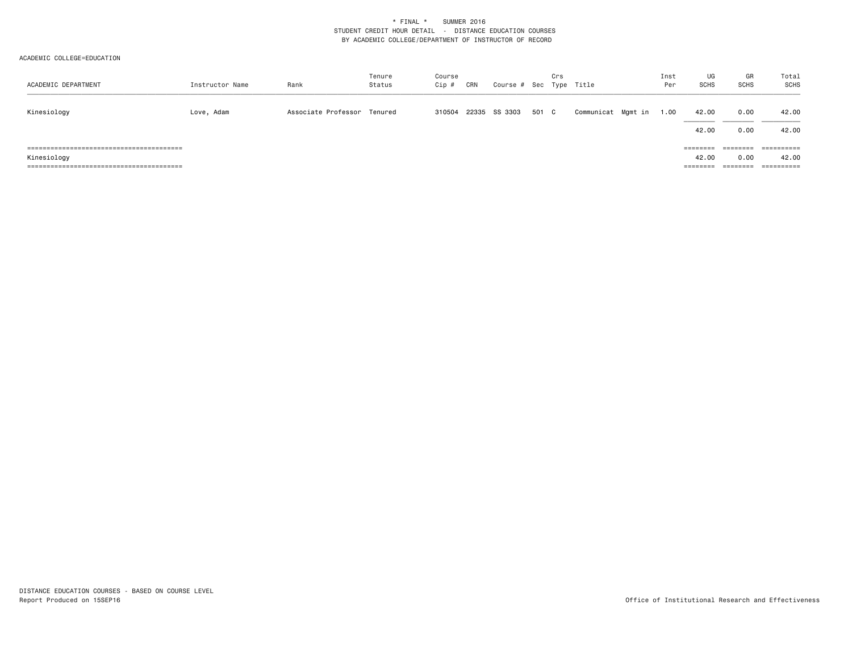| ACADEMIC DEPARTMENT | Instructor Name | Rank                        | Tenure<br>Status | Course<br>Cip # | CRN | Course # Sec Type Title |       | Crs |                    | Inst<br>Per | UG<br><b>SCHS</b>             | GR<br>SCHS       | Total<br>SCHS                                |
|---------------------|-----------------|-----------------------------|------------------|-----------------|-----|-------------------------|-------|-----|--------------------|-------------|-------------------------------|------------------|----------------------------------------------|
| Kinesiology         | Love, Adam      | Associate Professor Tenured |                  | 310504          |     | 22335 SS 3303           | 501 C |     | Communicat Mgmt in | 1.00        | 42.00<br>42.00                | 0.00<br>0.00     | 42.00<br>42.00                               |
| Kinesiology         |                 |                             |                  |                 |     |                         |       |     |                    |             | ========<br>42.00<br>======== | ========<br>0.00 | ==========<br>42.00<br>$=$ = = = = = = = = = |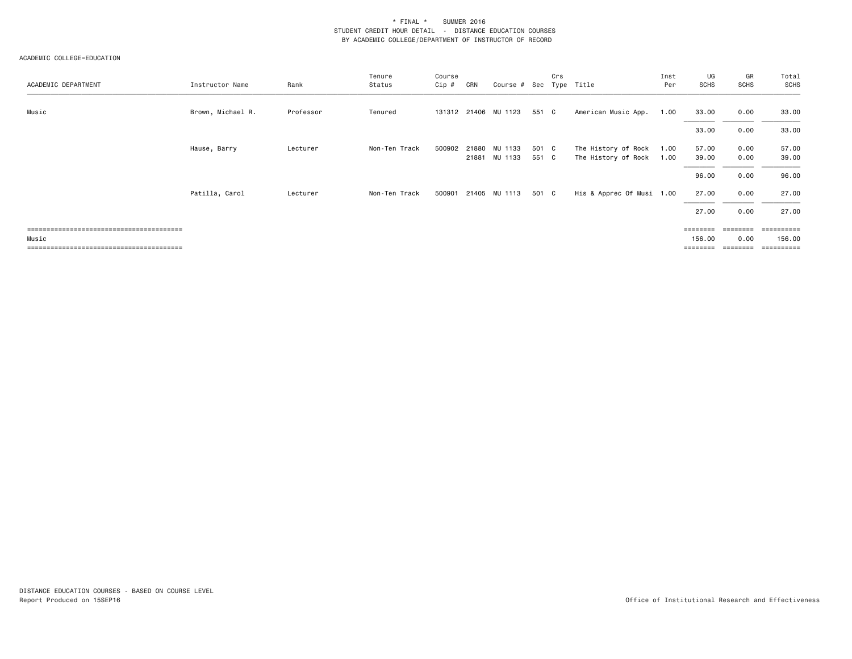| ACADEMIC DEPARTMENT | Instructor Name   | Rank      | Tenure<br>Status | Course<br>$Cip$ # | CRN | Course # Sec Type Title        |                | Crs |                                            | Inst<br>Per  | UG<br><b>SCHS</b> | GR<br>SCHS   | Total<br>SCHS  |
|---------------------|-------------------|-----------|------------------|-------------------|-----|--------------------------------|----------------|-----|--------------------------------------------|--------------|-------------------|--------------|----------------|
| Music               | Brown, Michael R. | Professor | Tenured          |                   |     | 131312 21406 MU 1123           | 551 C          |     | American Music App.                        | 1.00         | 33.00             | 0.00         | 33.00          |
|                     |                   |           |                  |                   |     |                                |                |     |                                            |              | 33.00             | 0.00         | 33.00          |
|                     | Hause, Barry      | Lecturer  | Non-Ten Track    | 500902            |     | 21880 MU 1133<br>21881 MU 1133 | 501 C<br>551 C |     | The History of Rock<br>The History of Rock | 1.00<br>1.00 | 57.00<br>39.00    | 0.00<br>0.00 | 57.00<br>39.00 |
|                     |                   |           |                  |                   |     |                                |                |     |                                            |              | 96.00             | 0.00         | 96.00          |
|                     | Patilla, Carol    | Lecturer  | Non-Ten Track    | 500901            |     | 21405 MU 1113                  | 501 C          |     | His & Apprec Of Musi 1.00                  |              | 27.00             | 0.00         | 27.00          |
|                     |                   |           |                  |                   |     |                                |                |     |                                            |              | 27.00             | 0.00         | 27.00          |
|                     |                   |           |                  |                   |     |                                |                |     |                                            |              | =======           |              | ------         |
| Music               |                   |           |                  |                   |     |                                |                |     |                                            |              | 156.00            | 0.00         | 156.00         |
|                     |                   |           |                  |                   |     |                                |                |     |                                            |              | ========          | eeeeeee      | ==========     |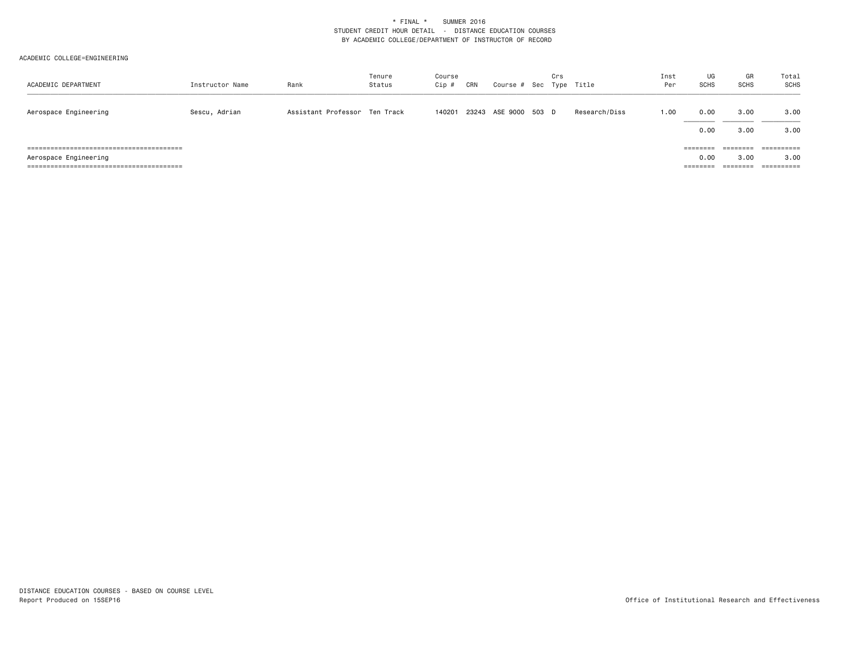| ACADEMIC DEPARTMENT   | Instructor Name | Rank                          | Tenure<br>Status | Course<br>Cip # | CRN | Course # Sec Type Title | Crs |               | Inst<br>Per | UG<br><b>SCHS</b>            | GR<br><b>SCHS</b>                                    | Total<br>SCHS                                  |
|-----------------------|-----------------|-------------------------------|------------------|-----------------|-----|-------------------------|-----|---------------|-------------|------------------------------|------------------------------------------------------|------------------------------------------------|
| Aerospace Engineering | Sescu, Adrian   | Assistant Professor Ten Track |                  | 140201          |     | 23243 ASE 9000 503 D    |     | Research/Diss | 1.00        | 0.00<br>0.00                 | 3.00<br>3.00                                         | 3.00<br>3.00                                   |
| Aerospace Engineering |                 |                               |                  |                 |     |                         |     |               |             | ========<br>0.00<br>======== | --------<br>--------<br>3,00<br>________<br>======== | ==========<br>3.00<br>__________<br>---------- |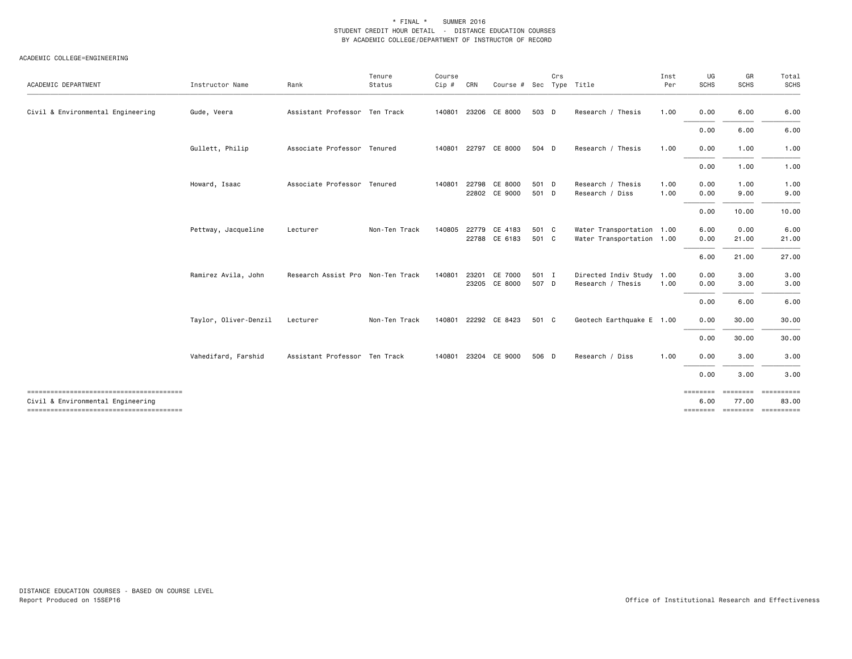| ACADEMIC DEPARTMENT                                                         | Instructor Name       | Rank                              | Tenure<br>Status | Course<br>Cip # | CRN   | Course # Sec                   |                | Crs | Type Title                                             | Inst<br>Per  | UG<br><b>SCHS</b> | GR<br><b>SCHS</b> | Total<br><b>SCHS</b> |
|-----------------------------------------------------------------------------|-----------------------|-----------------------------------|------------------|-----------------|-------|--------------------------------|----------------|-----|--------------------------------------------------------|--------------|-------------------|-------------------|----------------------|
| Civil & Environmental Engineering                                           | Gude, Veera           | Assistant Professor Ten Track     |                  | 140801          | 23206 | CE 8000                        | 503 D          |     | Research / Thesis                                      | 1.00         | 0.00              | 6.00              | 6.00                 |
|                                                                             |                       |                                   |                  |                 |       |                                |                |     |                                                        |              | 0.00              | 6.00              | 6.00                 |
|                                                                             | Gullett, Philip       | Associate Professor Tenured       |                  | 140801          |       | 22797 CE 8000                  | 504 D          |     | Research / Thesis                                      | 1.00         | 0.00              | 1.00              | 1.00                 |
|                                                                             |                       |                                   |                  |                 |       |                                |                |     |                                                        |              | 0.00              | 1.00              | 1.00                 |
|                                                                             | Howard, Isaac         | Associate Professor Tenured       |                  | 140801          | 22798 | CE 8000<br>22802 CE 9000       | 501 D<br>501 D |     | Research / Thesis<br>Research / Diss                   | 1.00<br>1.00 | 0.00<br>0.00      | 1.00<br>9.00      | 1.00<br>9.00         |
|                                                                             |                       |                                   |                  |                 |       |                                |                |     |                                                        |              | 0.00              | 10.00             | 10.00                |
|                                                                             | Pettway, Jacqueline   | Lecturer                          | Non-Ten Track    | 140805          |       | 22779 CE 4183<br>22788 CE 6183 | 501 C<br>501 C |     | Water Transportation 1.00<br>Water Transportation 1.00 |              | 6.00<br>0.00      | 0.00<br>21.00     | 6.00<br>21.00        |
|                                                                             |                       |                                   |                  |                 |       |                                |                |     |                                                        |              | 6.00              | 21.00             | 27.00                |
|                                                                             | Ramirez Avila, John   | Research Assist Pro Non-Ten Track |                  | 140801          | 23201 | CE 7000<br>23205 CE 8000       | 501 I<br>507 D |     | Directed Indiv Study<br>Research / Thesis              | 1.00<br>1.00 | 0.00<br>0.00      | 3.00<br>3.00      | 3.00<br>3.00         |
|                                                                             |                       |                                   |                  |                 |       |                                |                |     |                                                        |              | 0.00              | 6.00              | 6.00                 |
|                                                                             | Taylor, Oliver-Denzil | Lecturer                          | Non-Ten Track    | 140801          |       | 22292 CE 8423                  | 501 C          |     | Geotech Earthquake E 1.00                              |              | 0.00              | 30.00             | 30.00                |
|                                                                             |                       |                                   |                  |                 |       |                                |                |     |                                                        |              | 0.00              | 30.00             | 30.00                |
|                                                                             | Vahedifard, Farshid   | Assistant Professor Ten Track     |                  | 140801          |       | 23204 CE 9000                  | 506 D          |     | Research / Diss                                        | 1.00         | 0.00              | 3.00              | 3.00                 |
|                                                                             |                       |                                   |                  |                 |       |                                |                |     |                                                        |              | 0.00              | 3.00              | 3.00                 |
| Civil & Environmental Engineering<br>-------------------------------------- |                       |                                   |                  |                 |       |                                |                |     |                                                        |              | ========<br>6.00  | ========<br>77.00 | ==========<br>83.00  |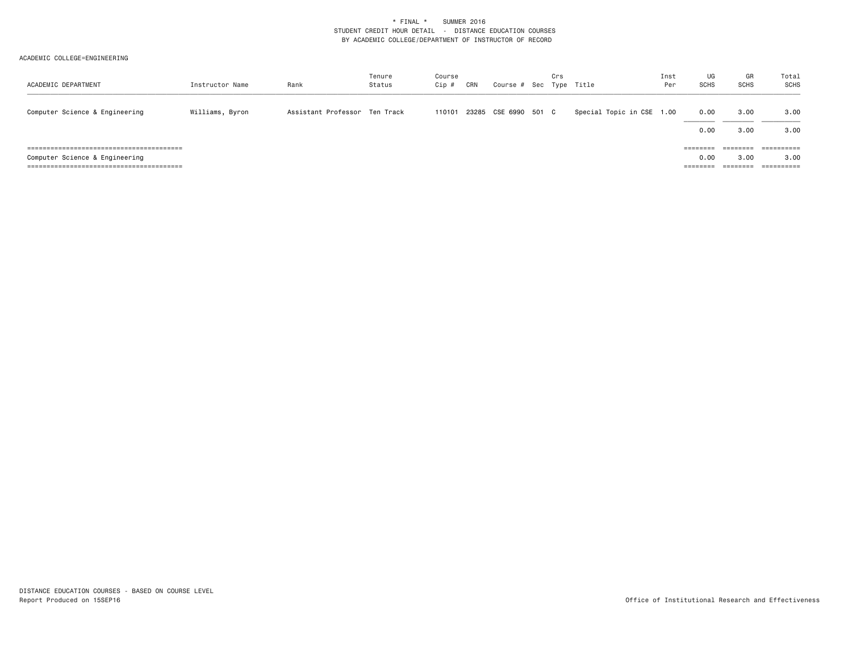| ACADEMIC DEPARTMENT            | Instructor Name | Rank                          | Tenure<br>Status | Course<br>Cip # | CRN | Course # Sec Type Title | Crs |                           | Inst<br>Per | UG<br><b>SCHS</b>                | GR<br>SCHS   | Total<br>SCHS                               |
|--------------------------------|-----------------|-------------------------------|------------------|-----------------|-----|-------------------------|-----|---------------------------|-------------|----------------------------------|--------------|---------------------------------------------|
| Computer Science & Engineering | Williams, Byron | Assistant Professor Ten Track |                  | 110101          |     | 23285 CSE 6990 501 C    |     | Special Topic in CSE 1.00 |             | 0.00<br>0.00                     | 3.00<br>3.00 | 3.00<br>3.00                                |
| Computer Science & Engineering |                 |                               |                  |                 |     |                         |     |                           |             | $= 22222222$<br>0.00<br>======== | 3.00         | ==========<br>3.00<br>$=$ = = = = = = = = = |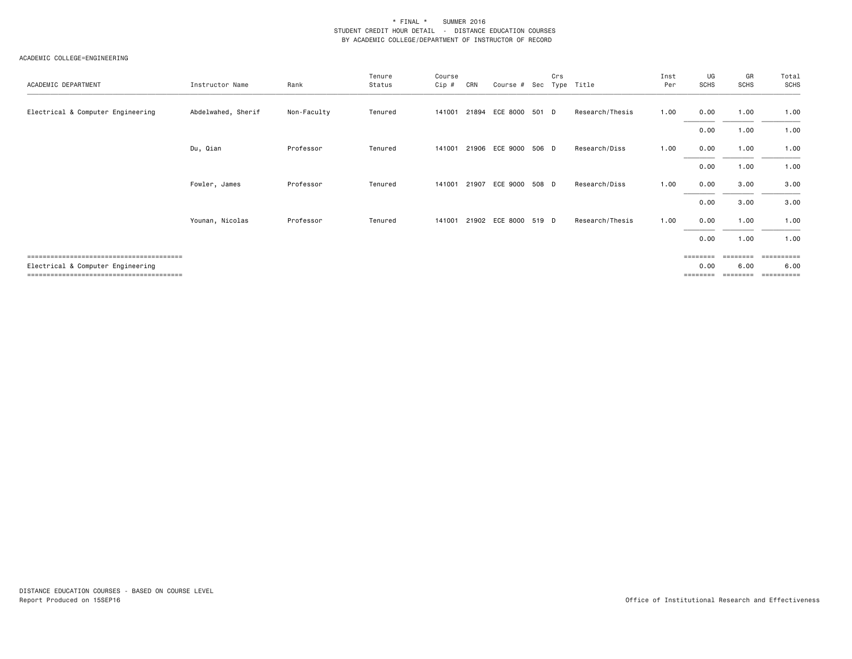### ACADEMIC COLLEGE=ENGINEERING

| ACADEMIC DEPARTMENT               | Instructor Name    | Rank        | Tenure<br>Status | Course<br>Cip # | CRN   | Course # Sec Type Title | Crs |                 | Inst<br>Per | UG<br><b>SCHS</b> | GR<br><b>SCHS</b> | Total<br>SCHS      |
|-----------------------------------|--------------------|-------------|------------------|-----------------|-------|-------------------------|-----|-----------------|-------------|-------------------|-------------------|--------------------|
| Electrical & Computer Engineering | Abdelwahed, Sherif | Non-Faculty | Tenured          | 141001          |       | 21894 ECE 8000 501 D    |     | Research/Thesis | 1.00        | 0.00              | 1.00              | 1.00               |
|                                   |                    |             |                  |                 |       |                         |     |                 |             | 0.00              | 1.00              | 1.00               |
|                                   | Du, Qian           | Professor   | Tenured          | 141001          |       | 21906 ECE 9000 506 D    |     | Research/Diss   | 1.00        | 0.00              | 1.00              | 1.00               |
|                                   |                    |             |                  |                 |       |                         |     |                 |             | 0.00              | 1.00              | 1.00               |
|                                   | Fowler, James      | Professor   | Tenured          | 141001          | 21907 | ECE 9000 508 D          |     | Research/Diss   | 1.00        | 0.00              | 3.00              | 3.00               |
|                                   |                    |             |                  |                 |       |                         |     |                 |             | 0.00              | 3.00              | 3.00               |
|                                   | Younan, Nicolas    | Professor   | Tenured          | 141001          |       | 21902 ECE 8000 519 D    |     | Research/Thesis | 1.00        | 0.00              | 1.00              | 1.00               |
|                                   |                    |             |                  |                 |       |                         |     |                 |             | 0.00              | 1.00              | 1.00               |
| Electrical & Computer Engineering |                    |             |                  |                 |       |                         |     |                 |             | ========<br>0.00  | ========<br>6.00  | ==========<br>6.00 |

======================================== ======== ======== ==========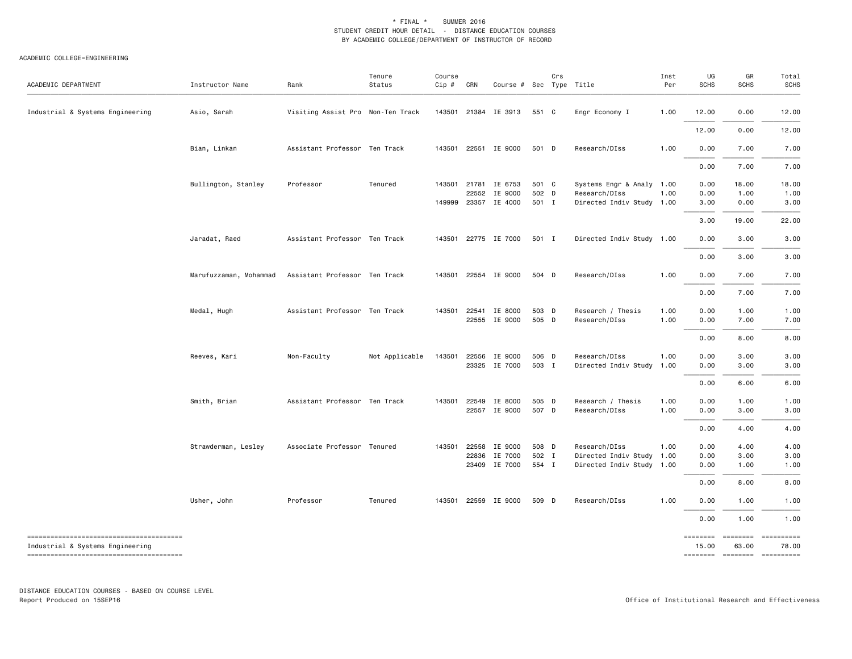#### ACADEMIC COLLEGE=ENGINEERING

| ACADEMIC DEPARTMENT              | Instructor Name        | Rank                              | Tenure<br>Status | Course<br>$Cip$ # | CRN | Course # Sec Type Title |       | Crs |                           | Inst<br>Per | UG<br><b>SCHS</b> | GR<br><b>SCHS</b>           | Total<br><b>SCHS</b> |
|----------------------------------|------------------------|-----------------------------------|------------------|-------------------|-----|-------------------------|-------|-----|---------------------------|-------------|-------------------|-----------------------------|----------------------|
| Industrial & Systems Engineering | Asio, Sarah            | Visiting Assist Pro Non-Ten Track |                  | 143501            |     | 21384 IE 3913           | 551 C |     | Engr Economy I            | 1.00        | 12.00             | 0.00                        | 12.00                |
|                                  |                        |                                   |                  |                   |     |                         |       |     |                           |             | 12.00             | 0.00                        | 12.00                |
|                                  | Bian, Linkan           | Assistant Professor Ten Track     |                  |                   |     | 143501 22551 IE 9000    | 501 D |     | Research/DIss             | 1.00        | 0.00              | 7.00                        | 7.00                 |
|                                  |                        |                                   |                  |                   |     |                         |       |     |                           |             | 0.00              | 7.00                        | 7.00                 |
|                                  | Bullington, Stanley    | Professor                         | Tenured          |                   |     | 143501 21781 IE 6753    | 501 C |     | Systems Engr & Analy 1.00 |             | 0.00              | 18.00                       | 18.00                |
|                                  |                        |                                   |                  |                   |     | 22552 IE 9000           | 502 D |     | Research/DIss             | 1.00        | 0.00              | 1.00                        | 1.00                 |
|                                  |                        |                                   |                  | 149999            |     | 23357 IE 4000           | 501 I |     | Directed Indiv Study 1.00 |             | 3.00              | 0.00                        | 3.00                 |
|                                  |                        |                                   |                  |                   |     |                         |       |     |                           |             | 3.00              | 19.00                       | 22.00                |
|                                  | Jaradat, Raed          | Assistant Professor Ten Track     |                  |                   |     | 143501 22775 IE 7000    | 501 I |     | Directed Indiv Study 1.00 |             | 0.00              | 3.00                        | 3.00                 |
|                                  |                        |                                   |                  |                   |     |                         |       |     |                           |             | 0.00              | 3.00                        | 3.00                 |
|                                  | Marufuzzaman, Mohammad | Assistant Professor Ten Track     |                  |                   |     | 143501 22554 IE 9000    | 504 D |     | Research/DIss             | 1.00        | 0.00              | 7.00                        | 7.00                 |
|                                  |                        |                                   |                  |                   |     |                         |       |     |                           |             | 0.00              | 7.00                        | 7.00                 |
|                                  | Medal, Hugh            | Assistant Professor Ten Track     |                  | 143501            |     | 22541 IE 8000           | 503 D |     | Research / Thesis         | 1.00        | 0.00              | 1.00                        | 1.00                 |
|                                  |                        |                                   |                  |                   |     | 22555 IE 9000           | 505 D |     | Research/DIss             | 1.00        | 0.00              | 7.00                        | 7.00                 |
|                                  |                        |                                   |                  |                   |     |                         |       |     |                           |             | 0.00              | 8.00                        | 8.00                 |
|                                  | Reeves, Kari           | Non-Faculty                       | Not Applicable   | 143501            |     | 22556 IE 9000           | 506 D |     | Research/DIss             | 1.00        | 0.00              | 3.00                        | 3.00                 |
|                                  |                        |                                   |                  |                   |     | 23325 IE 7000           | 503 I |     | Directed Indiv Study 1.00 |             | 0.00              | 3.00                        | 3.00                 |
|                                  |                        |                                   |                  |                   |     |                         |       |     |                           |             | 0.00              | 6.00                        | 6.00                 |
|                                  | Smith, Brian           | Assistant Professor Ten Track     |                  | 143501            |     | 22549 IE 8000           | 505 D |     | Research / Thesis         | 1.00        | 0.00              | 1.00                        | 1.00                 |
|                                  |                        |                                   |                  |                   |     | 22557 IE 9000           | 507 D |     | Research/DIss             | 1.00        | 0.00              | 3.00                        | 3.00                 |
|                                  |                        |                                   |                  |                   |     |                         |       |     |                           |             | 0.00              | 4.00                        | 4.00                 |
|                                  | Strawderman, Lesley    | Associate Professor Tenured       |                  | 143501            |     | 22558 IE 9000           | 508 D |     | Research/DIss             | 1.00        | 0.00              | 4.00                        | 4.00                 |
|                                  |                        |                                   |                  |                   |     | 22836 IE 7000           | 502 I |     | Directed Indiv Study 1.00 |             | 0.00              | 3.00                        | 3.00                 |
|                                  |                        |                                   |                  |                   |     | 23409 IE 7000           | 554 I |     | Directed Indiv Study 1.00 |             | 0.00              | 1.00                        | 1.00                 |
|                                  |                        |                                   |                  |                   |     |                         |       |     |                           |             | 0.00              | 8.00                        | 8.00                 |
|                                  | Usher, John            | Professor                         | Tenured          |                   |     | 143501 22559 IE 9000    | 509 D |     | Research/DIss             | 1.00        | 0.00              | 1.00                        | 1.00                 |
|                                  |                        |                                   |                  |                   |     |                         |       |     |                           |             | 0.00              | 1.00                        | 1.00                 |
| Industrial & Systems Engineering |                        |                                   |                  |                   |     |                         |       |     |                           |             | ========<br>15.00 | ========<br>63.00           | ==========<br>78.00  |
|                                  |                        |                                   |                  |                   |     |                         |       |     |                           |             |                   | ======== ======== ========= |                      |

DISTANCE EDUCATION COURSES - BASED ON COURSE LEVEL Report Produced on 15SEP16 Office of Institutional Research and Effectiveness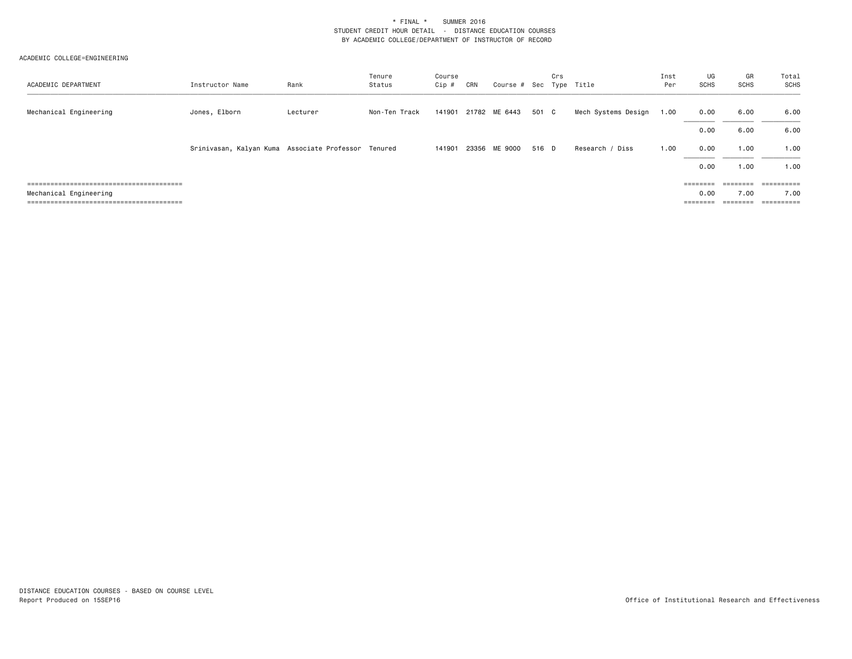| ACADEMIC DEPARTMENT    | Instructor Name                                     | Rank     | Tenure<br>Status | Course<br>Cip # | CRN | Course # Sec Type Title |       | Crs |                     | Inst<br>Per | UG<br><b>SCHS</b>                                                       | GR<br>SCHS | Total<br>SCHS         |
|------------------------|-----------------------------------------------------|----------|------------------|-----------------|-----|-------------------------|-------|-----|---------------------|-------------|-------------------------------------------------------------------------|------------|-----------------------|
| Mechanical Engineering | Jones, Elborn                                       | Lecturer | Non-Ten Track    | 141901          |     | 21782 ME 6443           | 501 C |     | Mech Systems Design | 1.00        | 0.00                                                                    | 6.00       | 6.00                  |
|                        |                                                     |          |                  |                 |     |                         |       |     |                     |             | 0.00                                                                    | 6.00       | 6.00                  |
|                        | Srinivasan, Kalyan Kuma Associate Professor Tenured |          |                  | 141901          |     | 23356 ME 9000           | 516 D |     | Research / Diss     | 1.00        | 0.00                                                                    | 1.00       | 1.00                  |
|                        |                                                     |          |                  |                 |     |                         |       |     |                     |             | 0.00                                                                    | 1.00       | 1.00                  |
|                        |                                                     |          |                  |                 |     |                         |       |     |                     |             | $\qquad \qquad \equiv \equiv \equiv \equiv \equiv \equiv \equiv \equiv$ | ========   | $=$ = = = = = = = = = |
| Mechanical Engineering |                                                     |          |                  |                 |     |                         |       |     |                     |             | 0.00                                                                    | 7.00       | 7.00                  |
|                        |                                                     |          |                  |                 |     |                         |       |     |                     |             | ========                                                                | ========   | ==========            |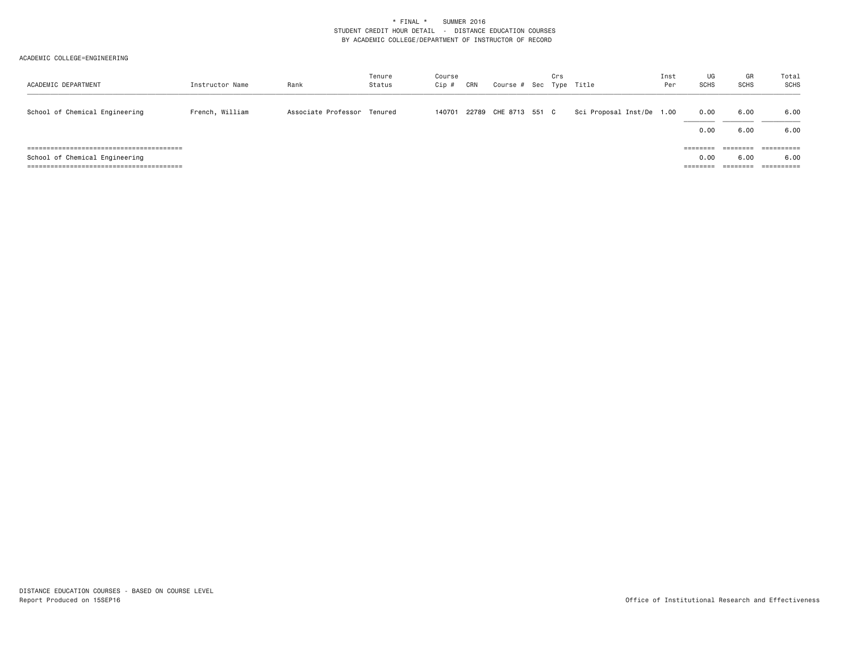| ACADEMIC DEPARTMENT            | Instructor Name | Rank                        | Tenure<br>Status | Course<br>Cip # | CRN | Course # Sec Type Title | Crs |                           | Inst<br>Per | UG<br><b>SCHS</b>            | GR<br><b>SCHS</b>                        | Total<br>SCHS                               |
|--------------------------------|-----------------|-----------------------------|------------------|-----------------|-----|-------------------------|-----|---------------------------|-------------|------------------------------|------------------------------------------|---------------------------------------------|
| School of Chemical Engineering | French, William | Associate Professor Tenured |                  | 140701          |     | 22789 CHE 8713 551 C    |     | Sci Proposal Inst/De 1.00 |             | 0.00<br>0.00                 | 6.00<br>6.00                             | 6.00<br>6.00                                |
| School of Chemical Engineering |                 |                             |                  |                 |     |                         |     |                           |             | ========<br>0.00<br>======== | ========<br>6.00<br>--------<br>-------- | $=$ = = = = = = = = =<br>6.00<br>========== |